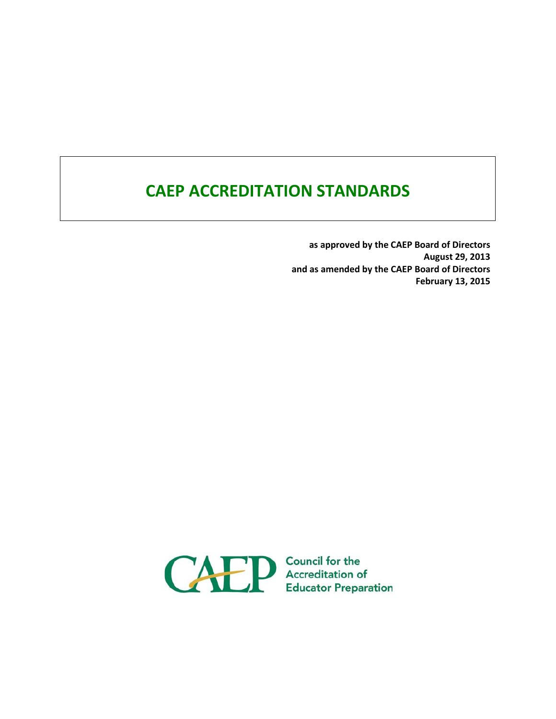## **CAEP ACCREDITATION STANDARDS**

**as approved by the CAEP Board of Directors August 29, 2013 and as amended by the CAEP Board of Directors February 13, 2015**

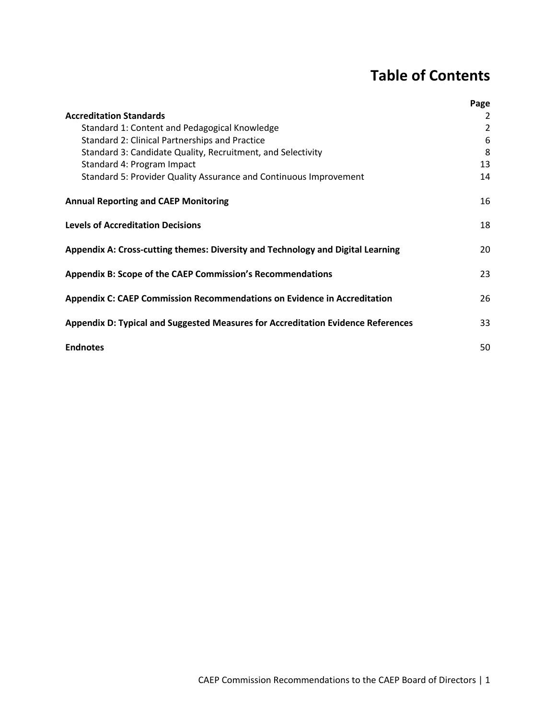# **Table of Contents**

|                                                                                  | Page |
|----------------------------------------------------------------------------------|------|
| <b>Accreditation Standards</b>                                                   | 2    |
| Standard 1: Content and Pedagogical Knowledge                                    | 2    |
| Standard 2: Clinical Partnerships and Practice                                   | 6    |
| Standard 3: Candidate Quality, Recruitment, and Selectivity                      | 8    |
| Standard 4: Program Impact                                                       | 13   |
| Standard 5: Provider Quality Assurance and Continuous Improvement                | 14   |
| <b>Annual Reporting and CAEP Monitoring</b>                                      | 16   |
| <b>Levels of Accreditation Decisions</b>                                         | 18   |
| Appendix A: Cross-cutting themes: Diversity and Technology and Digital Learning  | 20   |
| Appendix B: Scope of the CAEP Commission's Recommendations                       | 23   |
| Appendix C: CAEP Commission Recommendations on Evidence in Accreditation         | 26   |
| Appendix D: Typical and Suggested Measures for Accreditation Evidence References | 33   |
| <b>Endnotes</b>                                                                  | 50   |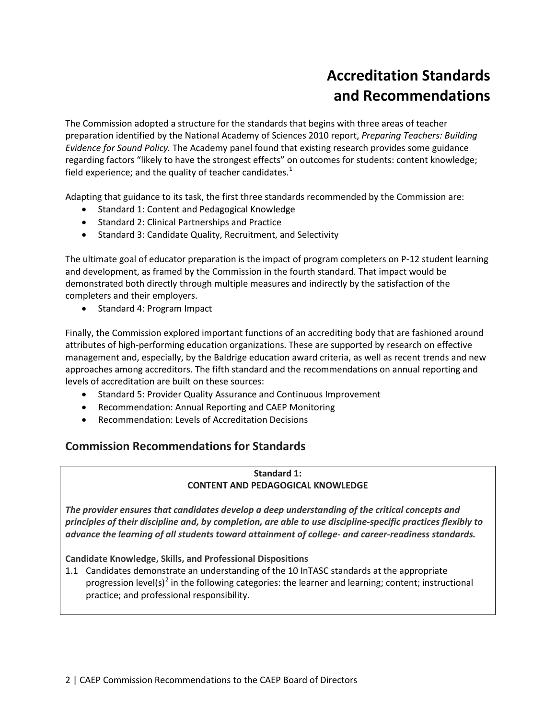## **Accreditation Standards and Recommendations**

The Commission adopted a structure for the standards that begins with three areas of teacher preparation identified by the National Academy of Sciences 2010 report, *Preparing Teachers: Building Evidence for Sound Policy.* The Academy panel found that existing research provides some guidance regarding factors "likely to have the strongest effects" on outcomes for students: content knowledge; field experience; and the quality of teacher candidates. $<sup>1</sup>$  $<sup>1</sup>$  $<sup>1</sup>$ </sup>

Adapting that guidance to its task, the first three standards recommended by the Commission are:

- Standard 1: Content and Pedagogical Knowledge
- Standard 2: Clinical Partnerships and Practice
- Standard 3: Candidate Quality, Recruitment, and Selectivity

The ultimate goal of educator preparation is the impact of program completers on P-12 student learning and development, as framed by the Commission in the fourth standard. That impact would be demonstrated both directly through multiple measures and indirectly by the satisfaction of the completers and their employers.

• Standard 4: Program Impact

Finally, the Commission explored important functions of an accrediting body that are fashioned around attributes of high-performing education organizations. These are supported by research on effective management and, especially, by the Baldrige education award criteria, as well as recent trends and new approaches among accreditors. The fifth standard and the recommendations on annual reporting and levels of accreditation are built on these sources:

- Standard 5: Provider Quality Assurance and Continuous Improvement
- Recommendation: Annual Reporting and CAEP Monitoring
- Recommendation: Levels of Accreditation Decisions

## **Commission Recommendations for Standards**

## **Standard 1: CONTENT AND PEDAGOGICAL KNOWLEDGE**

*The provider ensures that candidates develop a deep understanding of the critical concepts and principles of their discipline and, by completion, are able to use discipline-specific practices flexibly to advance the learning of all students toward attainment of college- and career-readiness standards.* 

**Candidate Knowledge, Skills, and Professional Dispositions**

1.1 Candidates demonstrate an understanding of the 10 InTASC standards at the appropriate progression level(s)<sup>[2](#page-52-1)</sup> in the following categories: the learner and learning; content; instructional practice; and professional responsibility.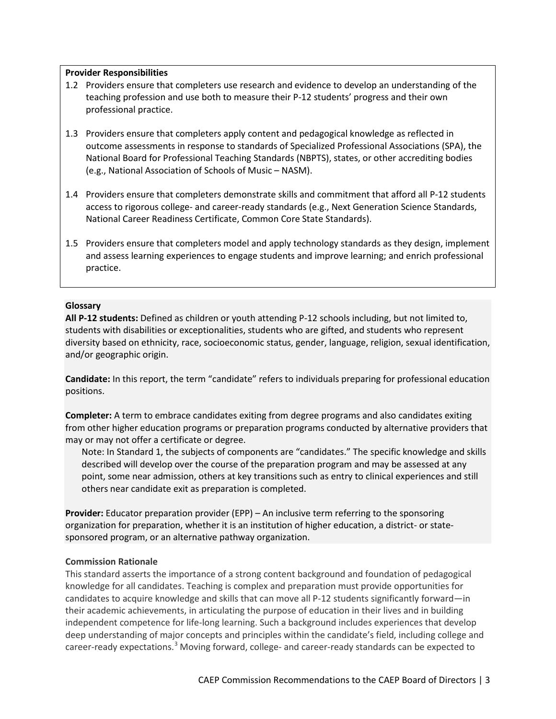#### **Provider Responsibilities**

- 1.2 Providers ensure that completers use research and evidence to develop an understanding of the teaching profession and use both to measure their P-12 students' progress and their own professional practice.
- 1.3 Providers ensure that completers apply content and pedagogical knowledge as reflected in outcome assessments in response to standards of Specialized Professional Associations (SPA), the National Board for Professional Teaching Standards (NBPTS), states, or other accrediting bodies (e.g., National Association of Schools of Music – NASM).
- 1.4 Providers ensure that completers demonstrate skills and commitment that afford all P-12 students access to rigorous college- and career-ready standards (e.g., Next Generation Science Standards, National Career Readiness Certificate, Common Core State Standards).
- 1.5 Providers ensure that completers model and apply technology standards as they design, implement and assess learning experiences to engage students and improve learning; and enrich professional practice.

#### **Glossary**

**All P-12 students:** Defined as children or youth attending P-12 schools including, but not limited to, students with disabilities or exceptionalities, students who are gifted, and students who represent diversity based on ethnicity, race, socioeconomic status, gender, language, religion, sexual identification, and/or geographic origin.

**Candidate:** In this report, the term "candidate" refers to individuals preparing for professional education positions.

**Completer:** A term to embrace candidates exiting from [degree](http://caepnet.org/commission/standards/standard1/) programs and also candidates exiting from other higher education programs or preparation programs conducted by alternative providers that may or may not offer a [certificate](http://caepnet.org/commission/standards/standard1/) or degree.

Note: In Standard 1, the subjects of components are "candidates." The specific knowledge and skills described will develop over the course of the preparation program and may be assessed at any point, some near admission, others at key transitions such as entry to clinical experiences and still others near candidate exit as preparation is completed.

**Provider:** Educator preparation provider (EPP) – An inclusive term referring to the sponsoring organization for preparation, whether it is an institution of higher education, a district- or statesponsored program, or an alternative pathway organization.

#### **Commission Rationale**

This standard asserts the importance of a strong content background and foundation of pedagogical knowledge for all candidates. Teaching is complex and preparation must provide opportunities for candidates to acquire knowledge and skills that can move all P-12 students significantly forward—in their academic achievements, in articulating the purpose of education in their lives and in building independent competence for life-long learning. Such a background includes experiences that develop deep understanding of major concepts and principles within the candidate's field, including college and career-ready expectations.<sup>[3](#page-52-2)</sup> Moving forward, college- and career-ready standards can be expected to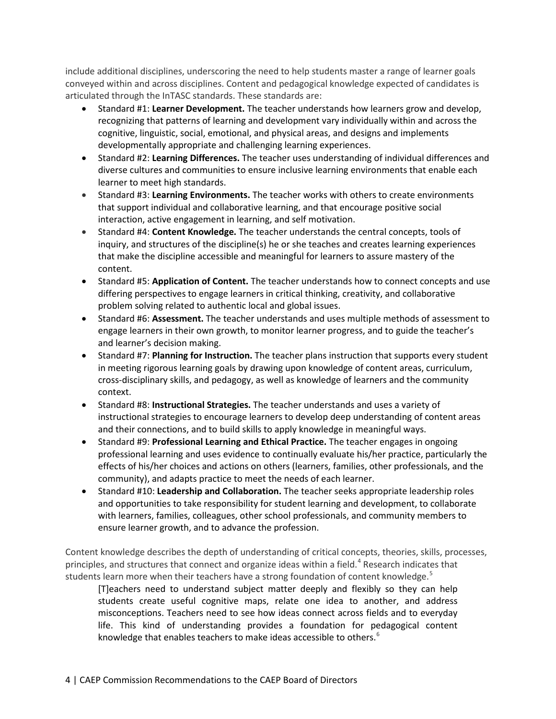include additional disciplines, underscoring the need to help students master a range of learner goals conveyed within and across disciplines. Content and pedagogical knowledge expected of candidates is articulated through the InTASC standards. These standards are:

- Standard #1: **Learner Development.** The teacher understands how learners grow and develop, recognizing that patterns of learning and development vary individually within and across the cognitive, linguistic, social, emotional, and physical areas, and designs and implements developmentally appropriate and challenging learning experiences.
- Standard #2: **Learning Differences.** The teacher uses understanding of individual differences and diverse cultures and communities to ensure inclusive learning environments that enable each learner to meet high standards.
- Standard #3: **Learning Environments.** The teacher works with others to create environments that support individual and collaborative learning, and that encourage positive social interaction, active engagement in learning, and self motivation.
- Standard #4: **Content Knowledge.** The teacher understands the central concepts, tools of inquiry, and structures of the discipline(s) he or she teaches and creates learning experiences that make the discipline accessible and meaningful for learners to assure mastery of the content.
- Standard #5: **Application of Content.** The teacher understands how to connect concepts and use differing perspectives to engage learners in critical thinking, creativity, and collaborative problem solving related to authentic local and global issues.
- Standard #6: **Assessment.** The teacher understands and uses multiple methods of assessment to engage learners in their own growth, to monitor learner progress, and to guide the teacher's and learner's decision making.
- Standard #7: **Planning for Instruction.** The teacher plans instruction that supports every student in meeting rigorous learning goals by drawing upon knowledge of content areas, curriculum, cross-disciplinary skills, and pedagogy, as well as knowledge of learners and the community context.
- Standard #8: **Instructional Strategies.** The teacher understands and uses a variety of instructional strategies to encourage learners to develop deep understanding of content areas and their connections, and to build skills to apply knowledge in meaningful ways.
- Standard #9: **Professional Learning and Ethical Practice.** The teacher engages in ongoing professional learning and uses evidence to continually evaluate his/her practice, particularly the effects of his/her choices and actions on others (learners, families, other professionals, and the community), and adapts practice to meet the needs of each learner.
- Standard #10: **Leadership and Collaboration.** The teacher seeks appropriate leadership roles and opportunities to take responsibility for student learning and development, to collaborate with learners, families, colleagues, other school professionals, and community members to ensure learner growth, and to advance the profession.

Content knowledge describes the depth of understanding of critical concepts, theories, skills, processes, principles, and structures that connect and organize ideas within a field.<sup>[4](#page-53-0)</sup> Research indicates that students learn more when their teachers have a strong foundation of content knowledge.<sup>[5](#page-53-1)</sup>

[T]eachers need to understand subject matter deeply and flexibly so they can help students create useful cognitive maps, relate one idea to another, and address misconceptions. Teachers need to see how ideas connect across fields and to everyday life. This kind of understanding provides a foundation for pedagogical content knowledge that enables teachers to make ideas accessible to others.<sup>[6](#page-53-2)</sup>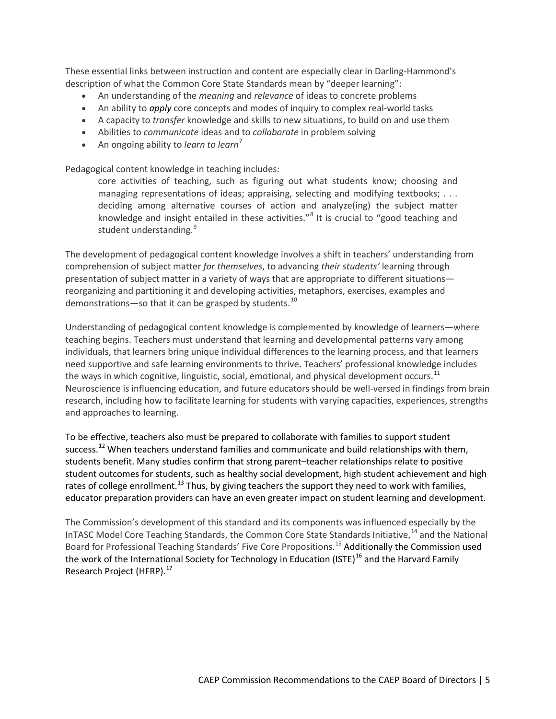These essential links between instruction and content are especially clear in Darling-Hammond's description of what the Common Core State Standards mean by "deeper learning":

- An understanding of the *meaning* and *relevance* of ideas to concrete problems
- An ability to *apply* core concepts and modes of inquiry to complex real-world tasks
- A capacity to *transfer* knowledge and skills to new situations, to build on and use them
- Abilities to *communicate* ideas and to *collaborate* in problem solving
- An ongoing ability to *learn* to *learn*<sup>[7](#page-54-0)</sup>

Pedagogical content knowledge in teaching includes:

core activities of teaching, such as figuring out what students know; choosing and managing representations of ideas; appraising, selecting and modifying textbooks; . . . deciding among alternative courses of action and analyze(ing) the subject matter knowledge and insight entailed in these activities."<sup>[8](#page-54-1)</sup> It is crucial to "good teaching and student understanding.<sup>[9](#page-54-2)</sup>

The development of pedagogical content knowledge involves a shift in teachers' understanding from comprehension of subject matter *for themselves*, to advancing *their students'* learning through presentation of subject matter in a variety of ways that are appropriate to different situations reorganizing and partitioning it and developing activities, metaphors, exercises, examples and demonstrations—so that it can be grasped by students.<sup>[10](#page-54-3)</sup>

Understanding of pedagogical content knowledge is complemented by knowledge of learners—where teaching begins. Teachers must understand that learning and developmental patterns vary among individuals, that learners bring unique individual differences to the learning process, and that learners need supportive and safe learning environments to thrive. Teachers' professional knowledge includes the ways in which cognitive, linguistic, social, emotional, and physical development occurs.<sup>[11](#page-54-4)</sup> Neuroscience is influencing education, and future educators should be well-versed in findings from brain research, including how to facilitate learning for students with varying capacities, experiences, strengths and approaches to learning.

To be effective, teachers also must be prepared to collaborate with families to support student success.<sup>[12](#page-54-5)</sup> When teachers understand families and communicate and build relationships with them, students benefit. Many studies confirm that strong parent–teacher relationships relate to positive student outcomes for students, such as healthy social development, high student achievement and high rates of college enrollment.<sup>[13](#page-54-6)</sup> Thus, by giving teachers the support they need to work with families, educator preparation providers can have an even greater impact on student learning and development.

The Commission's development of this standard and its components was influenced especially by the InTASC Model Core Teaching Standards, the Common Core State Standards Initiative,<sup>[14](#page-54-7)</sup> and the National Board for Professional Teaching Standards' Five Core Propositions. [15](#page-54-8) Additionally the Commission used the work of the International Society for Technology in Education (ISTE)<sup>[16](#page-54-9)</sup> and the Harvard Family Research Project (HFRP).<sup>[17](#page-54-10)</sup>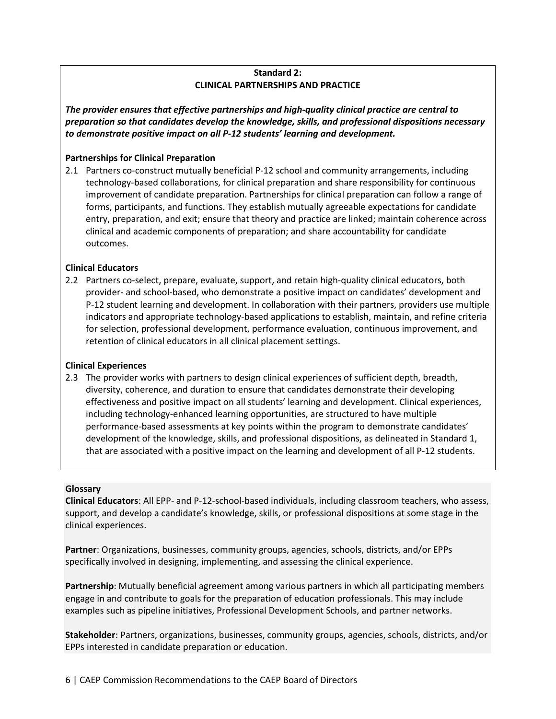## **Standard 2: CLINICAL PARTNERSHIPS AND PRACTICE**

*The provider ensures that effective partnerships and high-quality clinical practice are central to preparation so that candidates develop the knowledge, skills, and professional dispositions necessary to demonstrate positive impact on all P-12 students' learning and development.*

## **Partnerships for Clinical Preparation**

2.1 Partners co-construct mutually beneficial P-12 school and community arrangements, including technology-based collaborations, for clinical preparation and share responsibility for continuous improvement of candidate preparation. Partnerships for clinical preparation can follow a range of forms, participants, and functions. They establish mutually agreeable expectations for candidate entry, preparation, and exit; ensure that theory and practice are linked; maintain coherence across clinical and academic components of preparation; and share accountability for candidate outcomes.

## **Clinical Educators**

2.2 Partners co-select, prepare, evaluate, support, and retain high-quality clinical educators, both provider- and school-based, who demonstrate a positive impact on candidates' development and P-12 student learning and development. In collaboration with their partners, providers use multiple indicators and appropriate technology-based applications to establish, maintain, and refine criteria for selection, professional development, performance evaluation, continuous improvement, and retention of clinical educators in all clinical placement settings.

## **Clinical Experiences**

2.3 The provider works with partners to design clinical experiences of sufficient depth, breadth, diversity, coherence, and duration to ensure that candidates demonstrate their developing effectiveness and positive impact on all students' learning and development. Clinical experiences, including technology-enhanced learning opportunities, are structured to have multiple performance-based assessments at key points within the program to demonstrate candidates' development of the knowledge, skills, and professional dispositions, as delineated in Standard 1, that are associated with a positive impact on the learning and development of all P-12 students.

#### **Glossary**

**Clinical Educators**: All EPP- and P-12-school-based individuals, including classroom teachers, who assess, support, and develop a candidate's knowledge, skills, or professional dispositions at some stage in the clinical experiences.

**Partner**: Organizations, businesses, community groups, agencies, schools, districts, and/or EPPs specifically involved in designing, implementing, and assessing the clinical experience.

**Partnership**: Mutually beneficial agreement among various partners in which all participating members engage in and contribute to goals for the preparation of education professionals. This may include examples such as pipeline initiatives, Professional Development Schools, and partner networks.

**Stakeholder**: Partners, organizations, businesses, community groups, agencies, schools, districts, and/or EPPs interested in candidate preparation or education.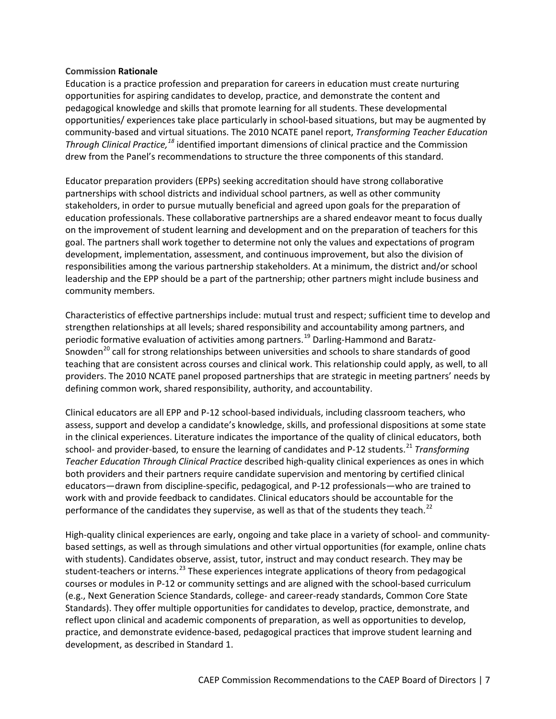#### **Commission Rationale**

Education is a practice profession and preparation for careers in education must create nurturing opportunities for aspiring candidates to develop, practice, and demonstrate the content and pedagogical knowledge and skills that promote learning for all students. These developmental opportunities/ experiences take place particularly in school-based situations, but may be augmented by community-based and virtual situations. The 2010 NCATE panel report, *Transforming Teacher Education Through Clinical Practice,[18](#page-55-0)* identified important dimensions of clinical practice and the Commission drew from the Panel's recommendations to structure the three components of this standard.

Educator preparation providers (EPPs) seeking accreditation should have strong collaborative partnerships with school districts and individual school partners, as well as other community stakeholders, in order to pursue mutually beneficial and agreed upon goals for the preparation of education professionals. These collaborative partnerships are a shared endeavor meant to focus dually on the improvement of student learning and development and on the preparation of teachers for this goal. The partners shall work together to determine not only the values and expectations of program development, implementation, assessment, and continuous improvement, but also the division of responsibilities among the various partnership stakeholders. At a minimum, the district and/or school leadership and the EPP should be a part of the partnership; other partners might include business and community members.

Characteristics of effective partnerships include: mutual trust and respect; sufficient time to develop and strengthen relationships at all levels; shared responsibility and accountability among partners, and periodic formative evaluation of activities among partners.<sup>[19](#page-55-1)</sup> Darling-Hammond and Baratz-Snowden<sup>[20](#page-55-2)</sup> call for strong relationships between universities and schools to share standards of good teaching that are consistent across courses and clinical work. This relationship could apply, as well, to all providers. The 2010 NCATE panel proposed partnerships that are strategic in meeting partners' needs by defining common work, shared responsibility, authority, and accountability.

Clinical educators are all EPP and P-12 school-based individuals, including classroom teachers, who assess, support and develop a candidate's knowledge, skills, and professional dispositions at some state in the clinical experiences. Literature indicates the importance of the quality of clinical educators, both school- and provider-based, to ensure the learning of candidates and P-12 students.<sup>[21](#page-55-3)</sup> *Transforming Teacher Education Through Clinical Practice* described high-quality clinical experiences as ones in which both providers and their partners require candidate supervision and mentoring by certified clinical educators—drawn from discipline-specific, pedagogical, and P-12 professionals—who are trained to work with and provide feedback to candidates. Clinical educators should be accountable for the performance of the candidates they supervise, as well as that of the students they teach.<sup>[22](#page-55-4)</sup>

High-quality clinical experiences are early, ongoing and take place in a variety of school- and communitybased settings, as well as through simulations and other virtual opportunities (for example, online chats with students). Candidates observe, assist, tutor, instruct and may conduct research. They may be student-teachers or interns.<sup>[23](#page-55-5)</sup> These experiences integrate applications of theory from pedagogical courses or modules in P-12 or community settings and are aligned with the school-based curriculum (e.g., Next Generation Science Standards, college- and career-ready standards, Common Core State Standards). They offer multiple opportunities for candidates to develop, practice, demonstrate, and reflect upon clinical and academic components of preparation, as well as opportunities to develop, practice, and demonstrate evidence-based, pedagogical practices that improve student learning and development, as described in Standard 1.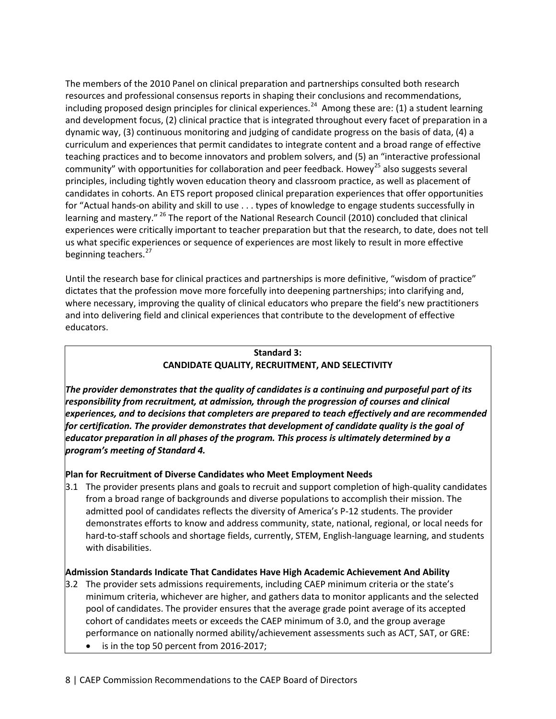The members of the 2010 Panel on clinical preparation and partnerships consulted both research resources and professional consensus reports in shaping their conclusions and recommendations, including proposed design principles for clinical experiences.<sup>[24](#page-55-6)</sup> Among these are: (1) a student learning and development focus, (2) clinical practice that is integrated throughout every facet of preparation in a dynamic way, (3) continuous monitoring and judging of candidate progress on the basis of data, (4) a curriculum and experiences that permit candidates to integrate content and a broad range of effective teaching practices and to become innovators and problem solvers, and (5) an "interactive professional community" with opportunities for collaboration and peer feedback. Howey<sup>[25](#page-55-7)</sup> also suggests several principles, including tightly woven education theory and classroom practice, as well as placement of candidates in cohorts. An ETS report proposed clinical preparation experiences that offer opportunities for "Actual hands-on ability and skill to use . . . types of knowledge to engage students successfully in learning and mastery." <sup>[26](#page-55-8)</sup> The report of the National Research Council (2010) concluded that clinical experiences were critically important to teacher preparation but that the research, to date, does not tell us what specific experiences or sequence of experiences are most likely to result in more effective beginning teachers.<sup>[27](#page-55-9)</sup>

Until the research base for clinical practices and partnerships is more definitive, "wisdom of practice" dictates that the profession move more forcefully into deepening partnerships; into clarifying and, where necessary, improving the quality of clinical educators who prepare the field's new practitioners and into delivering field and clinical experiences that contribute to the development of effective educators.

## **Standard 3: CANDIDATE QUALITY, RECRUITMENT, AND SELECTIVITY**

*The provider demonstrates that the quality of candidates is a continuing and purposeful part of its responsibility from recruitment, at admission, through the progression of courses and clinical experiences, and to decisions that completers are prepared to teach effectively and are recommended for certification. The provider demonstrates that development of candidate quality is the goal of educator preparation in all phases of the program. This process is ultimately determined by a program's meeting of Standard 4.* 

## **Plan for Recruitment of Diverse Candidates who Meet Employment Needs**

3.1 The provider presents plans and goals to recruit and support completion of high-quality candidates from a broad range of backgrounds and diverse populations to accomplish their mission. The admitted pool of candidates reflects the diversity of America's P-12 students. The provider demonstrates efforts to know and address community, state, national, regional, or local needs for hard-to-staff schools and shortage fields, currently, STEM, English-language learning, and students with disabilities.

## **Admission Standards Indicate That Candidates Have High Academic Achievement And Ability**

- 3.2 The provider sets admissions requirements, including CAEP minimum criteria or the state's minimum criteria, whichever are higher, and gathers data to monitor applicants and the selected pool of candidates. The provider ensures that the average grade point average of its accepted cohort of candidates meets or exceeds the CAEP minimum of 3.0, and the group average performance on nationally normed ability/achievement assessments such as ACT, SAT, or GRE: • is in the top 50 percent from 2016-2017;
	-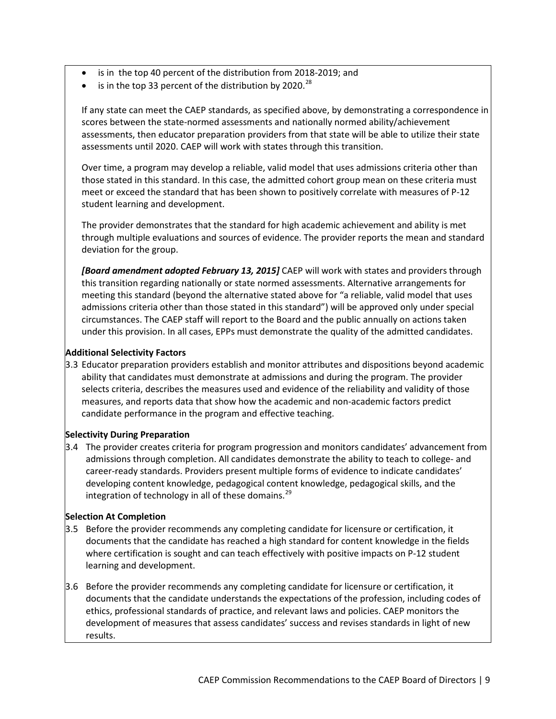- is in the top 40 percent of the distribution from 2018-2019; and
- is in the top 33 percent of the distribution by 2020.<sup>[28](#page-55-10)</sup>

If any state can meet the CAEP standards, as specified above, by demonstrating a correspondence in scores between the state-normed assessments and nationally normed ability/achievement assessments, then educator preparation providers from that state will be able to utilize their state assessments until 2020. CAEP will work with states through this transition.

Over time, a program may develop a reliable, valid model that uses admissions criteria other than those stated in this standard. In this case, the admitted cohort group mean on these criteria must meet or exceed the standard that has been shown to positively correlate with measures of P-12 student learning and development.

The provider demonstrates that the standard for high academic achievement and ability is met through multiple evaluations and sources of evidence. The provider reports the mean and standard deviation for the group.

*[Board amendment adopted February 13, 2015]* CAEP will work with states and providers through this transition regarding nationally or state normed assessments. Alternative arrangements for meeting this standard (beyond the alternative stated above for "a reliable, valid model that uses admissions criteria other than those stated in this standard") will be approved only under special circumstances. The CAEP staff will report to the Board and the public annually on actions taken under this provision. In all cases, EPPs must demonstrate the quality of the admitted candidates.

## **Additional Selectivity Factors**

3.3 Educator preparation providers establish and monitor attributes and dispositions beyond academic ability that candidates must demonstrate at admissions and during the program. The provider selects criteria, describes the measures used and evidence of the reliability and validity of those measures, and reports data that show how the academic and non-academic factors predict candidate performance in the program and effective teaching.

## **Selectivity During Preparation**

3.4 The provider creates criteria for program progression and monitors candidates' advancement from admissions through completion. All candidates demonstrate the ability to teach to college- and career-ready standards. Providers present multiple forms of evidence to indicate candidates' developing content knowledge, pedagogical content knowledge, pedagogical skills, and the integration of technology in all of these domains.<sup>[29](#page-55-11)</sup>

## **Selection At Completion**

- 3.5 Before the provider recommends any completing candidate for licensure or certification, it documents that the candidate has reached a high standard for content knowledge in the fields where certification is sought and can teach effectively with positive impacts on P-12 student learning and development.
- 3.6 Before the provider recommends any completing candidate for licensure or certification, it documents that the candidate understands the expectations of the profession, including codes of ethics, professional standards of practice, and relevant laws and policies. CAEP monitors the development of measures that assess candidates' success and revises standards in light of new results.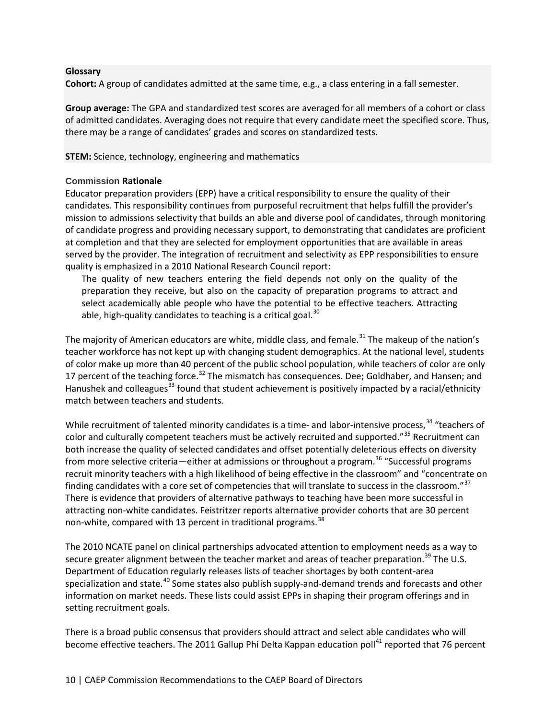#### **Glossary**

**Cohort:** A group of candidates admitted at the same time, e.g., a class entering in a fall semester.

**Group average:** The GPA and standardized test scores are averaged for all members of a cohort or class of admitted candidates. Averaging does not require that every candidate meet the specified score. Thus, there may be a range of candidates' grades and scores on standardized tests.

**STEM:** Science, technology, engineering and mathematics

#### **Commission Rationale**

Educator preparation providers (EPP) have a critical responsibility to ensure the quality of their candidates. This responsibility continues from purposeful recruitment that helps fulfill the provider's mission to admissions selectivity that builds an able and diverse pool of candidates, through monitoring of candidate progress and providing necessary support, to demonstrating that candidates are proficient at completion and that they are selected for employment opportunities that are available in areas served by the provider. The integration of recruitment and selectivity as EPP responsibilities to ensure quality is emphasized in a 2010 National Research Council report:

The quality of new teachers entering the field depends not only on the quality of the preparation they receive, but also on the capacity of preparation programs to attract and select academically able people who have the potential to be effective teachers. Attracting able, high-quality candidates to teaching is a critical goal.<sup>[30](#page-55-12)</sup>

The majority of American educators are white, middle class, and female.<sup>[31](#page-55-13)</sup> The makeup of the nation's teacher workforce has not kept up with changing student demographics. At the national level, students of color make up more than 40 percent of the public school population, while teachers of color are only 17 percent of the teaching force.<sup>[32](#page-55-14)</sup> The mismatch has consequences. Dee; Goldhaber, and Hansen; and Hanushek and colleagues<sup>[33](#page-55-15)</sup> found that student achievement is positively impacted by a racial/ethnicity match between teachers and students.

While recruitment of talented minority candidates is a time- and labor-intensive process,<sup>[34](#page-55-16)</sup> "teachers of color and culturally competent teachers must be actively recruited and supported."<sup>[35](#page-55-17)</sup> Recruitment can both increase the quality of selected candidates and offset potentially deleterious effects on diversity from more selective criteria—either at admissions or throughout a program.<sup>[36](#page-55-18)</sup> "Successful programs recruit minority teachers with a high likelihood of being effective in the classroom" and "concentrate on finding candidates with a core set of competencies that will translate to success in the classroom." $37$ There is evidence that providers of alternative pathways to teaching have been more successful in attracting non-white candidates. Feistritzer reports alternative provider cohorts that are 30 percent non-white, compared with 13 percent in traditional programs.  $38$ 

The 2010 NCATE panel on clinical partnerships advocated attention to employment needs as a way to secure greater alignment between the teacher market and areas of teacher preparation.<sup>[39](#page-55-21)</sup> The U.S. Department of Education regularly releases lists of teacher shortages by both content-area specialization and state.<sup>[40](#page-55-22)</sup> Some states also publish supply-and-demand trends and forecasts and other information on market needs. These lists could assist EPPs in shaping their program offerings and in setting recruitment goals.

There is a broad public consensus that providers should attract and select able candidates who will become effective teachers. The 2011 Gallup Phi Delta Kappan education poll<sup>[41](#page-55-23)</sup> reported that 76 percent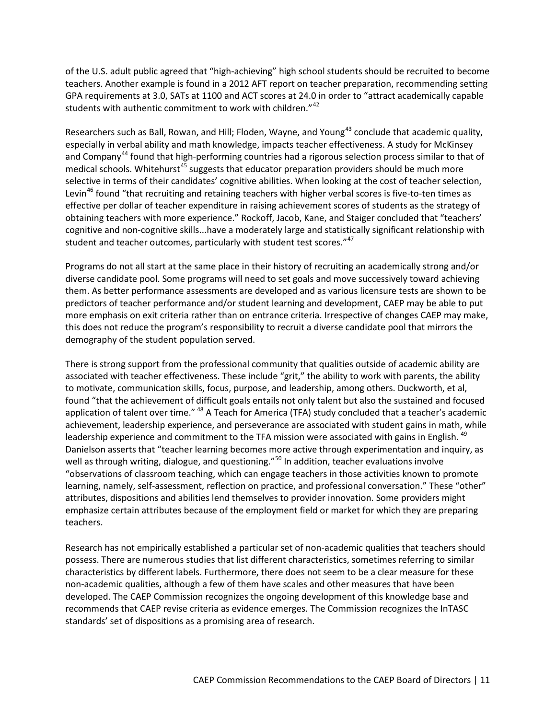of the U.S. adult public agreed that "high-achieving" high school students should be recruited to become teachers. Another example is found in a 2012 AFT report on teacher preparation, recommending setting GPA requirements at 3.0, SATs at 1100 and ACT scores at 24.0 in order to "attract academically capable students with authentic commitment to work with children."<sup>[42](#page-55-24)</sup>

Researchers such as Ball, Rowan, and Hill; Floden, Wayne, and Young<sup>[43](#page-55-25)</sup> conclude that academic quality, especially in verbal ability and math knowledge, impacts teacher effectiveness. A study for McKinsey and Company<sup>[44](#page-55-26)</sup> found that high-performing countries had a rigorous selection process similar to that of medical schools. Whitehurst<sup>[45](#page-55-27)</sup> suggests that educator preparation providers should be much more selective in terms of their candidates' cognitive abilities. When looking at the cost of teacher selection, Levin<sup>[46](#page-55-28)</sup> found "that recruiting and retaining teachers with higher verbal scores is five-to-ten times as effective per dollar of teacher expenditure in raising achievement scores of students as the strategy of obtaining teachers with more experience." Rockoff, Jacob, Kane, and Staiger concluded that "teachers' cognitive and non-cognitive skills...have a moderately large and statistically significant relationship with student and teacher outcomes, particularly with student test scores."<sup>[47](#page-55-29)</sup>

Programs do not all start at the same place in their history of recruiting an academically strong and/or diverse candidate pool. Some programs will need to set goals and move successively toward achieving them. As better performance assessments are developed and as various licensure tests are shown to be predictors of teacher performance and/or student learning and development, CAEP may be able to put more emphasis on exit criteria rather than on entrance criteria. Irrespective of changes CAEP may make, this does not reduce the program's responsibility to recruit a diverse candidate pool that mirrors the demography of the student population served.

There is strong support from the professional community that qualities outside of academic ability are associated with teacher effectiveness. These include "grit," the ability to work with parents, the ability to motivate, communication skills, focus, purpose, and leadership, among others. Duckworth, et al, found "that the achievement of difficult goals entails not only talent but also the sustained and focused application of talent over time." <sup>[48](#page-55-30)</sup> A Teach for America (TFA) study concluded that a teacher's academic achievement, leadership experience, and perseverance are associated with student gains in math, while leadership experience and commitment to the TFA mission were associated with gains in English.<sup>[49](#page-55-31)</sup> Danielson asserts that "teacher learning becomes more active through experimentation and inquiry, as well as through writing, dialogue, and questioning."<sup>[50](#page-55-32)</sup> In addition, teacher evaluations involve "observations of classroom teaching, which can engage teachers in those activities known to promote learning, namely, self-assessment, reflection on practice, and professional conversation." These "other" attributes, dispositions and abilities lend themselves to provider innovation. Some providers might emphasize certain attributes because of the employment field or market for which they are preparing teachers.

Research has not empirically established a particular set of non-academic qualities that teachers should possess. There are numerous studies that list different characteristics, sometimes referring to similar characteristics by different labels. Furthermore, there does not seem to be a clear measure for these non-academic qualities, although a few of them have scales and other measures that have been developed. The CAEP Commission recognizes the ongoing development of this knowledge base and recommends that CAEP revise criteria as evidence emerges. The Commission recognizes the InTASC standards' set of dispositions as a promising area of research.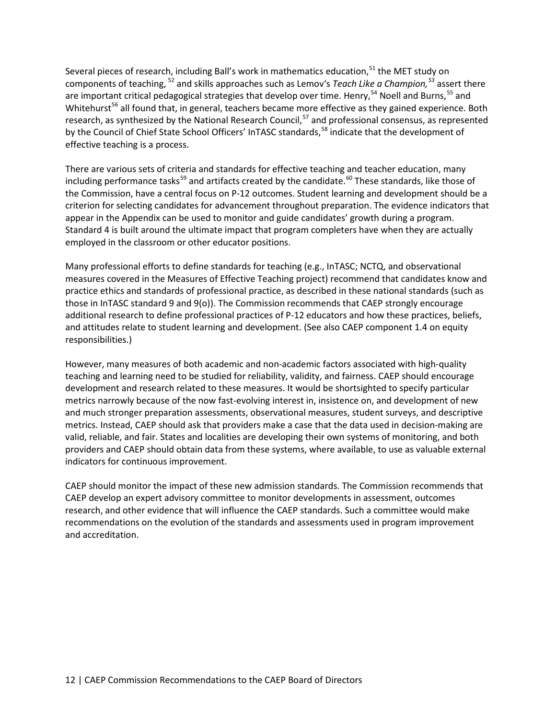Several pieces of research, including Ball's work in mathematics education,<sup>[51](#page-55-33)</sup> the MET study on components of teaching, [52](#page-55-34) and skills approaches such as Lemov's *Teach Like a Champion,[53](#page-55-35)* assert there are important critical pedagogical strategies that develop over time. Henry,<sup>[54](#page-55-36)</sup> Noell and Burns,<sup>[55](#page-55-37)</sup> and Whitehurst<sup>[56](#page-55-38)</sup> all found that, in general, teachers became more effective as they gained experience. Both research, as synthesized by the National Research Council,<sup>[57](#page-55-39)</sup> and professional consensus, as represented by the Council of Chief State School Officers' InTASC standards,<sup>[58](#page-55-40)</sup> indicate that the development of effective teaching is a process.

There are various sets of criteria and standards for effective teaching and teacher education, many including performance tasks<sup>[59](#page-55-41)</sup> and artifacts created by the candidate.<sup>[60](#page-55-42)</sup> These standards, like those of the Commission, have a central focus on P-12 outcomes. Student learning and development should be a criterion for selecting candidates for advancement throughout preparation. The evidence indicators that appear in the Appendix can be used to monitor and guide candidates' growth during a program. Standard 4 is built around the ultimate impact that program completers have when they are actually employed in the classroom or other educator positions.

Many professional efforts to define standards for teaching (e.g., InTASC; NCTQ, and observational measures covered in the Measures of Effective Teaching project) recommend that candidates know and practice ethics and standards of professional practice, as described in these national standards (such as those in InTASC standard 9 and 9(o)). The Commission recommends that CAEP strongly encourage additional research to define professional practices of P-12 educators and how these practices, beliefs, and attitudes relate to student learning and development. (See also CAEP component 1.4 on equity responsibilities.)

However, many measures of both academic and non-academic factors associated with high-quality teaching and learning need to be studied for reliability, validity, and fairness. CAEP should encourage development and research related to these measures. It would be shortsighted to specify particular metrics narrowly because of the now fast-evolving interest in, insistence on, and development of new and much stronger preparation assessments, observational measures, student surveys, and descriptive metrics. Instead, CAEP should ask that providers make a case that the data used in decision-making are valid, reliable, and fair. States and localities are developing their own systems of monitoring, and both providers and CAEP should obtain data from these systems, where available, to use as valuable external indicators for continuous improvement.

CAEP should monitor the impact of these new admission standards. The Commission recommends that CAEP develop an expert advisory committee to monitor developments in assessment, outcomes research, and other evidence that will influence the CAEP standards. Such a committee would make recommendations on the evolution of the standards and assessments used in program improvement and accreditation.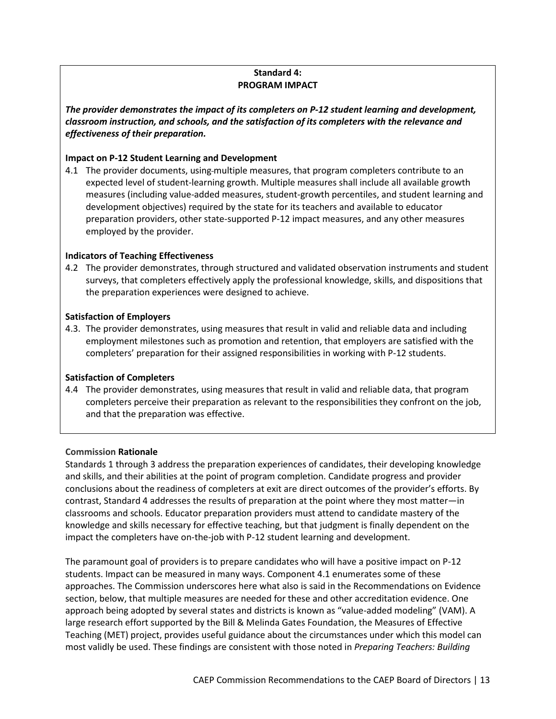## **Standard 4: PROGRAM IMPACT**

*The provider demonstrates the impact of its completers on P-12 student learning and development, classroom instruction, and schools, and the satisfaction of its completers with the relevance and effectiveness of their preparation.*

## **Impact on P-12 Student Learning and Development**

4.1 The provider documents, using-multiple measures, that program completers contribute to an expected level of student-learning growth. Multiple measures shall include all available growth measures (including value-added measures, student-growth percentiles, and student learning and development objectives) required by the state for its teachers and available to educator preparation providers, other state-supported P-12 impact measures, and any other measures employed by the provider.

#### **Indicators of Teaching Effectiveness**

4.2 The provider demonstrates, through structured and validated observation instruments and student surveys, that completers effectively apply the professional knowledge, skills, and dispositions that the preparation experiences were designed to achieve.

#### **Satisfaction of Employers**

4.3. The provider demonstrates, using measures that result in valid and reliable data and including employment milestones such as promotion and retention, that employers are satisfied with the completers' preparation for their assigned responsibilities in working with P-12 students.

## **Satisfaction of Completers**

4.4 The provider demonstrates, using measures that result in valid and reliable data, that program completers perceive their preparation as relevant to the responsibilities they confront on the job, and that the preparation was effective.

## **Commission Rationale**

Standards 1 through 3 address the preparation experiences of candidates, their developing knowledge and skills, and their abilities at the point of program completion. Candidate progress and provider conclusions about the readiness of completers at exit are direct outcomes of the provider's efforts. By contrast, Standard 4 addresses the results of preparation at the point where they most matter—in classrooms and schools. Educator preparation providers must attend to candidate mastery of the knowledge and skills necessary for effective teaching, but that judgment is finally dependent on the impact the completers have on-the-job with P-12 student learning and development.

The paramount goal of providers is to prepare candidates who will have a positive impact on P-12 students. Impact can be measured in many ways. Component 4.1 enumerates some of these approaches. The Commission underscores here what also is said in the Recommendations on Evidence section, below, that multiple measures are needed for these and other accreditation evidence. One approach being adopted by several states and districts is known as "value-added modeling" (VAM). A large research effort supported by the Bill & Melinda Gates Foundation, the Measures of Effective Teaching (MET) project, provides useful guidance about the circumstances under which this model can most validly be used. These findings are consistent with those noted in *Preparing Teachers: Building*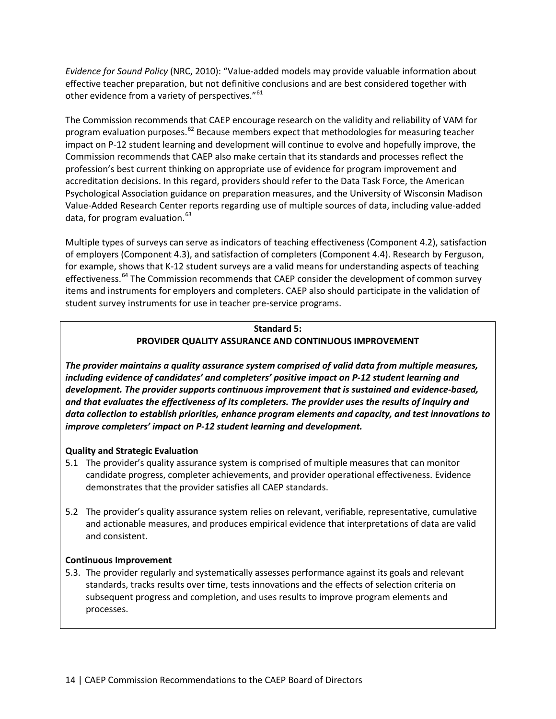*Evidence for Sound Policy* (NRC, 2010): "Value-added models may provide valuable information about effective teacher preparation, but not definitive conclusions and are best considered together with other evidence from a variety of perspectives."<sup>[61](#page-55-43)</sup>

The Commission recommends that CAEP encourage research on the validity and reliability of VAM for program evaluation purposes.<sup>[62](#page-55-44)</sup> Because members expect that methodologies for measuring teacher impact on P-12 student learning and development will continue to evolve and hopefully improve, the Commission recommends that CAEP also make certain that its standards and processes reflect the profession's best current thinking on appropriate use of evidence for program improvement and accreditation decisions. In this regard, providers should refer to the Data Task Force, the American Psychological Association guidance on preparation measures, and the University of Wisconsin Madison Value-Added Research Center reports regarding use of multiple sources of data, including value-added data, for program evaluation.<sup>[63](#page-55-45)</sup>

Multiple types of surveys can serve as indicators of teaching effectiveness (Component 4.2), satisfaction of employers (Component 4.3), and satisfaction of completers (Component 4.4). Research by Ferguson, for example, shows that K-12 student surveys are a valid means for understanding aspects of teaching effectiveness.<sup>[64](#page-55-46)</sup> The Commission recommends that CAEP consider the development of common survey items and instruments for employers and completers. CAEP also should participate in the validation of student survey instruments for use in teacher pre-service programs.

## **Standard 5: PROVIDER QUALITY ASSURANCE AND CONTINUOUS IMPROVEMENT**

*The provider maintains a quality assurance system comprised of valid data from multiple measures, including evidence of candidates' and completers' positive impact on P-12 student learning and development. The provider supports continuous improvement that is sustained and evidence-based, and that evaluates the effectiveness of its completers. The provider uses the results of inquiry and data collection to establish priorities, enhance program elements and capacity, and test innovations to improve completers' impact on P-12 student learning and development.*

## **Quality and Strategic Evaluation**

- 5.1 The provider's quality assurance system is comprised of multiple measures that can monitor candidate progress, completer achievements, and provider operational effectiveness. Evidence demonstrates that the provider satisfies all CAEP standards.
- 5.2 The provider's quality assurance system relies on relevant, verifiable, representative, cumulative and actionable measures, and produces empirical evidence that interpretations of data are valid and consistent.

## **Continuous Improvement**

5.3. The provider regularly and systematically assesses performance against its goals and relevant standards, tracks results over time, tests innovations and the effects of selection criteria on subsequent progress and completion, and uses results to improve program elements and processes.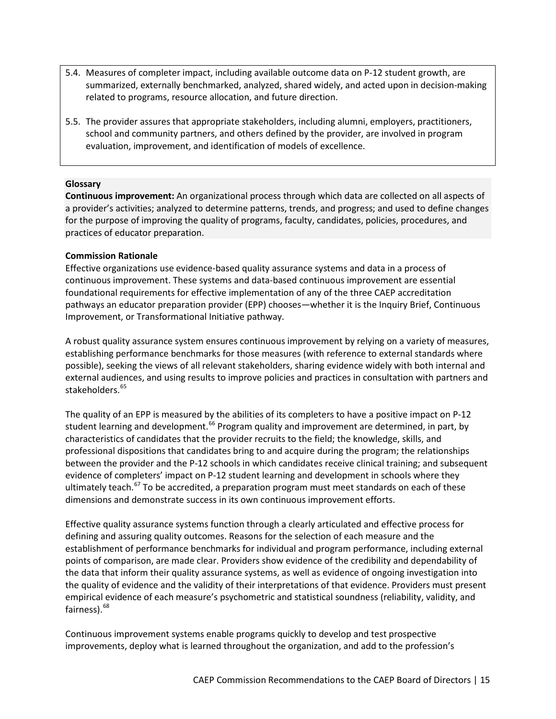- 5.4. Measures of completer impact, including available outcome data on P-12 student growth, are summarized, externally benchmarked, analyzed, shared widely, and acted upon in decision-making related to programs, resource allocation, and future direction.
- 5.5. The provider assures that appropriate stakeholders, including alumni, employers, practitioners, school and community partners, and others defined by the provider, are involved in program evaluation, improvement, and identification of models of excellence.

#### **Glossary**

**Continuous improvement:** An organizational process through which data are collected on all aspects of a provider's activities; analyzed to determine patterns, trends, and progress; and used to define changes for the purpose of improving the quality of programs, faculty, candidates, policies, procedures, and practices of educator preparation.

#### **Commission Rationale**

Effective organizations use evidence-based quality assurance systems and data in a process of continuous improvement. These systems and data-based continuous improvement are essential foundational requirements for effective implementation of any of the three CAEP accreditation pathways an educator preparation provider (EPP) chooses—whether it is the Inquiry Brief, Continuous Improvement, or Transformational Initiative pathway.

A robust quality assurance system ensures continuous improvement by relying on a variety of measures, establishing performance benchmarks for those measures (with reference to external standards where possible), seeking the views of all relevant stakeholders, sharing evidence widely with both internal and external audiences, and using results to improve policies and practices in consultation with partners and stakeholders.<sup>[65](#page-55-47)</sup>

The quality of an EPP is measured by the abilities of its completers to have a positive impact on P-12 student learning and development.<sup>[66](#page-55-7)</sup> Program quality and improvement are determined, in part, by characteristics of candidates that the provider recruits to the field; the knowledge, skills, and professional dispositions that candidates bring to and acquire during the program; the relationships between the provider and the P-12 schools in which candidates receive clinical training; and subsequent evidence of completers' impact on P-12 student learning and development in schools where they ultimately teach.<sup>[67](#page-55-9)</sup> To be accredited, a preparation program must meet standards on each of these dimensions and demonstrate success in its own continuous improvement efforts.

Effective quality assurance systems function through a clearly articulated and effective process for defining and assuring quality outcomes. Reasons for the selection of each measure and the establishment of performance benchmarks for individual and program performance, including external points of comparison, are made clear. Providers show evidence of the credibility and dependability of the data that inform their quality assurance systems, as well as evidence of ongoing investigation into the quality of evidence and the validity of their interpretations of that evidence. Providers must present empirical evidence of each measure's psychometric and statistical soundness (reliability, validity, and fairness). [68](#page-55-48)

Continuous improvement systems enable programs quickly to develop and test prospective improvements, deploy what is learned throughout the organization, and add to the profession's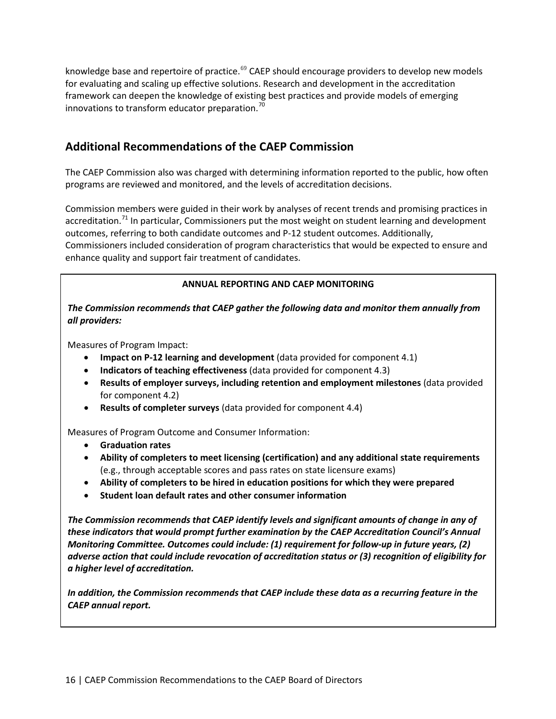knowledge base and repertoire of practice.<sup>[69](#page-55-49)</sup> CAEP should encourage providers to develop new models for evaluating and scaling up effective solutions. Research and development in the accreditation framework can deepen the knowledge of existing best practices and provide models of emerging innovations to transform educator preparation.<sup>[70](#page-55-50)</sup>

## **Additional Recommendations of the CAEP Commission**

The CAEP Commission also was charged with determining information reported to the public, how often programs are reviewed and monitored, and the levels of accreditation decisions.

Commission members were guided in their work by analyses of recent trends and promising practices in accreditation.<sup>[71](#page-55-13)</sup> In particular, Commissioners put the most weight on student learning and development outcomes, referring to both candidate outcomes and P-12 student outcomes. Additionally, Commissioners included consideration of program characteristics that would be expected to ensure and enhance quality and support fair treatment of candidates.

## **ANNUAL REPORTING AND CAEP MONITORING**

## *The Commission recommends that CAEP gather the following data and monitor them annually from all providers:*

Measures of Program Impact:

- **Impact on P-12 learning and development** (data provided for component 4.1)
- **Indicators of teaching effectiveness** (data provided for component 4.3)
- **Results of employer surveys, including retention and employment milestones** (data provided for component 4.2)
- **Results of completer surveys** (data provided for component 4.4)

Measures of Program Outcome and Consumer Information:

- **Graduation rates**
- **Ability of completers to meet licensing (certification) and any additional state requirements**  (e.g., through acceptable scores and pass rates on state licensure exams)
- **Ability of completers to be hired in education positions for which they were prepared**
- **Student loan default rates and other consumer information**

*The Commission recommends that CAEP identify levels and significant amounts of change in any of these indicators that would prompt further examination by the CAEP Accreditation Council's Annual Monitoring Committee. Outcomes could include: (1) requirement for follow-up in future years, (2) adverse action that could include revocation of accreditation status or (3) recognition of eligibility for a higher level of accreditation.*

*In addition, the Commission recommends that CAEP include these data as a recurring feature in the CAEP annual report.*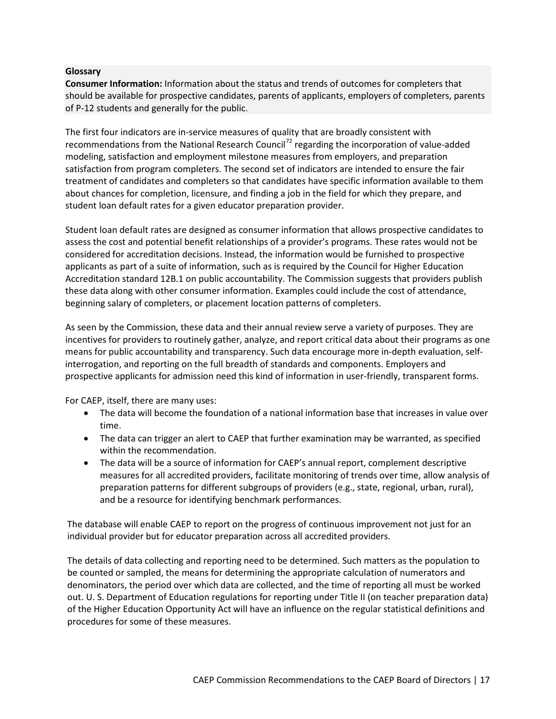## **Glossary**

**Consumer Information:** Information about the status and trends of outcomes for completers that should be available for prospective candidates, parents of applicants, employers of completers, parents of P-12 students and generally for the public.

The first four indicators are in-service measures of quality that are broadly consistent with recommendations from the National Research Council<sup>[72](#page-55-14)</sup> regarding the incorporation of value-added modeling, satisfaction and employment milestone measures from employers, and preparation satisfaction from program completers. The second set of indicators are intended to ensure the fair treatment of candidates and completers so that candidates have specific information available to them about chances for completion, licensure, and finding a job in the field for which they prepare, and student loan default rates for a given educator preparation provider.

Student loan default rates are designed as consumer information that allows prospective candidates to assess the cost and potential benefit relationships of a provider's programs. These rates would not be considered for accreditation decisions. Instead, the information would be furnished to prospective applicants as part of a suite of information, such as is required by the Council for Higher Education Accreditation standard 12B.1 on public accountability. The Commission suggests that providers publish these data along with other consumer information. Examples could include the cost of attendance, beginning salary of completers, or placement location patterns of completers.

As seen by the Commission, these data and their annual review serve a variety of purposes. They are incentives for providers to routinely gather, analyze, and report critical data about their programs as one means for public accountability and transparency. Such data encourage more in-depth evaluation, selfinterrogation, and reporting on the full breadth of standards and components. Employers and prospective applicants for admission need this kind of information in user-friendly, transparent forms.

For CAEP, itself, there are many uses:

- The data will become the foundation of a national information base that increases in value over time.
- The data can trigger an alert to CAEP that further examination may be warranted, as specified within the recommendation.
- The data will be a source of information for CAEP's annual report, complement descriptive measures for all accredited providers, facilitate monitoring of trends over time, allow analysis of preparation patterns for different subgroups of providers (e.g., state, regional, urban, rural), and be a resource for identifying benchmark performances.

The database will enable CAEP to report on the progress of continuous improvement not just for an individual provider but for educator preparation across all accredited providers.

The details of data collecting and reporting need to be determined. Such matters as the population to be counted or sampled, the means for determining the appropriate calculation of numerators and denominators, the period over which data are collected, and the time of reporting all must be worked out. U. S. Department of Education regulations for reporting under Title II (on teacher preparation data) of the Higher Education Opportunity Act will have an influence on the regular statistical definitions and procedures for some of these measures.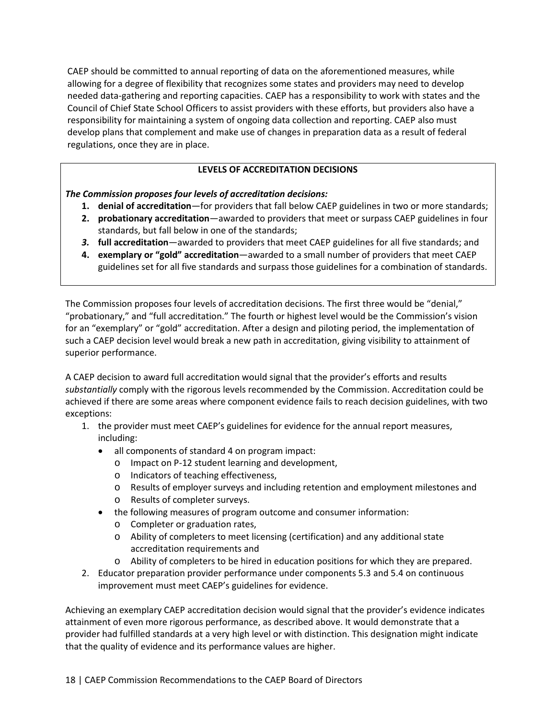CAEP should be committed to annual reporting of data on the aforementioned measures, while allowing for a degree of flexibility that recognizes some states and providers may need to develop needed data-gathering and reporting capacities. CAEP has a responsibility to work with states and the Council of Chief State School Officers to assist providers with these efforts, but providers also have a responsibility for maintaining a system of ongoing data collection and reporting. CAEP also must develop plans that complement and make use of changes in preparation data as a result of federal regulations, once they are in place.

## **LEVELS OF ACCREDITATION DECISIONS**

*The Commission proposes four levels of accreditation decisions:*

- **1. denial of accreditation**—for providers that fall below CAEP guidelines in two or more standards;
- **2. probationary accreditation**—awarded to providers that meet or surpass CAEP guidelines in four standards, but fall below in one of the standards;
- *3.* **full accreditation**—awarded to providers that meet CAEP guidelines for all five standards; and
- **4. exemplary or "gold" accreditation**—awarded to a small number of providers that meet CAEP guidelines set for all five standards and surpass those guidelines for a combination of standards.

The Commission proposes four levels of accreditation decisions. The first three would be "denial," "probationary," and "full accreditation." The fourth or highest level would be the Commission's vision for an "exemplary" or "gold" accreditation. After a design and piloting period, the implementation of such a CAEP decision level would break a new path in accreditation, giving visibility to attainment of superior performance.

A CAEP decision to award full accreditation would signal that the provider's efforts and results *substantially* comply with the rigorous levels recommended by the Commission. Accreditation could be achieved if there are some areas where component evidence fails to reach decision guidelines, with two exceptions:

- 1. the provider must meet CAEP's guidelines for evidence for the annual report measures, including:
	- all components of standard 4 on program impact:
		- o Impact on P-12 student learning and development,
		- o Indicators of teaching effectiveness,
		- o Results of employer surveys and including retention and employment milestones and
		- o Results of completer surveys.
	- the following measures of program outcome and consumer information:
		- o Completer or graduation rates,
		- o Ability of completers to meet licensing (certification) and any additional state accreditation requirements and
		- o Ability of completers to be hired in education positions for which they are prepared.
- 2. Educator preparation provider performance under components 5.3 and 5.4 on continuous improvement must meet CAEP's guidelines for evidence.

Achieving an exemplary CAEP accreditation decision would signal that the provider's evidence indicates attainment of even more rigorous performance, as described above. It would demonstrate that a provider had fulfilled standards at a very high level or with distinction. This designation might indicate that the quality of evidence and its performance values are higher.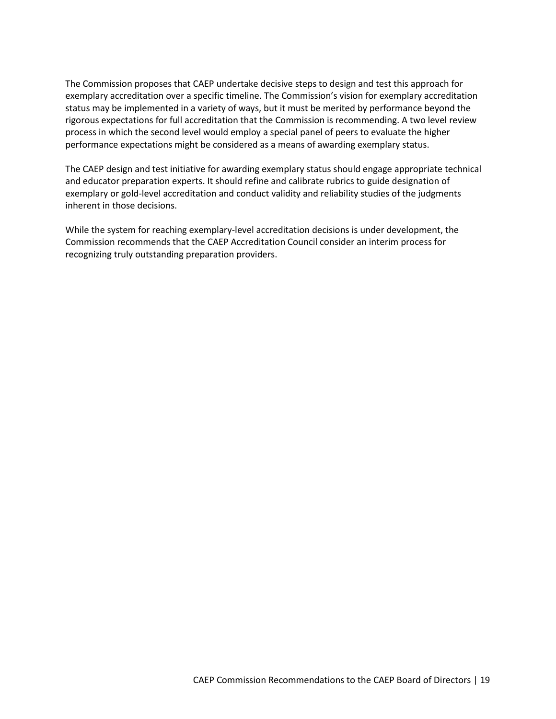The Commission proposes that CAEP undertake decisive steps to design and test this approach for exemplary accreditation over a specific timeline. The Commission's vision for exemplary accreditation status may be implemented in a variety of ways, but it must be merited by performance beyond the rigorous expectations for full accreditation that the Commission is recommending. A two level review process in which the second level would employ a special panel of peers to evaluate the higher performance expectations might be considered as a means of awarding exemplary status.

The CAEP design and test initiative for awarding exemplary status should engage appropriate technical and educator preparation experts. It should refine and calibrate rubrics to guide designation of exemplary or gold-level accreditation and conduct validity and reliability studies of the judgments inherent in those decisions.

While the system for reaching exemplary-level accreditation decisions is under development, the Commission recommends that the CAEP Accreditation Council consider an interim process for recognizing truly outstanding preparation providers.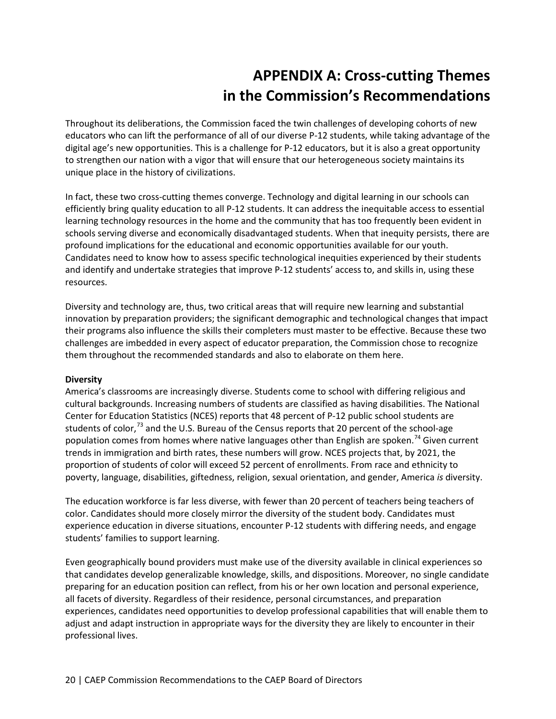## **APPENDIX A: Cross-cutting Themes in the Commission's Recommendations**

Throughout its deliberations, the Commission faced the twin challenges of developing cohorts of new educators who can lift the performance of all of our diverse P-12 students, while taking advantage of the digital age's new opportunities. This is a challenge for P-12 educators, but it is also a great opportunity to strengthen our nation with a vigor that will ensure that our heterogeneous society maintains its unique place in the history of civilizations.

In fact, these two cross-cutting themes converge. Technology and digital learning in our schools can efficiently bring quality education to all P-12 students. It can address the inequitable access to essential learning technology resources in the home and the community that has too frequently been evident in schools serving diverse and economically disadvantaged students. When that inequity persists, there are profound implications for the educational and economic opportunities available for our youth. Candidates need to know how to assess specific technological inequities experienced by their students and identify and undertake strategies that improve P-12 students' access to, and skills in, using these resources.

Diversity and technology are, thus, two critical areas that will require new learning and substantial innovation by preparation providers; the significant demographic and technological changes that impact their programs also influence the skills their completers must master to be effective. Because these two challenges are imbedded in every aspect of educator preparation, the Commission chose to recognize them throughout the recommended standards and also to elaborate on them here.

## **Diversity**

America's classrooms are increasingly diverse. Students come to school with differing religious and cultural backgrounds. Increasing numbers of students are classified as having disabilities. The National Center for Education Statistics (NCES) reports that 48 percent of P-12 public school students are students of color,<sup>[73](#page-55-51)</sup> and the U.S. Bureau of the Census reports that 20 percent of the school-age population comes from homes where native languages other than English are spoken.<sup>[74](#page-55-52)</sup> Given current trends in immigration and birth rates, these numbers will grow. NCES projects that, by 2021, the proportion of students of color will exceed 52 percent of enrollments. From race and ethnicity to poverty, language, disabilities, giftedness, religion, sexual orientation, and gender, America *is* diversity.

The education workforce is far less diverse, with fewer than 20 percent of teachers being teachers of color. Candidates should more closely mirror the diversity of the student body. Candidates must experience education in diverse situations, encounter P-12 students with differing needs, and engage students' families to support learning.

Even geographically bound providers must make use of the diversity available in clinical experiences so that candidates develop generalizable knowledge, skills, and dispositions. Moreover, no single candidate preparing for an education position can reflect, from his or her own location and personal experience, all facets of diversity. Regardless of their residence, personal circumstances, and preparation experiences, candidates need opportunities to develop professional capabilities that will enable them to adjust and adapt instruction in appropriate ways for the diversity they are likely to encounter in their professional lives.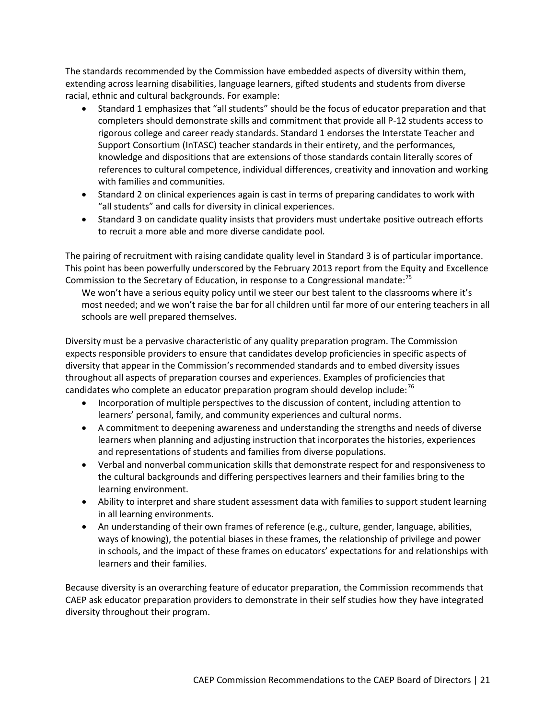The standards recommended by the Commission have embedded aspects of diversity within them, extending across learning disabilities, language learners, gifted students and students from diverse racial, ethnic and cultural backgrounds. For example:

- Standard 1 emphasizes that "all students" should be the focus of educator preparation and that completers should demonstrate skills and commitment that provide all P-12 students access to rigorous college and career ready standards. Standard 1 endorses the Interstate Teacher and Support Consortium (InTASC) teacher standards in their entirety, and the performances, knowledge and dispositions that are extensions of those standards contain literally scores of references to cultural competence, individual differences, creativity and innovation and working with families and communities.
- Standard 2 on clinical experiences again is cast in terms of preparing candidates to work with "all students" and calls for diversity in clinical experiences.
- Standard 3 on candidate quality insists that providers must undertake positive outreach efforts to recruit a more able and more diverse candidate pool.

The pairing of recruitment with raising candidate quality level in Standard 3 is of particular importance. This point has been powerfully underscored by the February 2013 report from the Equity and Excellence Commission to the Secretary of Education, in response to a Congressional mandate:<sup>[75](#page-55-53)</sup>

We won't have a serious equity policy until we steer our best talent to the classrooms where it's most needed; and we won't raise the bar for all children until far more of our entering teachers in all schools are well prepared themselves.

Diversity must be a pervasive characteristic of any quality preparation program. The Commission expects responsible providers to ensure that candidates develop proficiencies in specific aspects of diversity that appear in the Commission's recommended standards and to embed diversity issues throughout all aspects of preparation courses and experiences. Examples of proficiencies that candidates who complete an educator preparation program should develop include: $76$ 

- Incorporation of multiple perspectives to the discussion of content, including attention to learners' personal, family, and community experiences and cultural norms.
- A commitment to deepening awareness and understanding the strengths and needs of diverse learners when planning and adjusting instruction that incorporates the histories, experiences and representations of students and families from diverse populations.
- Verbal and nonverbal communication skills that demonstrate respect for and responsiveness to the cultural backgrounds and differing perspectives learners and their families bring to the learning environment.
- Ability to interpret and share student assessment data with families to support student learning in all learning environments.
- An understanding of their own frames of reference (e.g., culture, gender, language, abilities, ways of knowing), the potential biases in these frames, the relationship of privilege and power in schools, and the impact of these frames on educators' expectations for and relationships with learners and their families.

Because diversity is an overarching feature of educator preparation, the Commission recommends that CAEP ask educator preparation providers to demonstrate in their self studies how they have integrated diversity throughout their program.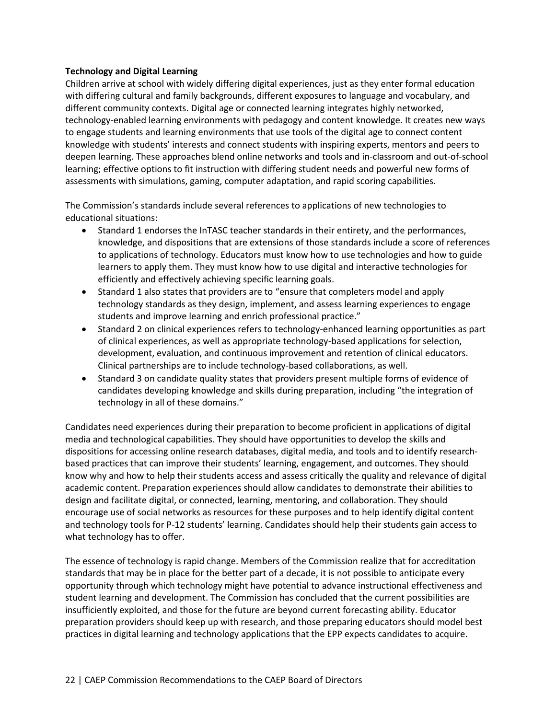## **Technology and Digital Learning**

Children arrive at school with widely differing digital experiences, just as they enter formal education with differing cultural and family backgrounds, different exposures to language and vocabulary, and different community contexts. Digital age or connected learning integrates highly networked, technology-enabled learning environments with pedagogy and content knowledge. It creates new ways to engage students and learning environments that use tools of the digital age to connect content knowledge with students' interests and connect students with inspiring experts, mentors and peers to deepen learning. These approaches blend online networks and tools and in-classroom and out-of-school learning; effective options to fit instruction with differing student needs and powerful new forms of assessments with simulations, gaming, computer adaptation, and rapid scoring capabilities.

The Commission's standards include several references to applications of new technologies to educational situations:

- Standard 1 endorses the InTASC teacher standards in their entirety, and the performances, knowledge, and dispositions that are extensions of those standards include a score of references to applications of technology. Educators must know how to use technologies and how to guide learners to apply them. They must know how to use digital and interactive technologies for efficiently and effectively achieving specific learning goals.
- Standard 1 also states that providers are to "ensure that completers model and apply technology standards as they design, implement, and assess learning experiences to engage students and improve learning and enrich professional practice."
- Standard 2 on clinical experiences refers to technology-enhanced learning opportunities as part of clinical experiences, as well as appropriate technology-based applications for selection, development, evaluation, and continuous improvement and retention of clinical educators. Clinical partnerships are to include technology-based collaborations, as well.
- Standard 3 on candidate quality states that providers present multiple forms of evidence of candidates developing knowledge and skills during preparation, including "the integration of technology in all of these domains."

Candidates need experiences during their preparation to become proficient in applications of digital media and technological capabilities. They should have opportunities to develop the skills and dispositions for accessing online research databases, digital media, and tools and to identify researchbased practices that can improve their students' learning, engagement, and outcomes. They should know why and how to help their students access and assess critically the quality and relevance of digital academic content. Preparation experiences should allow candidates to demonstrate their abilities to design and facilitate digital, or connected, learning, mentoring, and collaboration. They should encourage use of social networks as resources for these purposes and to help identify digital content and technology tools for P-12 students' learning. Candidates should help their students gain access to what technology has to offer.

The essence of technology is rapid change. Members of the Commission realize that for accreditation standards that may be in place for the better part of a decade, it is not possible to anticipate every opportunity through which technology might have potential to advance instructional effectiveness and student learning and development. The Commission has concluded that the current possibilities are insufficiently exploited, and those for the future are beyond current forecasting ability. Educator preparation providers should keep up with research, and those preparing educators should model best practices in digital learning and technology applications that the EPP expects candidates to acquire.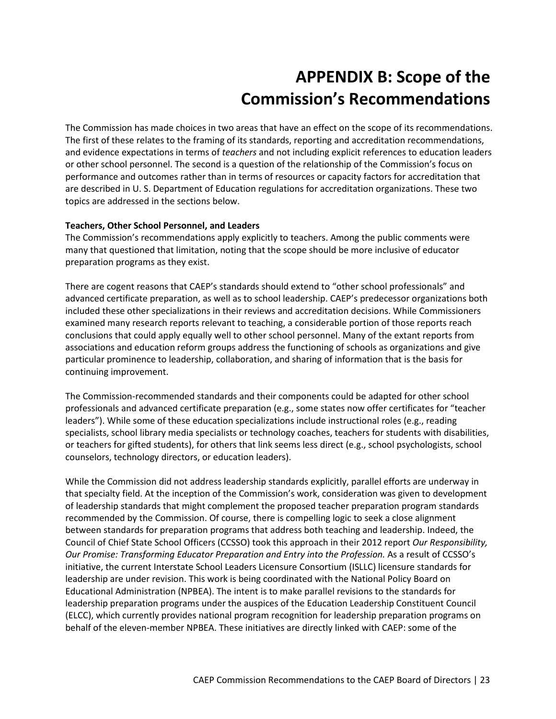# **APPENDIX B: Scope of the Commission's Recommendations**

The Commission has made choices in two areas that have an effect on the scope of its recommendations. The first of these relates to the framing of its standards, reporting and accreditation recommendations, and evidence expectations in terms of *teachers* and not including explicit references to education leaders or other school personnel. The second is a question of the relationship of the Commission's focus on performance and outcomes rather than in terms of resources or capacity factors for accreditation that are described in U. S. Department of Education regulations for accreditation organizations. These two topics are addressed in the sections below.

## **Teachers, Other School Personnel, and Leaders**

The Commission's recommendations apply explicitly to teachers. Among the public comments were many that questioned that limitation, noting that the scope should be more inclusive of educator preparation programs as they exist.

There are cogent reasons that CAEP's standards should extend to "other school professionals" and advanced certificate preparation, as well as to school leadership. CAEP's predecessor organizations both included these other specializations in their reviews and accreditation decisions. While Commissioners examined many research reports relevant to teaching, a considerable portion of those reports reach conclusions that could apply equally well to other school personnel. Many of the extant reports from associations and education reform groups address the functioning of schools as organizations and give particular prominence to leadership, collaboration, and sharing of information that is the basis for continuing improvement.

The Commission-recommended standards and their components could be adapted for other school professionals and advanced certificate preparation (e.g., some states now offer certificates for "teacher leaders"). While some of these education specializations include instructional roles (e.g., reading specialists, school library media specialists or technology coaches, teachers for students with disabilities, or teachers for gifted students), for others that link seems less direct (e.g., school psychologists, school counselors, technology directors, or education leaders).

While the Commission did not address leadership standards explicitly, parallel efforts are underway in that specialty field. At the inception of the Commission's work, consideration was given to development of leadership standards that might complement the proposed teacher preparation program standards recommended by the Commission. Of course, there is compelling logic to seek a close alignment between standards for preparation programs that address both teaching and leadership. Indeed, the Council of Chief State School Officers (CCSSO) took this approach in their 2012 report *Our Responsibility, Our Promise: Transforming Educator Preparation and Entry into the Profession.* As a result of CCSSO's initiative, the current Interstate School Leaders Licensure Consortium (ISLLC) licensure standards for leadership are under revision. This work is being coordinated with the National Policy Board on Educational Administration (NPBEA). The intent is to make parallel revisions to the standards for leadership preparation programs under the auspices of the Education Leadership Constituent Council (ELCC), which currently provides national program recognition for leadership preparation programs on behalf of the eleven-member NPBEA. These initiatives are directly linked with CAEP: some of the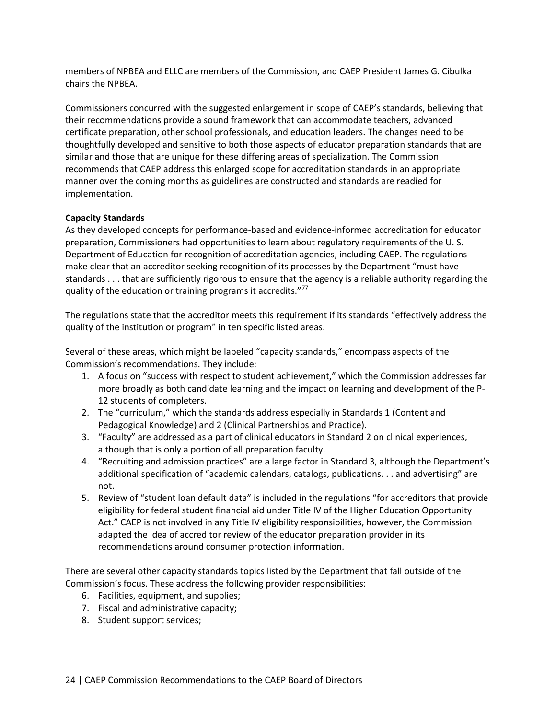members of NPBEA and ELLC are members of the Commission, and CAEP President James G. Cibulka chairs the NPBEA.

Commissioners concurred with the suggested enlargement in scope of CAEP's standards, believing that their recommendations provide a sound framework that can accommodate teachers, advanced certificate preparation, other school professionals, and education leaders. The changes need to be thoughtfully developed and sensitive to both those aspects of educator preparation standards that are similar and those that are unique for these differing areas of specialization. The Commission recommends that CAEP address this enlarged scope for accreditation standards in an appropriate manner over the coming months as guidelines are constructed and standards are readied for implementation.

## **Capacity Standards**

As they developed concepts for performance-based and evidence-informed accreditation for educator preparation, Commissioners had opportunities to learn about regulatory requirements of the U. S. Department of Education for recognition of accreditation agencies, including CAEP. The regulations make clear that an accreditor seeking recognition of its processes by the Department "must have standards . . . that are sufficiently rigorous to ensure that the agency is a reliable authority regarding the quality of the education or training programs it accredits."<sup>[77](#page-55-55)</sup>

The regulations state that the accreditor meets this requirement if its standards "effectively address the quality of the institution or program" in ten specific listed areas.

Several of these areas, which might be labeled "capacity standards," encompass aspects of the Commission's recommendations. They include:

- 1. A focus on "success with respect to student achievement," which the Commission addresses far more broadly as both candidate learning and the impact on learning and development of the P-12 students of completers.
- 2. The "curriculum," which the standards address especially in Standards 1 (Content and Pedagogical Knowledge) and 2 (Clinical Partnerships and Practice).
- 3. "Faculty" are addressed as a part of clinical educators in Standard 2 on clinical experiences, although that is only a portion of all preparation faculty.
- 4. "Recruiting and admission practices" are a large factor in Standard 3, although the Department's additional specification of "academic calendars, catalogs, publications. . . and advertising" are not.
- 5. Review of "student loan default data" is included in the regulations "for accreditors that provide eligibility for federal student financial aid under Title IV of the Higher Education Opportunity Act." CAEP is not involved in any Title IV eligibility responsibilities, however, the Commission adapted the idea of accreditor review of the educator preparation provider in its recommendations around consumer protection information.

There are several other capacity standards topics listed by the Department that fall outside of the Commission's focus. These address the following provider responsibilities:

- 6. Facilities, equipment, and supplies;
- 7. Fiscal and administrative capacity;
- 8. Student support services;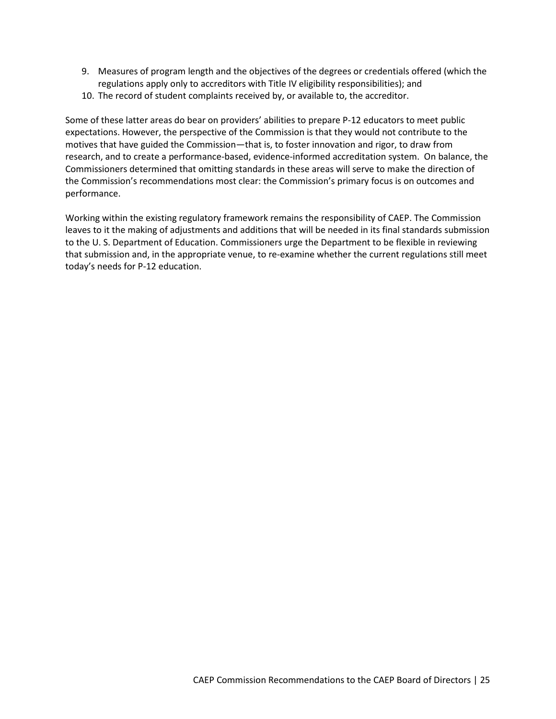- 9. Measures of program length and the objectives of the degrees or credentials offered (which the regulations apply only to accreditors with Title IV eligibility responsibilities); and
- 10. The record of student complaints received by, or available to, the accreditor.

Some of these latter areas do bear on providers' abilities to prepare P-12 educators to meet public expectations. However, the perspective of the Commission is that they would not contribute to the motives that have guided the Commission—that is, to foster innovation and rigor, to draw from research, and to create a performance-based, evidence-informed accreditation system. On balance, the Commissioners determined that omitting standards in these areas will serve to make the direction of the Commission's recommendations most clear: the Commission's primary focus is on outcomes and performance.

Working within the existing regulatory framework remains the responsibility of CAEP. The Commission leaves to it the making of adjustments and additions that will be needed in its final standards submission to the U. S. Department of Education. Commissioners urge the Department to be flexible in reviewing that submission and, in the appropriate venue, to re-examine whether the current regulations still meet today's needs for P-12 education.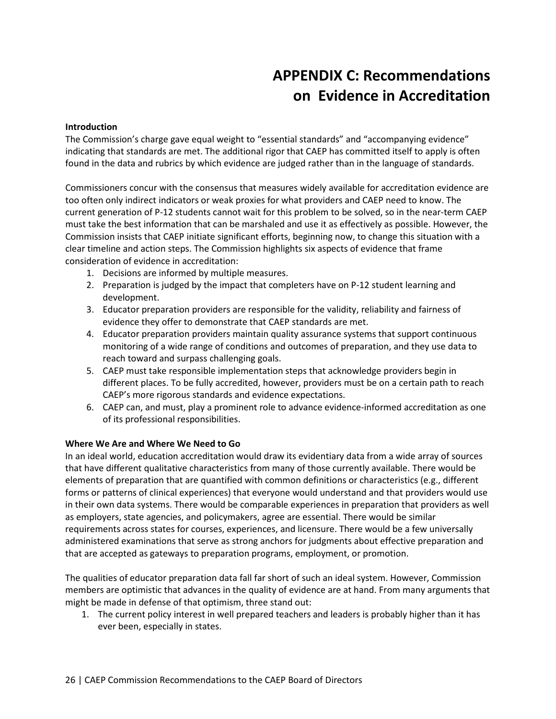## **APPENDIX C: Recommendations on Evidence in Accreditation**

## **Introduction**

The Commission's charge gave equal weight to "essential standards" and "accompanying evidence" indicating that standards are met. The additional rigor that CAEP has committed itself to apply is often found in the data and rubrics by which evidence are judged rather than in the language of standards.

Commissioners concur with the consensus that measures widely available for accreditation evidence are too often only indirect indicators or weak proxies for what providers and CAEP need to know. The current generation of P-12 students cannot wait for this problem to be solved, so in the near-term CAEP must take the best information that can be marshaled and use it as effectively as possible. However, the Commission insists that CAEP initiate significant efforts, beginning now, to change this situation with a clear timeline and action steps. The Commission highlights six aspects of evidence that frame consideration of evidence in accreditation:

- 1. Decisions are informed by multiple measures.
- 2. Preparation is judged by the impact that completers have on P-12 student learning and development.
- 3. Educator preparation providers are responsible for the validity, reliability and fairness of evidence they offer to demonstrate that CAEP standards are met.
- 4. Educator preparation providers maintain quality assurance systems that support continuous monitoring of a wide range of conditions and outcomes of preparation, and they use data to reach toward and surpass challenging goals.
- 5. CAEP must take responsible implementation steps that acknowledge providers begin in different places. To be fully accredited, however, providers must be on a certain path to reach CAEP's more rigorous standards and evidence expectations.
- 6. CAEP can, and must, play a prominent role to advance evidence-informed accreditation as one of its professional responsibilities.

## **Where We Are and Where We Need to Go**

In an ideal world, education accreditation would draw its evidentiary data from a wide array of sources that have different qualitative characteristics from many of those currently available. There would be elements of preparation that are quantified with common definitions or characteristics (e.g., different forms or patterns of clinical experiences) that everyone would understand and that providers would use in their own data systems. There would be comparable experiences in preparation that providers as well as employers, state agencies, and policymakers, agree are essential. There would be similar requirements across states for courses, experiences, and licensure. There would be a few universally administered examinations that serve as strong anchors for judgments about effective preparation and that are accepted as gateways to preparation programs, employment, or promotion.

The qualities of educator preparation data fall far short of such an ideal system. However, Commission members are optimistic that advances in the quality of evidence are at hand. From many arguments that might be made in defense of that optimism, three stand out:

1. The current policy interest in well prepared teachers and leaders is probably higher than it has ever been, especially in states.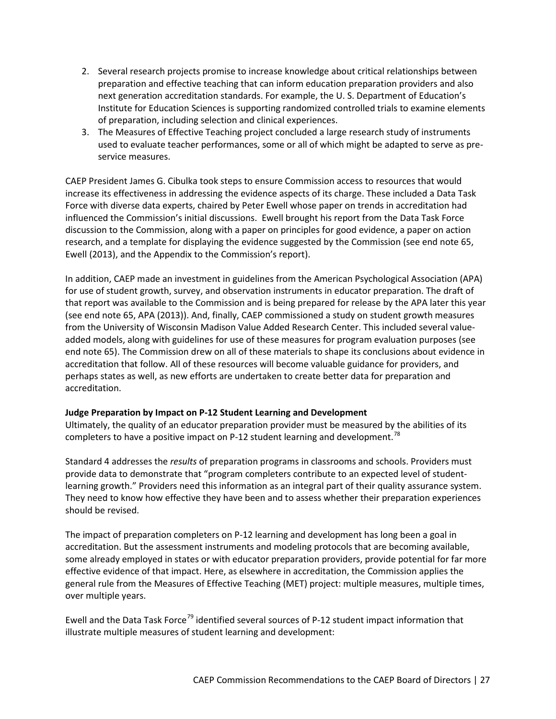- 2. Several research projects promise to increase knowledge about critical relationships between preparation and effective teaching that can inform education preparation providers and also next generation accreditation standards. For example, the U. S. Department of Education's Institute for Education Sciences is supporting randomized controlled trials to examine elements of preparation, including selection and clinical experiences.
- 3. The Measures of Effective Teaching project concluded a large research study of instruments used to evaluate teacher performances, some or all of which might be adapted to serve as preservice measures.

CAEP President James G. Cibulka took steps to ensure Commission access to resources that would increase its effectiveness in addressing the evidence aspects of its charge. These included a Data Task Force with diverse data experts, chaired by Peter Ewell whose paper on trends in accreditation had influenced the Commission's initial discussions. Ewell brought his report from the Data Task Force discussion to the Commission, along with a paper on principles for good evidence, a paper on action research, and a template for displaying the evidence suggested by the Commission (see end note 65, Ewell (2013), and the Appendix to the Commission's report).

In addition, CAEP made an investment in guidelines from the American Psychological Association (APA) for use of student growth, survey, and observation instruments in educator preparation. The draft of that report was available to the Commission and is being prepared for release by the APA later this year (see end note 65, APA (2013)). And, finally, CAEP commissioned a study on student growth measures from the University of Wisconsin Madison Value Added Research Center. This included several valueadded models, along with guidelines for use of these measures for program evaluation purposes (see end note 65). The Commission drew on all of these materials to shape its conclusions about evidence in accreditation that follow. All of these resources will become valuable guidance for providers, and perhaps states as well, as new efforts are undertaken to create better data for preparation and accreditation.

## **Judge Preparation by Impact on P-12 Student Learning and Development**

Ultimately, the quality of an educator preparation provider must be measured by the abilities of its completers to have a positive impact on P-12 student learning and development.<sup>[78](#page-55-17)</sup>

Standard 4 addresses the *results* of preparation programs in classrooms and schools. Providers must provide data to demonstrate that "program completers contribute to an expected level of studentlearning growth." Providers need this information as an integral part of their quality assurance system. They need to know how effective they have been and to assess whether their preparation experiences should be revised.

The impact of preparation completers on P-12 learning and development has long been a goal in accreditation. But the assessment instruments and modeling protocols that are becoming available, some already employed in states or with educator preparation providers, provide potential for far more effective evidence of that impact. Here, as elsewhere in accreditation, the Commission applies the general rule from the Measures of Effective Teaching (MET) project: multiple measures, multiple times, over multiple years.

Ewell and the Data Task Force<sup>[79](#page-55-43)</sup> identified several sources of P-12 student impact information that illustrate multiple measures of student learning and development: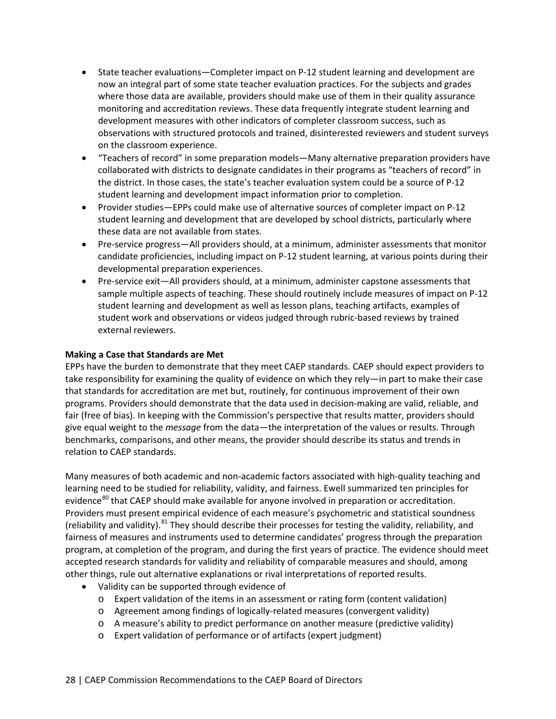- State teacher evaluations—Completer impact on P-12 student learning and development are now an integral part of some state teacher evaluation practices. For the subjects and grades where those data are available, providers should make use of them in their quality assurance monitoring and accreditation reviews. These data frequently integrate student learning and development measures with other indicators of completer classroom success, such as observations with structured protocols and trained, disinterested reviewers and student surveys on the classroom experience.
- "Teachers of record" in some preparation models—Many alternative preparation providers have collaborated with districts to designate candidates in their programs as "teachers of record" in the district. In those cases, the state's teacher evaluation system could be a source of P-12 student learning and development impact information prior to completion.
- Provider studies—EPPs could make use of alternative sources of completer impact on P-12 student learning and development that are developed by school districts, particularly where these data are not available from states.
- Pre-service progress—All providers should, at a minimum, administer assessments that monitor candidate proficiencies, including impact on P-12 student learning, at various points during their developmental preparation experiences.
- Pre-service exit—All providers should, at a minimum, administer capstone assessments that sample multiple aspects of teaching. These should routinely include measures of impact on P-12 student learning and development as well as lesson plans, teaching artifacts, examples of student work and observations or videos judged through rubric-based reviews by trained external reviewers.

## **Making a Case that Standards are Met**

EPPs have the burden to demonstrate that they meet CAEP standards. CAEP should expect providers to take responsibility for examining the quality of evidence on which they rely—in part to make their case that standards for accreditation are met but, routinely, for continuous improvement of their own programs. Providers should demonstrate that the data used in decision-making are valid, reliable, and fair (free of bias). In keeping with the Commission's perspective that results matter, providers should give equal weight to the *message* from the data—the interpretation of the values or results. Through benchmarks, comparisons, and other means, the provider should describe its status and trends in relation to CAEP standards.

Many measures of both academic and non-academic factors associated with high-quality teaching and learning need to be studied for reliability, validity, and fairness. Ewell summarized ten principles for evidence<sup>[80](#page-55-45)</sup> that CAEP should make available for anyone involved in preparation or accreditation. Providers must present empirical evidence of each measure's psychometric and statistical soundness (reliability and validity). <sup>[81](#page-55-56)</sup> They should describe their processes for testing the validity, reliability, and fairness of measures and instruments used to determine candidates' progress through the preparation program, at completion of the program, and during the first years of practice. The evidence should meet accepted research standards for validity and reliability of comparable measures and should, among other things, rule out alternative explanations or rival interpretations of reported results.

- Validity can be supported through evidence of
	- o Expert validation of the items in an assessment or rating form (content validation)
	- o Agreement among findings of logically-related measures (convergent validity)
	- o A measure's ability to predict performance on another measure (predictive validity)
	- o Expert validation of performance or of artifacts (expert judgment)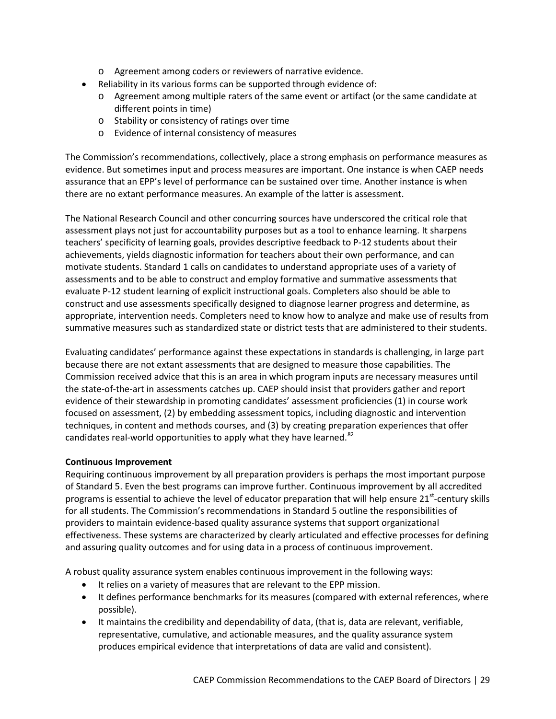- o Agreement among coders or reviewers of narrative evidence.
- Reliability in its various forms can be supported through evidence of:
	- o Agreement among multiple raters of the same event or artifact (or the same candidate at different points in time)
	- o Stability or consistency of ratings over time
	- o Evidence of internal consistency of measures

The Commission's recommendations, collectively, place a strong emphasis on performance measures as evidence. But sometimes input and process measures are important. One instance is when CAEP needs assurance that an EPP's level of performance can be sustained over time. Another instance is when there are no extant performance measures. An example of the latter is assessment.

The National Research Council and other concurring sources have underscored the critical role that assessment plays not just for accountability purposes but as a tool to enhance learning. It sharpens teachers' specificity of learning goals, provides descriptive feedback to P-12 students about their achievements, yields diagnostic information for teachers about their own performance, and can motivate students. Standard 1 calls on candidates to understand appropriate uses of a variety of assessments and to be able to construct and employ formative and summative assessments that evaluate P-12 student learning of explicit instructional goals. Completers also should be able to construct and use assessments specifically designed to diagnose learner progress and determine, as appropriate, intervention needs. Completers need to know how to analyze and make use of results from summative measures such as standardized state or district tests that are administered to their students.

Evaluating candidates' performance against these expectations in standards is challenging, in large part because there are not extant assessments that are designed to measure those capabilities. The Commission received advice that this is an area in which program inputs are necessary measures until the state-of-the-art in assessments catches up. CAEP should insist that providers gather and report evidence of their stewardship in promoting candidates' assessment proficiencies (1) in course work focused on assessment, (2) by embedding assessment topics, including diagnostic and intervention techniques, in content and methods courses, and (3) by creating preparation experiences that offer candidates real-world opportunities to apply what they have learned.<sup>[82](#page-55-57)</sup>

## **Continuous Improvement**

Requiring continuous improvement by all preparation providers is perhaps the most important purpose of Standard 5. Even the best programs can improve further. Continuous improvement by all accredited programs is essential to achieve the level of educator preparation that will help ensure 21<sup>st</sup>-century skills for all students. The Commission's recommendations in Standard 5 outline the responsibilities of providers to maintain evidence-based quality assurance systems that support organizational effectiveness. These systems are characterized by clearly articulated and effective processes for defining and assuring quality outcomes and for using data in a process of continuous improvement.

A robust quality assurance system enables continuous improvement in the following ways:

- It relies on a variety of measures that are relevant to the EPP mission.
- It defines performance benchmarks for its measures (compared with external references, where possible).
- It maintains the credibility and dependability of data, (that is, data are relevant, verifiable, representative, cumulative, and actionable measures, and the quality assurance system produces empirical evidence that interpretations of data are valid and consistent).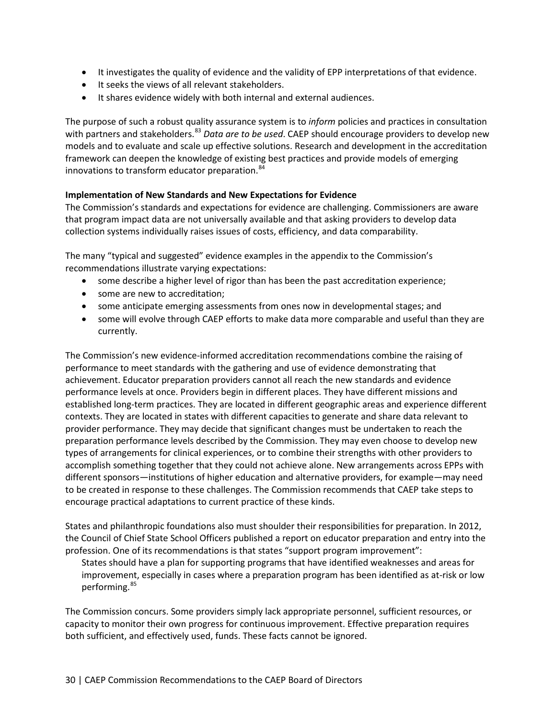- It investigates the quality of evidence and the validity of EPP interpretations of that evidence.
- It seeks the views of all relevant stakeholders.
- It shares evidence widely with both internal and external audiences.

The purpose of such a robust quality assurance system is to *inform* policies and practices in consultation with partners and stakeholders.<sup>[83](#page-55-46)</sup> Data are to be used. CAEP should encourage providers to develop new models and to evaluate and scale up effective solutions. Research and development in the accreditation framework can deepen the knowledge of existing best practices and provide models of emerging innovations to transform educator preparation.<sup>[84](#page-55-58)</sup>

## **Implementation of New Standards and New Expectations for Evidence**

The Commission's standards and expectations for evidence are challenging. Commissioners are aware that program impact data are not universally available and that asking providers to develop data collection systems individually raises issues of costs, efficiency, and data comparability.

The many "typical and suggested" evidence examples in the appendix to the Commission's recommendations illustrate varying expectations:

- some describe a higher level of rigor than has been the past accreditation experience;
- some are new to accreditation;
- some anticipate emerging assessments from ones now in developmental stages; and
- some will evolve through CAEP efforts to make data more comparable and useful than they are currently.

The Commission's new evidence-informed accreditation recommendations combine the raising of performance to meet standards with the gathering and use of evidence demonstrating that achievement. Educator preparation providers cannot all reach the new standards and evidence performance levels at once. Providers begin in different places. They have different missions and established long-term practices. They are located in different geographic areas and experience different contexts. They are located in states with different capacities to generate and share data relevant to provider performance. They may decide that significant changes must be undertaken to reach the preparation performance levels described by the Commission. They may even choose to develop new types of arrangements for clinical experiences, or to combine their strengths with other providers to accomplish something together that they could not achieve alone. New arrangements across EPPs with different sponsors—institutions of higher education and alternative providers, for example—may need to be created in response to these challenges. The Commission recommends that CAEP take steps to encourage practical adaptations to current practice of these kinds.

States and philanthropic foundations also must shoulder their responsibilities for preparation. In 2012, the Council of Chief State School Officers published a report on educator preparation and entry into the profession. One of its recommendations is that states "support program improvement":

States should have a plan for supporting programs that have identified weaknesses and areas for improvement, especially in cases where a preparation program has been identified as at-risk or low performing.<sup>[85](#page-55-59)</sup>

The Commission concurs. Some providers simply lack appropriate personnel, sufficient resources, or capacity to monitor their own progress for continuous improvement. Effective preparation requires both sufficient, and effectively used, funds. These facts cannot be ignored.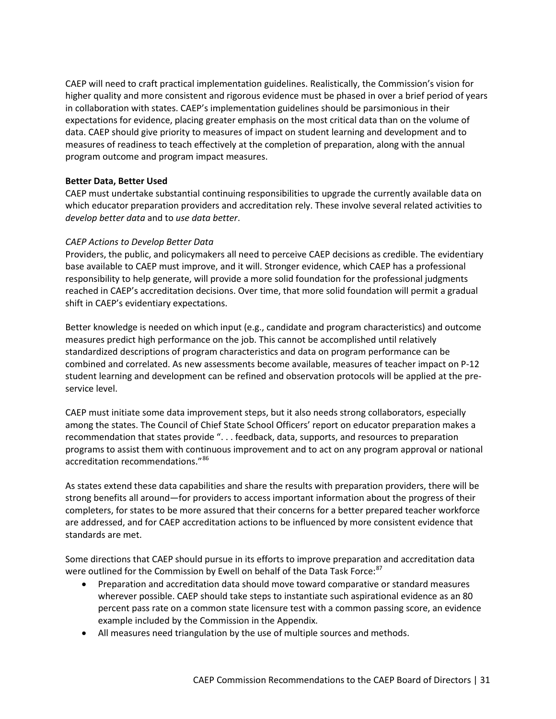CAEP will need to craft practical implementation guidelines. Realistically, the Commission's vision for higher quality and more consistent and rigorous evidence must be phased in over a brief period of years in collaboration with states. CAEP's implementation guidelines should be parsimonious in their expectations for evidence, placing greater emphasis on the most critical data than on the volume of data. CAEP should give priority to measures of impact on student learning and development and to measures of readiness to teach effectively at the completion of preparation, along with the annual program outcome and program impact measures.

#### **Better Data, Better Used**

CAEP must undertake substantial continuing responsibilities to upgrade the currently available data on which educator preparation providers and accreditation rely. These involve several related activities to *develop better data* and to *use data better*.

#### *CAEP Actions to Develop Better Data*

Providers, the public, and policymakers all need to perceive CAEP decisions as credible. The evidentiary base available to CAEP must improve, and it will. Stronger evidence, which CAEP has a professional responsibility to help generate, will provide a more solid foundation for the professional judgments reached in CAEP's accreditation decisions. Over time, that more solid foundation will permit a gradual shift in CAEP's evidentiary expectations.

Better knowledge is needed on which input (e.g., candidate and program characteristics) and outcome measures predict high performance on the job. This cannot be accomplished until relatively standardized descriptions of program characteristics and data on program performance can be combined and correlated. As new assessments become available, measures of teacher impact on P-12 student learning and development can be refined and observation protocols will be applied at the preservice level.

CAEP must initiate some data improvement steps, but it also needs strong collaborators, especially among the states. The Council of Chief State School Officers' report on educator preparation makes a recommendation that states provide ". . . feedback, data, supports, and resources to preparation programs to assist them with continuous improvement and to act on any program approval or national accreditation recommendations."[86](#page-55-60)

As states extend these data capabilities and share the results with preparation providers, there will be strong benefits all around—for providers to access important information about the progress of their completers, for states to be more assured that their concerns for a better prepared teacher workforce are addressed, and for CAEP accreditation actions to be influenced by more consistent evidence that standards are met.

Some directions that CAEP should pursue in its efforts to improve preparation and accreditation data were outlined for the Commission by Ewell on behalf of the Data Task Force:<sup>[87](#page-55-26)</sup>

- Preparation and accreditation data should move toward comparative or standard measures wherever possible. CAEP should take steps to instantiate such aspirational evidence as an 80 percent pass rate on a common state licensure test with a common passing score, an evidence example included by the Commission in the Appendix.
- All measures need triangulation by the use of multiple sources and methods.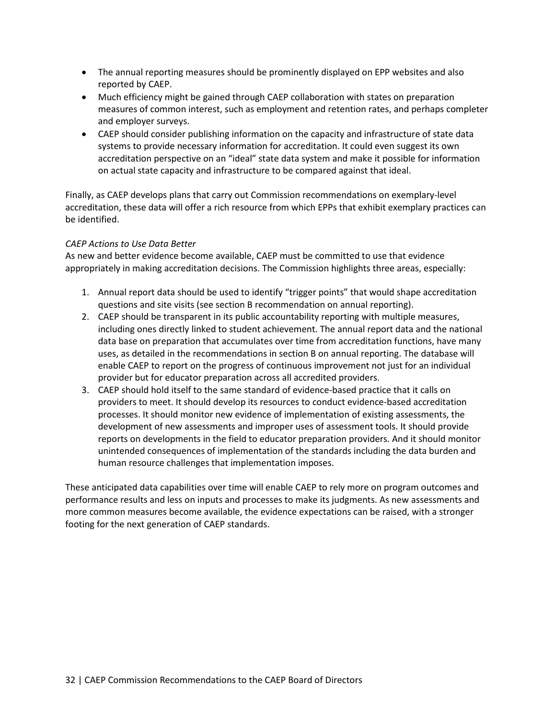- The annual reporting measures should be prominently displayed on EPP websites and also reported by CAEP.
- Much efficiency might be gained through CAEP collaboration with states on preparation measures of common interest, such as employment and retention rates, and perhaps completer and employer surveys.
- CAEP should consider publishing information on the capacity and infrastructure of state data systems to provide necessary information for accreditation. It could even suggest its own accreditation perspective on an "ideal" state data system and make it possible for information on actual state capacity and infrastructure to be compared against that ideal.

Finally, as CAEP develops plans that carry out Commission recommendations on exemplary-level accreditation, these data will offer a rich resource from which EPPs that exhibit exemplary practices can be identified.

## *CAEP Actions to Use Data Better*

As new and better evidence become available, CAEP must be committed to use that evidence appropriately in making accreditation decisions. The Commission highlights three areas, especially:

- 1. Annual report data should be used to identify "trigger points" that would shape accreditation questions and site visits (see section B recommendation on annual reporting).
- 2. CAEP should be transparent in its public accountability reporting with multiple measures, including ones directly linked to student achievement. The annual report data and the national data base on preparation that accumulates over time from accreditation functions, have many uses, as detailed in the recommendations in section B on annual reporting. The database will enable CAEP to report on the progress of continuous improvement not just for an individual provider but for educator preparation across all accredited providers.
- 3. CAEP should hold itself to the same standard of evidence-based practice that it calls on providers to meet. It should develop its resources to conduct evidence-based accreditation processes. It should monitor new evidence of implementation of existing assessments, the development of new assessments and improper uses of assessment tools. It should provide reports on developments in the field to educator preparation providers. And it should monitor unintended consequences of implementation of the standards including the data burden and human resource challenges that implementation imposes.

These anticipated data capabilities over time will enable CAEP to rely more on program outcomes and performance results and less on inputs and processes to make its judgments. As new assessments and more common measures become available, the evidence expectations can be raised, with a stronger footing for the next generation of CAEP standards.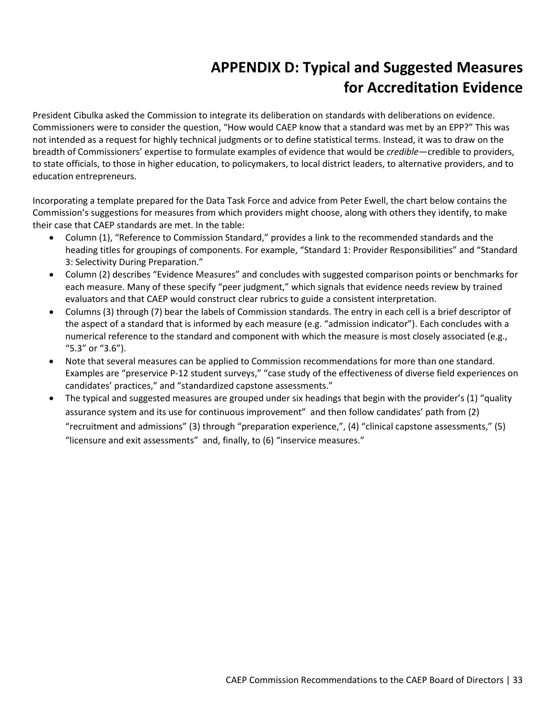## **APPENDIX D: Typical and Suggested Measures for Accreditation Evidence**

President Cibulka asked the Commission to integrate its deliberation on standards with deliberations on evidence. Commissioners were to consider the question, "How would CAEP know that a standard was met by an EPP?" This was not intended as a request for highly technical judgments or to define statistical terms. Instead, it was to draw on the breadth of Commissioners' expertise to formulate examples of evidence that would be *credible*—credible to providers, to state officials, to those in higher education, to policymakers, to local district leaders, to alternative providers, and to education entrepreneurs.

Incorporating a template prepared for the Data Task Force and advice from Peter Ewell, the chart below contains the Commission's suggestions for measures from which providers might choose, along with others they identify, to make their case that CAEP standards are met. In the table:

- Column (1), "Reference to Commission Standard," provides a link to the recommended standards and the heading titles for groupings of components. For example, "Standard 1: Provider Responsibilities" and "Standard 3: Selectivity During Preparation."
- Column (2) describes "Evidence Measures" and concludes with suggested comparison points or benchmarks for each measure. Many of these specify "peer judgment," which signals that evidence needs review by trained evaluators and that CAEP would construct clear rubrics to guide a consistent interpretation.
- Columns (3) through (7) bear the labels of Commission standards. The entry in each cell is a brief descriptor of the aspect of a standard that is informed by each measure (e.g. "admission indicator"). Each concludes with a numerical reference to the standard and component with which the measure is most closely associated (e.g., "5.3" or "3.6").
- Note that several measures can be applied to Commission recommendations for more than one standard. Examples are "preservice P-12 student surveys," "case study of the effectiveness of diverse field experiences on candidates' practices," and "standardized capstone assessments."
- The typical and suggested measures are grouped under six headings that begin with the provider's (1) "quality assurance system and its use for continuous improvement" and then follow candidates' path from (2) "recruitment and admissions" (3) through "preparation experience,", (4) "clinical capstone assessments," (5) "licensure and exit assessments" and, finally, to (6) "inservice measures."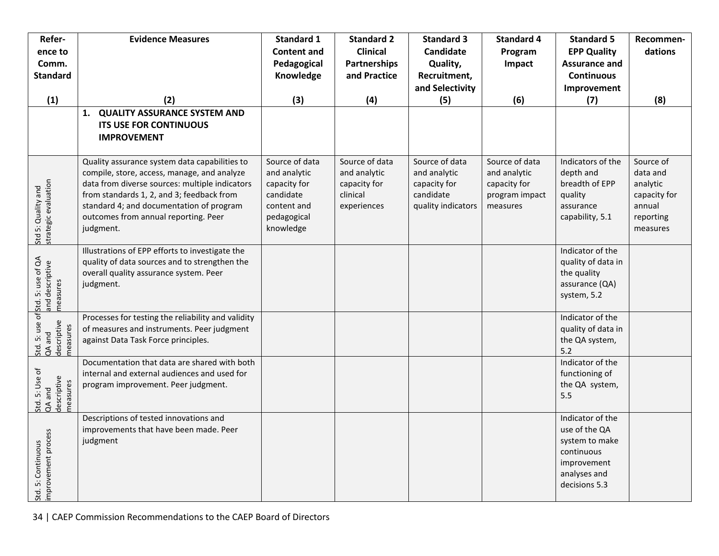| Refer-                                                                             | <b>Evidence Measures</b>                                                                      | <b>Standard 1</b>            | <b>Standard 2</b>            | <b>Standard 3</b>            | <b>Standard 4</b>            | <b>Standard 5</b>                 | Recommen-            |
|------------------------------------------------------------------------------------|-----------------------------------------------------------------------------------------------|------------------------------|------------------------------|------------------------------|------------------------------|-----------------------------------|----------------------|
| ence to                                                                            |                                                                                               | <b>Content and</b>           | <b>Clinical</b>              | Candidate                    | Program                      | <b>EPP Quality</b>                | dations              |
| Comm.                                                                              |                                                                                               | Pedagogical                  | <b>Partnerships</b>          | Quality,                     | Impact                       | <b>Assurance and</b>              |                      |
| <b>Standard</b>                                                                    |                                                                                               | Knowledge                    | and Practice                 | Recruitment,                 |                              | <b>Continuous</b>                 |                      |
| (1)                                                                                | (2)                                                                                           | (3)                          | (4)                          | and Selectivity<br>(5)       | (6)                          | Improvement<br>(7)                | (8)                  |
|                                                                                    | <b>QUALITY ASSURANCE SYSTEM AND</b><br>1.                                                     |                              |                              |                              |                              |                                   |                      |
|                                                                                    | <b>ITS USE FOR CONTINUOUS</b>                                                                 |                              |                              |                              |                              |                                   |                      |
|                                                                                    | <b>IMPROVEMENT</b>                                                                            |                              |                              |                              |                              |                                   |                      |
|                                                                                    |                                                                                               |                              |                              |                              |                              |                                   |                      |
|                                                                                    | Quality assurance system data capabilities to                                                 | Source of data               | Source of data               | Source of data               | Source of data               | Indicators of the                 | Source of            |
|                                                                                    | compile, store, access, manage, and analyze<br>data from diverse sources: multiple indicators | and analytic<br>capacity for | and analytic<br>capacity for | and analytic<br>capacity for | and analytic<br>capacity for | depth and<br>breadth of EPP       | data and<br>analytic |
|                                                                                    | from standards 1, 2, and 3; feedback from                                                     | candidate                    | clinical                     | candidate                    | program impact               | quality                           | capacity for         |
|                                                                                    | standard 4; and documentation of program                                                      | content and                  | experiences                  | quality indicators           | measures                     | assurance                         | annual               |
|                                                                                    | outcomes from annual reporting. Peer                                                          | pedagogical                  |                              |                              |                              | capability, 5.1                   | reporting            |
| strategic evaluation<br>Std 5: Quality and                                         | judgment.                                                                                     | knowledge                    |                              |                              |                              |                                   | measures             |
|                                                                                    | Illustrations of EPP efforts to investigate the                                               |                              |                              |                              |                              | Indicator of the                  |                      |
|                                                                                    | quality of data sources and to strengthen the                                                 |                              |                              |                              |                              | quality of data in                |                      |
|                                                                                    | overall quality assurance system. Peer                                                        |                              |                              |                              |                              | the quality                       |                      |
|                                                                                    | judgment.                                                                                     |                              |                              |                              |                              | assurance (QA)                    |                      |
|                                                                                    |                                                                                               |                              |                              |                              |                              | system, 5.2                       |                      |
| Std. 5: use of Std. 5: use of QA<br>QA and and descriptive<br>descriptive measures | Processes for testing the reliability and validity                                            |                              |                              |                              |                              | Indicator of the                  |                      |
|                                                                                    | of measures and instruments. Peer judgment                                                    |                              |                              |                              |                              | quality of data in                |                      |
| measures                                                                           | against Data Task Force principles.                                                           |                              |                              |                              |                              | the QA system,                    |                      |
|                                                                                    | Documentation that data are shared with both                                                  |                              |                              |                              |                              | 5.2<br>Indicator of the           |                      |
|                                                                                    | internal and external audiences and used for                                                  |                              |                              |                              |                              | functioning of                    |                      |
|                                                                                    | program improvement. Peer judgment.                                                           |                              |                              |                              |                              | the QA system,                    |                      |
| Std. 5: Use of<br>QA and<br>descriptive<br>measures                                |                                                                                               |                              |                              |                              |                              | 5.5                               |                      |
|                                                                                    | Descriptions of tested innovations and                                                        |                              |                              |                              |                              |                                   |                      |
|                                                                                    | improvements that have been made. Peer                                                        |                              |                              |                              |                              | Indicator of the<br>use of the QA |                      |
|                                                                                    | judgment                                                                                      |                              |                              |                              |                              | system to make                    |                      |
|                                                                                    |                                                                                               |                              |                              |                              |                              | continuous                        |                      |
|                                                                                    |                                                                                               |                              |                              |                              |                              | improvement                       |                      |
|                                                                                    |                                                                                               |                              |                              |                              |                              | analyses and                      |                      |
| mprovement process<br>Std. 5: Continuous                                           |                                                                                               |                              |                              |                              |                              | decisions 5.3                     |                      |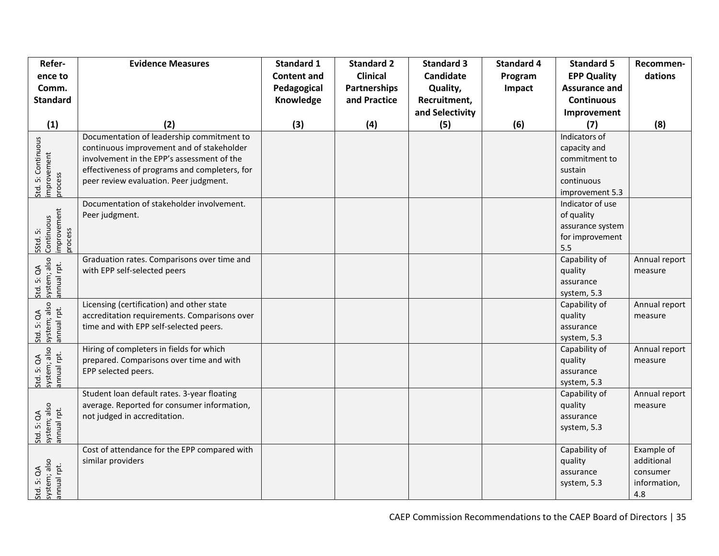| Refer-<br>ence to<br>Comm.<br><b>Standard</b>     | <b>Evidence Measures</b>                                                                                                                                                                                                        | <b>Standard 1</b><br><b>Content and</b><br>Pedagogical<br>Knowledge | <b>Standard 2</b><br><b>Clinical</b><br><b>Partnerships</b><br>and Practice | <b>Standard 3</b><br>Candidate<br>Quality,<br>Recruitment,<br>and Selectivity | <b>Standard 4</b><br>Program<br>Impact | <b>Standard 5</b><br><b>EPP Quality</b><br><b>Assurance and</b><br><b>Continuous</b><br>Improvement | Recommen-<br>dations                                        |
|---------------------------------------------------|---------------------------------------------------------------------------------------------------------------------------------------------------------------------------------------------------------------------------------|---------------------------------------------------------------------|-----------------------------------------------------------------------------|-------------------------------------------------------------------------------|----------------------------------------|-----------------------------------------------------------------------------------------------------|-------------------------------------------------------------|
| (1)                                               | (2)                                                                                                                                                                                                                             | (3)                                                                 | (4)                                                                         | (5)                                                                           | (6)                                    | (7)                                                                                                 | (8)                                                         |
| Std. 5: Continuous<br>improvement<br>process      | Documentation of leadership commitment to<br>continuous improvement and of stakeholder<br>involvement in the EPP's assessment of the<br>effectiveness of programs and completers, for<br>peer review evaluation. Peer judgment. |                                                                     |                                                                             |                                                                               |                                        | Indicators of<br>capacity and<br>commitment to<br>sustain<br>continuous<br>improvement 5.3          |                                                             |
| 5Std. 5:<br>Continuous<br>improvement<br>process  | Documentation of stakeholder involvement.<br>Peer judgment.                                                                                                                                                                     |                                                                     |                                                                             |                                                                               |                                        | Indicator of use<br>of quality<br>assurance system<br>for improvement<br>5.5                        |                                                             |
| Std. 5: QA<br>system; also<br>annual rpt.         | Graduation rates. Comparisons over time and<br>with EPP self-selected peers                                                                                                                                                     |                                                                     |                                                                             |                                                                               |                                        | Capability of<br>quality<br>assurance<br>system, 5.3                                                | Annual report<br>measure                                    |
| system; also<br>annual rpt.<br>5: QA<br>Std.      | Licensing (certification) and other state<br>accreditation requirements. Comparisons over<br>time and with EPP self-selected peers.                                                                                             |                                                                     |                                                                             |                                                                               |                                        | Capability of<br>quality<br>assurance<br>system, 5.3                                                | Annual report<br>measure                                    |
| system; also<br>annual rpt.<br>5: QA<br>Std.      | Hiring of completers in fields for which<br>prepared. Comparisons over time and with<br>EPP selected peers.                                                                                                                     |                                                                     |                                                                             |                                                                               |                                        | Capability of<br>quality<br>assurance<br>system, 5.3                                                | Annual report<br>measure                                    |
| system; also<br>annual rpt.<br>5: QA<br>Std.      | Student loan default rates. 3-year floating<br>average. Reported for consumer information,<br>not judged in accreditation.                                                                                                      |                                                                     |                                                                             |                                                                               |                                        | Capability of<br>quality<br>assurance<br>system, 5.3                                                | Annual report<br>measure                                    |
| Std. 5: QA<br>system; also<br>annual rpt.<br>Std. | Cost of attendance for the EPP compared with<br>similar providers                                                                                                                                                               |                                                                     |                                                                             |                                                                               |                                        | Capability of<br>quality<br>assurance<br>system, 5.3                                                | Example of<br>additional<br>consumer<br>information,<br>4.8 |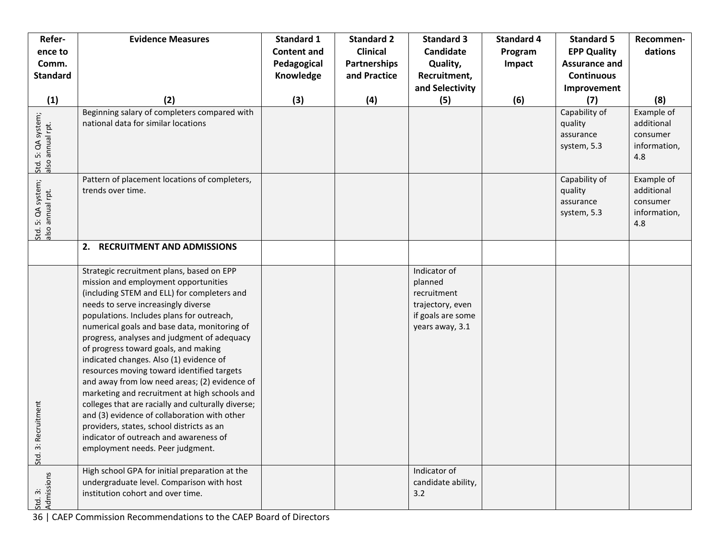| Refer-                                 | <b>Evidence Measures</b>                                                                                                                                                                                                                                                                                                                                                                                                                                                                                                                                                                                                                                                                                                                                                                | <b>Standard 1</b>  | <b>Standard 2</b>   | <b>Standard 3</b>                                                                                  | <b>Standard 4</b> | <b>Standard 5</b>                                    | Recommen-                                                   |
|----------------------------------------|-----------------------------------------------------------------------------------------------------------------------------------------------------------------------------------------------------------------------------------------------------------------------------------------------------------------------------------------------------------------------------------------------------------------------------------------------------------------------------------------------------------------------------------------------------------------------------------------------------------------------------------------------------------------------------------------------------------------------------------------------------------------------------------------|--------------------|---------------------|----------------------------------------------------------------------------------------------------|-------------------|------------------------------------------------------|-------------------------------------------------------------|
| ence to                                |                                                                                                                                                                                                                                                                                                                                                                                                                                                                                                                                                                                                                                                                                                                                                                                         | <b>Content and</b> | <b>Clinical</b>     | <b>Candidate</b>                                                                                   | Program           | <b>EPP Quality</b>                                   | dations                                                     |
| Comm.                                  |                                                                                                                                                                                                                                                                                                                                                                                                                                                                                                                                                                                                                                                                                                                                                                                         | Pedagogical        | <b>Partnerships</b> | Quality,                                                                                           | Impact            | <b>Assurance and</b>                                 |                                                             |
| <b>Standard</b>                        |                                                                                                                                                                                                                                                                                                                                                                                                                                                                                                                                                                                                                                                                                                                                                                                         | Knowledge          | and Practice        | Recruitment,<br>and Selectivity                                                                    |                   | <b>Continuous</b><br>Improvement                     |                                                             |
| (1)                                    | (2)                                                                                                                                                                                                                                                                                                                                                                                                                                                                                                                                                                                                                                                                                                                                                                                     | (3)                | (4)                 | (5)                                                                                                | (6)               | (7)                                                  | (8)                                                         |
| Std. 5: QA system;<br>also annual rpt. | Beginning salary of completers compared with<br>national data for similar locations                                                                                                                                                                                                                                                                                                                                                                                                                                                                                                                                                                                                                                                                                                     |                    |                     |                                                                                                    |                   | Capability of<br>quality<br>assurance<br>system, 5.3 | Example of<br>additional<br>consumer<br>information,<br>4.8 |
| Std. 5: QA system;<br>also annual rpt. | Pattern of placement locations of completers,<br>trends over time.                                                                                                                                                                                                                                                                                                                                                                                                                                                                                                                                                                                                                                                                                                                      |                    |                     |                                                                                                    |                   | Capability of<br>quality<br>assurance<br>system, 5.3 | Example of<br>additional<br>consumer<br>information,<br>4.8 |
|                                        | 2. RECRUITMENT AND ADMISSIONS                                                                                                                                                                                                                                                                                                                                                                                                                                                                                                                                                                                                                                                                                                                                                           |                    |                     |                                                                                                    |                   |                                                      |                                                             |
| ecruitment<br>Std. 3: R                | Strategic recruitment plans, based on EPP<br>mission and employment opportunities<br>(including STEM and ELL) for completers and<br>needs to serve increasingly diverse<br>populations. Includes plans for outreach,<br>numerical goals and base data, monitoring of<br>progress, analyses and judgment of adequacy<br>of progress toward goals, and making<br>indicated changes. Also (1) evidence of<br>resources moving toward identified targets<br>and away from low need areas; (2) evidence of<br>marketing and recruitment at high schools and<br>colleges that are racially and culturally diverse;<br>and (3) evidence of collaboration with other<br>providers, states, school districts as an<br>indicator of outreach and awareness of<br>employment needs. Peer judgment. |                    |                     | Indicator of<br>planned<br>recruitment<br>trajectory, even<br>if goals are some<br>years away, 3.1 |                   |                                                      |                                                             |
| Std. 3:<br>Admissions                  | High school GPA for initial preparation at the<br>undergraduate level. Comparison with host<br>institution cohort and over time.                                                                                                                                                                                                                                                                                                                                                                                                                                                                                                                                                                                                                                                        |                    |                     | Indicator of<br>candidate ability,<br>3.2                                                          |                   |                                                      |                                                             |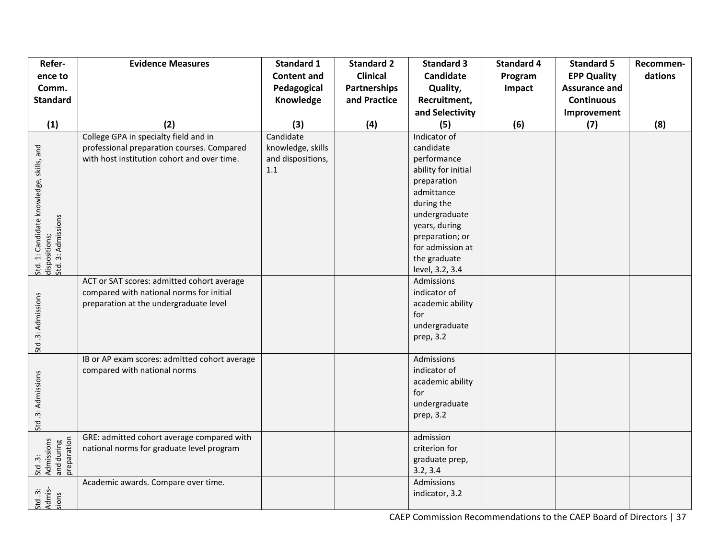| Refer-                                                                          | <b>Evidence Measures</b>                                                                                                           | <b>Standard 1</b>                                          | <b>Standard 2</b>   | <b>Standard 3</b>                                                                                                                                                                                   | <b>Standard 4</b> | <b>Standard 5</b>    | Recommen- |
|---------------------------------------------------------------------------------|------------------------------------------------------------------------------------------------------------------------------------|------------------------------------------------------------|---------------------|-----------------------------------------------------------------------------------------------------------------------------------------------------------------------------------------------------|-------------------|----------------------|-----------|
| ence to                                                                         |                                                                                                                                    | <b>Content and</b>                                         | <b>Clinical</b>     | Candidate                                                                                                                                                                                           | Program           | <b>EPP Quality</b>   | dations   |
| Comm.                                                                           |                                                                                                                                    | Pedagogical                                                | <b>Partnerships</b> | Quality,                                                                                                                                                                                            | Impact            | <b>Assurance and</b> |           |
| <b>Standard</b>                                                                 |                                                                                                                                    | Knowledge                                                  | and Practice        | Recruitment,                                                                                                                                                                                        |                   | <b>Continuous</b>    |           |
|                                                                                 |                                                                                                                                    |                                                            |                     | and Selectivity                                                                                                                                                                                     |                   | Improvement          |           |
| (1)                                                                             | (2)                                                                                                                                | (3)                                                        | (4)                 | (5)                                                                                                                                                                                                 | (6)               | (7)                  | (8)       |
| Std. 1: Candidate knowledge, skills, and<br>dispositions;<br>Std. 3: Admissions | College GPA in specialty field and in<br>professional preparation courses. Compared<br>with host institution cohort and over time. | Candidate<br>knowledge, skills<br>and dispositions,<br>1.1 |                     | Indicator of<br>candidate<br>performance<br>ability for initial<br>preparation<br>admittance<br>during the<br>undergraduate<br>years, during<br>preparation; or<br>for admission at<br>the graduate |                   |                      |           |
|                                                                                 |                                                                                                                                    |                                                            |                     | level, 3.2, 3.4                                                                                                                                                                                     |                   |                      |           |
| Std.3: Admissions                                                               | ACT or SAT scores: admitted cohort average<br>compared with national norms for initial<br>preparation at the undergraduate level   |                                                            |                     | Admissions<br>indicator of<br>academic ability<br>for<br>undergraduate<br>prep, 3.2                                                                                                                 |                   |                      |           |
| Std.3: Admissions                                                               | IB or AP exam scores: admitted cohort average<br>compared with national norms                                                      |                                                            |                     | Admissions<br>indicator of<br>academic ability<br>for<br>undergraduate<br>prep, 3.2                                                                                                                 |                   |                      |           |
| Std .3:<br>Admissions<br>and during<br>preparation                              | GRE: admitted cohort average compared with<br>national norms for graduate level program                                            |                                                            |                     | admission<br>criterion for<br>graduate prep,<br>3.2, 3.4                                                                                                                                            |                   |                      |           |
| Std .3:<br>Admis-<br>sions                                                      | Academic awards. Compare over time.                                                                                                |                                                            |                     | Admissions<br>indicator, 3.2                                                                                                                                                                        |                   |                      |           |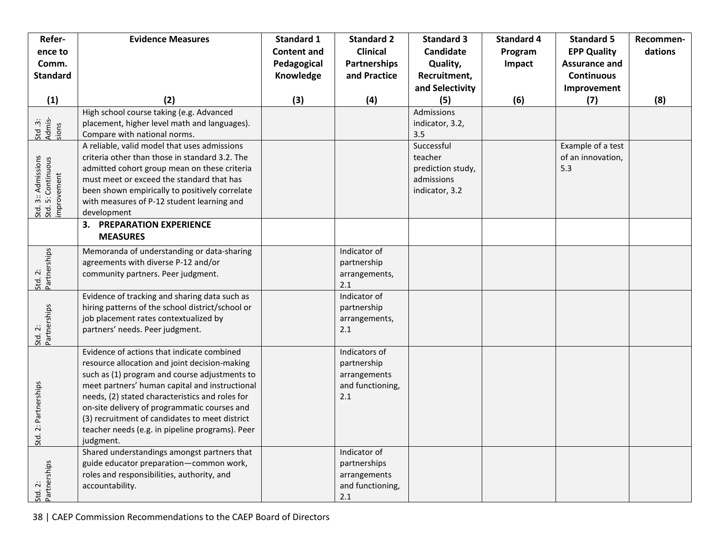| Refer-<br>ence to<br>Comm.<br><b>Standard</b>            | <b>Evidence Measures</b>                                                                                                                                                                                                                                                                                                                                                                                            | <b>Standard 1</b><br><b>Content and</b><br>Pedagogical<br>Knowledge | <b>Standard 2</b><br><b>Clinical</b><br><b>Partnerships</b><br>and Practice | <b>Standard 3</b><br>Candidate<br>Quality,<br>Recruitment,<br>and Selectivity | <b>Standard 4</b><br>Program<br>Impact | <b>Standard 5</b><br><b>EPP Quality</b><br><b>Assurance and</b><br><b>Continuous</b><br>Improvement | Recommen-<br>dations |
|----------------------------------------------------------|---------------------------------------------------------------------------------------------------------------------------------------------------------------------------------------------------------------------------------------------------------------------------------------------------------------------------------------------------------------------------------------------------------------------|---------------------------------------------------------------------|-----------------------------------------------------------------------------|-------------------------------------------------------------------------------|----------------------------------------|-----------------------------------------------------------------------------------------------------|----------------------|
| (1)                                                      | (2)                                                                                                                                                                                                                                                                                                                                                                                                                 | (3)                                                                 | (4)                                                                         | (5)                                                                           | (6)                                    | (7)                                                                                                 | (8)                  |
| Std .3:<br>Admis-<br>sions                               | High school course taking (e.g. Advanced<br>placement, higher level math and languages).<br>Compare with national norms.                                                                                                                                                                                                                                                                                            |                                                                     |                                                                             | Admissions<br>indicator, 3.2,<br>3.5                                          |                                        |                                                                                                     |                      |
| Std. 3:: Admissions<br>Std. 5: Continuous<br>improvement | A reliable, valid model that uses admissions<br>criteria other than those in standard 3.2. The<br>admitted cohort group mean on these criteria<br>must meet or exceed the standard that has<br>been shown empirically to positively correlate<br>with measures of P-12 student learning and<br>development                                                                                                          |                                                                     |                                                                             | Successful<br>teacher<br>prediction study,<br>admissions<br>indicator, 3.2    |                                        | Example of a test<br>of an innovation,<br>5.3                                                       |                      |
|                                                          | 3. PREPARATION EXPERIENCE<br><b>MEASURES</b>                                                                                                                                                                                                                                                                                                                                                                        |                                                                     |                                                                             |                                                                               |                                        |                                                                                                     |                      |
| Partnerships<br>Std. 2:                                  | Memoranda of understanding or data-sharing<br>agreements with diverse P-12 and/or<br>community partners. Peer judgment.                                                                                                                                                                                                                                                                                             |                                                                     | Indicator of<br>partnership<br>arrangements,<br>2.1                         |                                                                               |                                        |                                                                                                     |                      |
| Partnerships<br>Std. 2:                                  | Evidence of tracking and sharing data such as<br>hiring patterns of the school district/school or<br>job placement rates contextualized by<br>partners' needs. Peer judgment.                                                                                                                                                                                                                                       |                                                                     | Indicator of<br>partnership<br>arrangements,<br>2.1                         |                                                                               |                                        |                                                                                                     |                      |
| Std. 2: Partnerships                                     | Evidence of actions that indicate combined<br>resource allocation and joint decision-making<br>such as (1) program and course adjustments to<br>meet partners' human capital and instructional<br>needs, (2) stated characteristics and roles for<br>on-site delivery of programmatic courses and<br>(3) recruitment of candidates to meet district<br>teacher needs (e.g. in pipeline programs). Peer<br>judgment. |                                                                     | Indicators of<br>partnership<br>arrangements<br>and functioning,<br>2.1     |                                                                               |                                        |                                                                                                     |                      |
| Partnerships<br>$\ddot{\sim}$<br>Std.                    | Shared understandings amongst partners that<br>guide educator preparation-common work,<br>roles and responsibilities, authority, and<br>accountability.                                                                                                                                                                                                                                                             |                                                                     | Indicator of<br>partnerships<br>arrangements<br>and functioning,<br>2.1     |                                                                               |                                        |                                                                                                     |                      |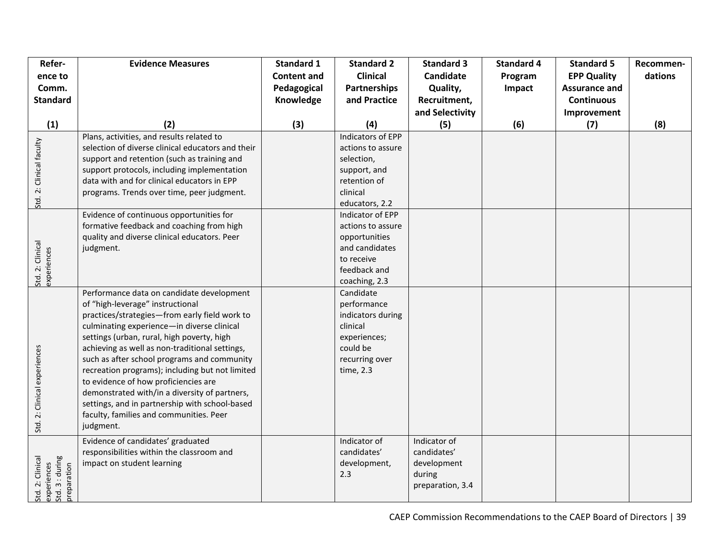| Refer-                                                            | <b>Evidence Measures</b>                                                                                                                                                                                                                                                                                                                                                                                                                                                                                                                                                          | <b>Standard 1</b>  | <b>Standard 2</b>                                                                                                                         | <b>Standard 3</b>                                                        | <b>Standard 4</b> | <b>Standard 5</b>    | Recommen- |
|-------------------------------------------------------------------|-----------------------------------------------------------------------------------------------------------------------------------------------------------------------------------------------------------------------------------------------------------------------------------------------------------------------------------------------------------------------------------------------------------------------------------------------------------------------------------------------------------------------------------------------------------------------------------|--------------------|-------------------------------------------------------------------------------------------------------------------------------------------|--------------------------------------------------------------------------|-------------------|----------------------|-----------|
| ence to                                                           |                                                                                                                                                                                                                                                                                                                                                                                                                                                                                                                                                                                   | <b>Content and</b> | <b>Clinical</b>                                                                                                                           | Candidate                                                                | Program           | <b>EPP Quality</b>   | dations   |
| Comm.                                                             |                                                                                                                                                                                                                                                                                                                                                                                                                                                                                                                                                                                   | Pedagogical        | Partnerships                                                                                                                              | Quality,                                                                 | Impact            | <b>Assurance and</b> |           |
| <b>Standard</b>                                                   |                                                                                                                                                                                                                                                                                                                                                                                                                                                                                                                                                                                   | Knowledge          | and Practice                                                                                                                              | Recruitment,                                                             |                   | <b>Continuous</b>    |           |
|                                                                   |                                                                                                                                                                                                                                                                                                                                                                                                                                                                                                                                                                                   |                    |                                                                                                                                           | and Selectivity                                                          |                   | Improvement          |           |
| (1)                                                               | (2)                                                                                                                                                                                                                                                                                                                                                                                                                                                                                                                                                                               | (3)                | (4)                                                                                                                                       | (5)                                                                      | (6)               | (7)                  | (8)       |
| Std. 2: Clinical faculty                                          | Plans, activities, and results related to<br>selection of diverse clinical educators and their<br>support and retention (such as training and<br>support protocols, including implementation<br>data with and for clinical educators in EPP<br>programs. Trends over time, peer judgment.                                                                                                                                                                                                                                                                                         |                    | <b>Indicators of EPP</b><br>actions to assure<br>selection,<br>support, and<br>retention of<br>clinical                                   |                                                                          |                   |                      |           |
| Std. 2: Clinical<br>experiences                                   | Evidence of continuous opportunities for<br>formative feedback and coaching from high<br>quality and diverse clinical educators. Peer<br>judgment.                                                                                                                                                                                                                                                                                                                                                                                                                                |                    | educators, 2.2<br>Indicator of EPP<br>actions to assure<br>opportunities<br>and candidates<br>to receive<br>feedback and<br>coaching, 2.3 |                                                                          |                   |                      |           |
| Std. 2: Clinical experiences                                      | Performance data on candidate development<br>of "high-leverage" instructional<br>practices/strategies-from early field work to<br>culminating experience-in diverse clinical<br>settings (urban, rural, high poverty, high<br>achieving as well as non-traditional settings,<br>such as after school programs and community<br>recreation programs); including but not limited<br>to evidence of how proficiencies are<br>demonstrated with/in a diversity of partners,<br>settings, and in partnership with school-based<br>faculty, families and communities. Peer<br>judgment. |                    | Candidate<br>performance<br>indicators during<br>clinical<br>experiences;<br>could be<br>recurring over<br>time, 2.3                      |                                                                          |                   |                      |           |
| experiences<br>Std. 3 : during<br>Std. 2: Clinical<br>oreparation | Evidence of candidates' graduated<br>responsibilities within the classroom and<br>impact on student learning                                                                                                                                                                                                                                                                                                                                                                                                                                                                      |                    | Indicator of<br>candidates'<br>development,<br>2.3                                                                                        | Indicator of<br>candidates'<br>development<br>during<br>preparation, 3.4 |                   |                      |           |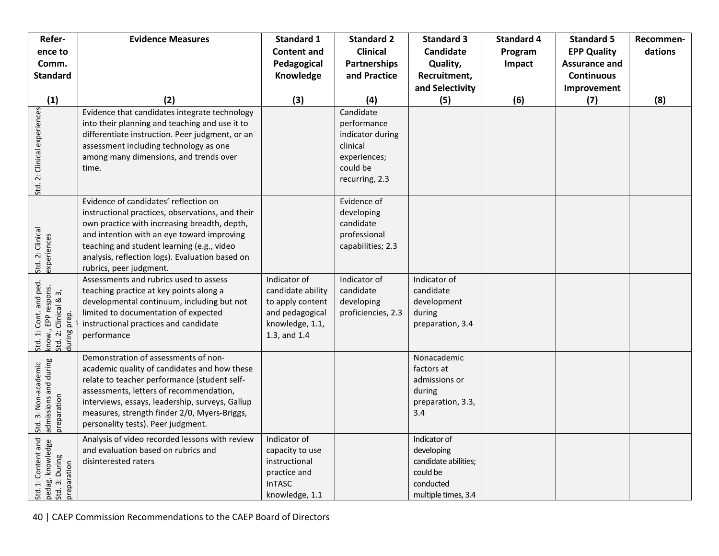| Refer-                                                                                    | <b>Evidence Measures</b>                                                                                                                                                                                                                                                                                                 | <b>Standard 1</b>                                                                                           | <b>Standard 2</b>                                                                                      | <b>Standard 3</b>                                                                                  | <b>Standard 4</b> | <b>Standard 5</b>    | Recommen- |
|-------------------------------------------------------------------------------------------|--------------------------------------------------------------------------------------------------------------------------------------------------------------------------------------------------------------------------------------------------------------------------------------------------------------------------|-------------------------------------------------------------------------------------------------------------|--------------------------------------------------------------------------------------------------------|----------------------------------------------------------------------------------------------------|-------------------|----------------------|-----------|
| ence to                                                                                   |                                                                                                                                                                                                                                                                                                                          | <b>Content and</b>                                                                                          | <b>Clinical</b>                                                                                        | Candidate                                                                                          | Program           | <b>EPP Quality</b>   | dations   |
| Comm.                                                                                     |                                                                                                                                                                                                                                                                                                                          | Pedagogical                                                                                                 | <b>Partnerships</b>                                                                                    | Quality,                                                                                           | Impact            | <b>Assurance and</b> |           |
| <b>Standard</b>                                                                           |                                                                                                                                                                                                                                                                                                                          | Knowledge                                                                                                   | and Practice                                                                                           | Recruitment,                                                                                       |                   | <b>Continuous</b>    |           |
|                                                                                           |                                                                                                                                                                                                                                                                                                                          |                                                                                                             |                                                                                                        | and Selectivity                                                                                    |                   | Improvement          |           |
| (1)                                                                                       | (2)                                                                                                                                                                                                                                                                                                                      | (3)                                                                                                         | (4)                                                                                                    | (5)                                                                                                | (6)               | (7)                  | (8)       |
| Std. 2: Clinical experiences                                                              | Evidence that candidates integrate technology<br>into their planning and teaching and use it to<br>differentiate instruction. Peer judgment, or an<br>assessment including technology as one<br>among many dimensions, and trends over<br>time.                                                                          |                                                                                                             | Candidate<br>performance<br>indicator during<br>clinical<br>experiences;<br>could be<br>recurring, 2.3 |                                                                                                    |                   |                      |           |
| Std. 2: Clinical<br>experiences                                                           | Evidence of candidates' reflection on<br>instructional practices, observations, and their<br>own practice with increasing breadth, depth,<br>and intention with an eye toward improving<br>teaching and student learning (e.g., video<br>analysis, reflection logs). Evaluation based on<br>rubrics, peer judgment.      |                                                                                                             | Evidence of<br>developing<br>candidate<br>professional<br>capabilities; 2.3                            |                                                                                                    |                   |                      |           |
| Std. 1: Cont. and ped.<br>know., EPP respons.<br>Std. 2: Clinical & 3,<br>prep.<br>during | Assessments and rubrics used to assess<br>teaching practice at key points along a<br>developmental continuum, including but not<br>limited to documentation of expected<br>instructional practices and candidate<br>performance                                                                                          | Indicator of<br>candidate ability<br>to apply content<br>and pedagogical<br>knowledge, 1.1,<br>1.3, and 1.4 | Indicator of<br>candidate<br>developing<br>proficiencies, 2.3                                          | Indicator of<br>candidate<br>development<br>during<br>preparation, 3.4                             |                   |                      |           |
| Std. 3: Non-academic<br>admissions and during<br>preparation                              | Demonstration of assessments of non-<br>academic quality of candidates and how these<br>relate to teacher performance (student self-<br>assessments, letters of recommendation,<br>interviews, essays, leadership, surveys, Gallup<br>measures, strength finder 2/0, Myers-Briggs,<br>personality tests). Peer judgment. |                                                                                                             |                                                                                                        | Nonacademic<br>factors at<br>admissions or<br>during<br>preparation, 3.3,<br>3.4                   |                   |                      |           |
| Std.1: Content and<br>pedag. knowledge<br>Std. 3: During<br>preparation                   | Analysis of video recorded lessons with review<br>and evaluation based on rubrics and<br>disinterested raters                                                                                                                                                                                                            | Indicator of<br>capacity to use<br>instructional<br>practice and<br><b>InTASC</b><br>knowledge, 1.1         |                                                                                                        | Indicator of<br>developing<br>candidate abilities;<br>could be<br>conducted<br>multiple times, 3.4 |                   |                      |           |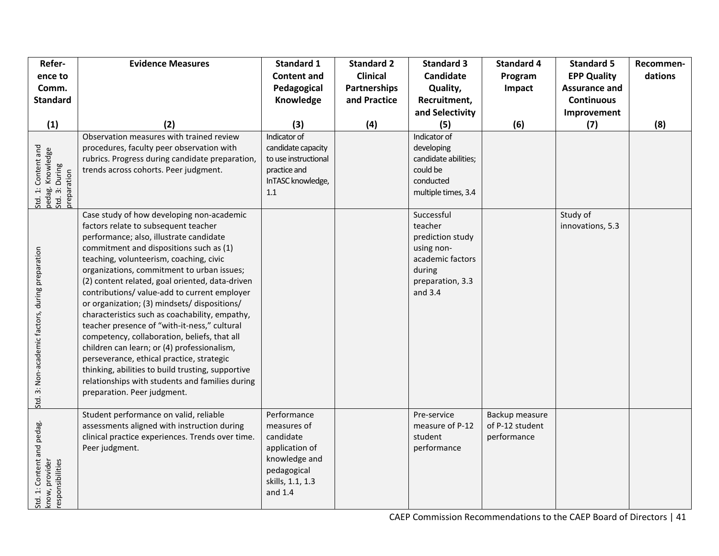| Refer-<br>ence to<br>Comm.<br><b>Standard</b>                            | <b>Evidence Measures</b>                                                                                                                                                                                                                                                                                                                                                                                                                                                                                                                                                                                                                                                                                                                                                                                 | <b>Standard 1</b><br><b>Content and</b><br>Pedagogical<br>Knowledge                                                      | <b>Standard 2</b><br><b>Clinical</b><br><b>Partnerships</b><br>and Practice | <b>Standard 3</b><br>Candidate<br>Quality,<br>Recruitment,<br>and Selectivity                                          | <b>Standard 4</b><br>Program<br>Impact           | <b>Standard 5</b><br><b>EPP Quality</b><br><b>Assurance and</b><br><b>Continuous</b><br>Improvement | Recommen-<br>dations |
|--------------------------------------------------------------------------|----------------------------------------------------------------------------------------------------------------------------------------------------------------------------------------------------------------------------------------------------------------------------------------------------------------------------------------------------------------------------------------------------------------------------------------------------------------------------------------------------------------------------------------------------------------------------------------------------------------------------------------------------------------------------------------------------------------------------------------------------------------------------------------------------------|--------------------------------------------------------------------------------------------------------------------------|-----------------------------------------------------------------------------|------------------------------------------------------------------------------------------------------------------------|--------------------------------------------------|-----------------------------------------------------------------------------------------------------|----------------------|
| (1)                                                                      | (2)                                                                                                                                                                                                                                                                                                                                                                                                                                                                                                                                                                                                                                                                                                                                                                                                      | (3)                                                                                                                      | (4)                                                                         | (5)                                                                                                                    | (6)                                              | (7)                                                                                                 | (8)                  |
| Std. 1: Content and<br>pedag. Knowledge<br>Std. 3: During<br>preparation | Observation measures with trained review<br>procedures, faculty peer observation with<br>rubrics. Progress during candidate preparation,<br>trends across cohorts. Peer judgment.                                                                                                                                                                                                                                                                                                                                                                                                                                                                                                                                                                                                                        | Indicator of<br>candidate capacity<br>to use instructional<br>practice and<br>InTASC knowledge,<br>$1.1\,$               |                                                                             | Indicator of<br>developing<br>candidate abilities;<br>could be<br>conducted<br>multiple times, 3.4                     |                                                  |                                                                                                     |                      |
| Std. 3: Non-academic factors, during preparation                         | Case study of how developing non-academic<br>factors relate to subsequent teacher<br>performance; also, illustrate candidate<br>commitment and dispositions such as (1)<br>teaching, volunteerism, coaching, civic<br>organizations, commitment to urban issues;<br>(2) content related, goal oriented, data-driven<br>contributions/ value-add to current employer<br>or organization; (3) mindsets/ dispositions/<br>characteristics such as coachability, empathy,<br>teacher presence of "with-it-ness," cultural<br>competency, collaboration, beliefs, that all<br>children can learn; or (4) professionalism,<br>perseverance, ethical practice, strategic<br>thinking, abilities to build trusting, supportive<br>relationships with students and families during<br>preparation. Peer judgment. |                                                                                                                          |                                                                             | Successful<br>teacher<br>prediction study<br>using non-<br>academic factors<br>during<br>preparation, 3.3<br>and $3.4$ |                                                  | Study of<br>innovations, 5.3                                                                        |                      |
| Std. 1: Content and pedag.<br>know, provider<br>responsibilities         | Student performance on valid, reliable<br>assessments aligned with instruction during<br>clinical practice experiences. Trends over time.<br>Peer judgment.                                                                                                                                                                                                                                                                                                                                                                                                                                                                                                                                                                                                                                              | Performance<br>measures of<br>candidate<br>application of<br>knowledge and<br>pedagogical<br>skills, 1.1, 1.3<br>and 1.4 |                                                                             | Pre-service<br>measure of P-12<br>student<br>performance                                                               | Backup measure<br>of P-12 student<br>performance |                                                                                                     |                      |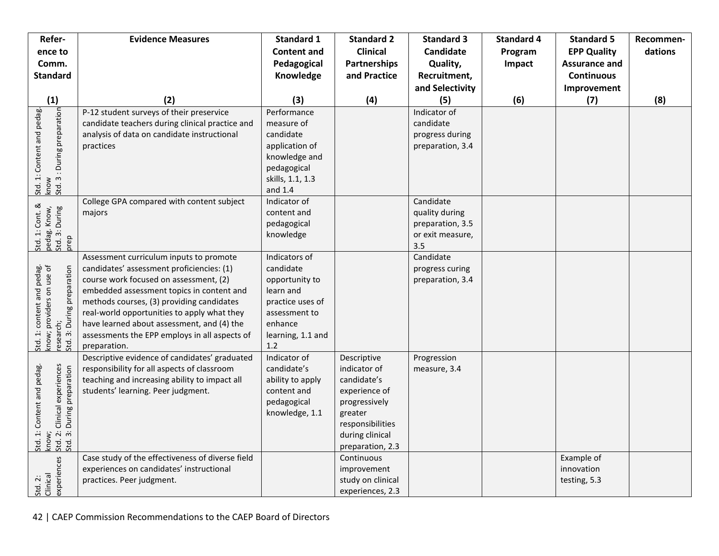| Refer-                                                                                                | <b>Evidence Measures</b>                                                                                                                                                                                                                                                                                                                                                               | <b>Standard 1</b>                                                                                                                     | <b>Standard 2</b>                                                                                                                                  | <b>Standard 3</b>                                                          | <b>Standard 4</b> | <b>Standard 5</b>                        | Recommen- |
|-------------------------------------------------------------------------------------------------------|----------------------------------------------------------------------------------------------------------------------------------------------------------------------------------------------------------------------------------------------------------------------------------------------------------------------------------------------------------------------------------------|---------------------------------------------------------------------------------------------------------------------------------------|----------------------------------------------------------------------------------------------------------------------------------------------------|----------------------------------------------------------------------------|-------------------|------------------------------------------|-----------|
| ence to                                                                                               |                                                                                                                                                                                                                                                                                                                                                                                        | <b>Content and</b>                                                                                                                    | <b>Clinical</b>                                                                                                                                    | Candidate                                                                  | Program           | <b>EPP Quality</b>                       | dations   |
| Comm.                                                                                                 |                                                                                                                                                                                                                                                                                                                                                                                        | Pedagogical                                                                                                                           | Partnerships                                                                                                                                       | Quality,                                                                   | Impact            | <b>Assurance and</b>                     |           |
| <b>Standard</b>                                                                                       |                                                                                                                                                                                                                                                                                                                                                                                        | Knowledge                                                                                                                             | and Practice                                                                                                                                       | Recruitment,                                                               |                   | <b>Continuous</b>                        |           |
|                                                                                                       |                                                                                                                                                                                                                                                                                                                                                                                        |                                                                                                                                       |                                                                                                                                                    | and Selectivity                                                            |                   | Improvement                              |           |
| (1)                                                                                                   | (2)                                                                                                                                                                                                                                                                                                                                                                                    | (3)                                                                                                                                   | (4)                                                                                                                                                | (5)                                                                        | (6)               | (7)                                      | (8)       |
| Std. 1: Content and pedag.<br>know<br>Std. 3 : During preparation                                     | P-12 student surveys of their preservice<br>candidate teachers during clinical practice and<br>analysis of data on candidate instructional<br>practices                                                                                                                                                                                                                                | Performance<br>measure of<br>candidate<br>application of<br>knowledge and<br>pedagogical<br>skills, 1.1, 1.3<br>and 1.4               |                                                                                                                                                    | Indicator of<br>candidate<br>progress during<br>preparation, 3.4           |                   |                                          |           |
| Std. 1: Cont. &<br>pedag. Know,<br>Std. 3: During<br>prep                                             | College GPA compared with content subject<br>majors                                                                                                                                                                                                                                                                                                                                    | Indicator of<br>content and<br>pedagogical<br>knowledge                                                                               |                                                                                                                                                    | Candidate<br>quality during<br>preparation, 3.5<br>or exit measure,<br>3.5 |                   |                                          |           |
| Std. 1: content and pedag.<br>know; providers on use of<br>3: During preparation<br>research;<br>Std. | Assessment curriculum inputs to promote<br>candidates' assessment proficiencies: (1)<br>course work focused on assessment, (2)<br>embedded assessment topics in content and<br>methods courses, (3) providing candidates<br>real-world opportunities to apply what they<br>have learned about assessment, and (4) the<br>assessments the EPP employs in all aspects of<br>preparation. | Indicators of<br>candidate<br>opportunity to<br>learn and<br>practice uses of<br>assessment to<br>enhance<br>learning, 1.1 and<br>1.2 |                                                                                                                                                    | Candidate<br>progress curing<br>preparation, 3.4                           |                   |                                          |           |
| know;<br>Std. 2: Clinical experiences<br>Std. 3: During preparation<br>Std. 1: Content and pedag.     | Descriptive evidence of candidates' graduated<br>responsibility for all aspects of classroom<br>teaching and increasing ability to impact all<br>students' learning. Peer judgment.                                                                                                                                                                                                    | Indicator of<br>candidate's<br>ability to apply<br>content and<br>pedagogical<br>knowledge, 1.1                                       | Descriptive<br>indicator of<br>candidate's<br>experience of<br>progressively<br>greater<br>responsibilities<br>during clinical<br>preparation, 2.3 | Progression<br>measure, 3.4                                                |                   |                                          |           |
| experiences<br>Clinical<br>Std. $2$ :                                                                 | Case study of the effectiveness of diverse field<br>experiences on candidates' instructional<br>practices. Peer judgment.                                                                                                                                                                                                                                                              |                                                                                                                                       | Continuous<br>improvement<br>study on clinical<br>experiences, 2.3                                                                                 |                                                                            |                   | Example of<br>innovation<br>testing, 5.3 |           |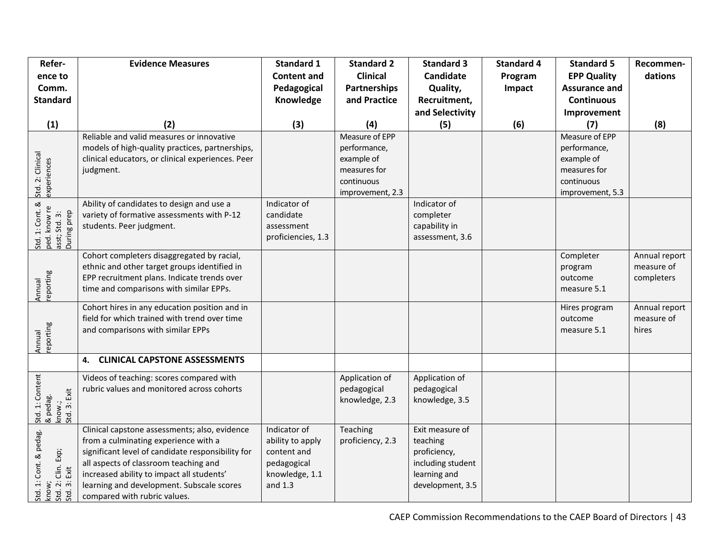| Refer-                                                                | <b>Evidence Measures</b>                                                                                                                                                                                                                                                                                      | <b>Standard 1</b>                                                                           | <b>Standard 2</b>                                                                              | <b>Standard 3</b>                                                                                    | <b>Standard 4</b> | <b>Standard 5</b>                                                                              | Recommen-                                 |
|-----------------------------------------------------------------------|---------------------------------------------------------------------------------------------------------------------------------------------------------------------------------------------------------------------------------------------------------------------------------------------------------------|---------------------------------------------------------------------------------------------|------------------------------------------------------------------------------------------------|------------------------------------------------------------------------------------------------------|-------------------|------------------------------------------------------------------------------------------------|-------------------------------------------|
| ence to                                                               |                                                                                                                                                                                                                                                                                                               | <b>Content and</b>                                                                          | <b>Clinical</b>                                                                                | <b>Candidate</b>                                                                                     | Program           | <b>EPP Quality</b>                                                                             | dations                                   |
| Comm.                                                                 |                                                                                                                                                                                                                                                                                                               | Pedagogical                                                                                 | <b>Partnerships</b>                                                                            | Quality,                                                                                             | Impact            | <b>Assurance and</b>                                                                           |                                           |
| <b>Standard</b>                                                       |                                                                                                                                                                                                                                                                                                               | Knowledge                                                                                   | and Practice                                                                                   | Recruitment,                                                                                         |                   | <b>Continuous</b>                                                                              |                                           |
|                                                                       |                                                                                                                                                                                                                                                                                                               |                                                                                             |                                                                                                | and Selectivity                                                                                      |                   | Improvement                                                                                    |                                           |
| (1)                                                                   | (2)                                                                                                                                                                                                                                                                                                           | (3)                                                                                         | (4)                                                                                            | (5)                                                                                                  | (6)               | (7)                                                                                            | (8)                                       |
| Std. 2: Clinical<br>experiences                                       | Reliable and valid measures or innovative<br>models of high-quality practices, partnerships,<br>clinical educators, or clinical experiences. Peer<br>judgment.                                                                                                                                                |                                                                                             | Measure of EPP<br>performance,<br>example of<br>measures for<br>continuous<br>improvement, 2.3 |                                                                                                      |                   | Measure of EPP<br>performance,<br>example of<br>measures for<br>continuous<br>improvement, 5.3 |                                           |
| Std. 1: Cont. &<br>ped. know re<br>asst; Std. 3:<br>During prep       | Ability of candidates to design and use a<br>variety of formative assessments with P-12<br>students. Peer judgment.                                                                                                                                                                                           | Indicator of<br>candidate<br>assessment<br>proficiencies, 1.3                               |                                                                                                | Indicator of<br>completer<br>capability in<br>assessment, 3.6                                        |                   |                                                                                                |                                           |
| reporting<br>Annual                                                   | Cohort completers disaggregated by racial,<br>ethnic and other target groups identified in<br>EPP recruitment plans. Indicate trends over<br>time and comparisons with similar EPPs.                                                                                                                          |                                                                                             |                                                                                                |                                                                                                      |                   | Completer<br>program<br>outcome<br>measure 5.1                                                 | Annual report<br>measure of<br>completers |
| Annual<br>reporting                                                   | Cohort hires in any education position and in<br>field for which trained with trend over time<br>and comparisons with similar EPPs                                                                                                                                                                            |                                                                                             |                                                                                                |                                                                                                      |                   | Hires program<br>outcome<br>measure 5.1                                                        | Annual report<br>measure of<br>hires      |
|                                                                       | <b>CLINICAL CAPSTONE ASSESSMENTS</b><br>4.                                                                                                                                                                                                                                                                    |                                                                                             |                                                                                                |                                                                                                      |                   |                                                                                                |                                           |
| Std. 1: Content<br>& pedag.<br>know.;<br>Std. 3: Exit                 | Videos of teaching: scores compared with<br>rubric values and monitored across cohorts                                                                                                                                                                                                                        |                                                                                             | Application of<br>pedagogical<br>knowledge, 2.3                                                | Application of<br>pedagogical<br>knowledge, 3.5                                                      |                   |                                                                                                |                                           |
| Std. 1: Cont. & pedag.<br>know;<br>Std. 2: Clin. Exp;<br>Std. 3: Exit | Clinical capstone assessments; also, evidence<br>from a culminating experience with a<br>significant level of candidate responsibility for<br>all aspects of classroom teaching and<br>increased ability to impact all students'<br>learning and development. Subscale scores<br>compared with rubric values. | Indicator of<br>ability to apply<br>content and<br>pedagogical<br>knowledge, 1.1<br>and 1.3 | Teaching<br>proficiency, 2.3                                                                   | Exit measure of<br>teaching<br>proficiency,<br>including student<br>learning and<br>development, 3.5 |                   |                                                                                                |                                           |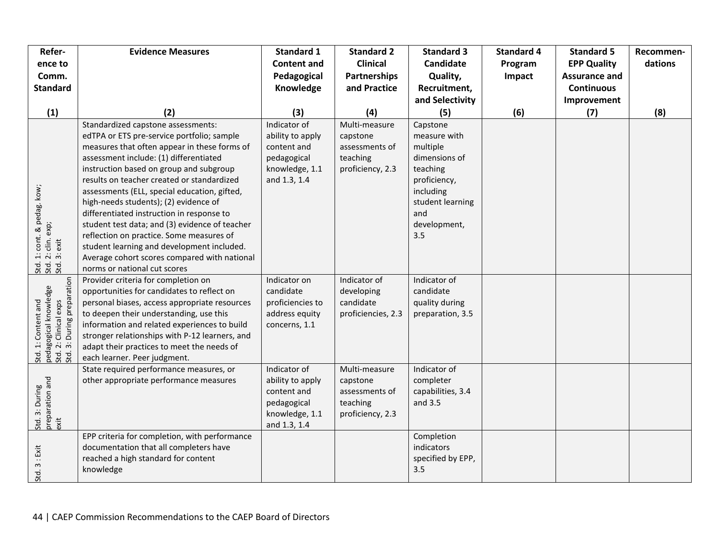| Refer-                                                                                                                                                                         | <b>Evidence Measures</b>                                                                                                                                                                                                                                                                                                                                                                                                                                                                                                                                                                              | <b>Standard 1</b>                                                                                | <b>Standard 2</b>                                                           | <b>Standard 3</b>                                                                                                                                | <b>Standard 4</b> | <b>Standard 5</b>    | Recommen- |
|--------------------------------------------------------------------------------------------------------------------------------------------------------------------------------|-------------------------------------------------------------------------------------------------------------------------------------------------------------------------------------------------------------------------------------------------------------------------------------------------------------------------------------------------------------------------------------------------------------------------------------------------------------------------------------------------------------------------------------------------------------------------------------------------------|--------------------------------------------------------------------------------------------------|-----------------------------------------------------------------------------|--------------------------------------------------------------------------------------------------------------------------------------------------|-------------------|----------------------|-----------|
| ence to                                                                                                                                                                        |                                                                                                                                                                                                                                                                                                                                                                                                                                                                                                                                                                                                       | <b>Content and</b>                                                                               | <b>Clinical</b>                                                             | Candidate                                                                                                                                        | Program           | <b>EPP Quality</b>   | dations   |
| Comm.                                                                                                                                                                          |                                                                                                                                                                                                                                                                                                                                                                                                                                                                                                                                                                                                       | Pedagogical                                                                                      | <b>Partnerships</b>                                                         | Quality,                                                                                                                                         | Impact            | <b>Assurance and</b> |           |
| <b>Standard</b>                                                                                                                                                                |                                                                                                                                                                                                                                                                                                                                                                                                                                                                                                                                                                                                       | Knowledge                                                                                        | and Practice                                                                | Recruitment,                                                                                                                                     |                   | <b>Continuous</b>    |           |
|                                                                                                                                                                                |                                                                                                                                                                                                                                                                                                                                                                                                                                                                                                                                                                                                       |                                                                                                  |                                                                             | and Selectivity                                                                                                                                  |                   | Improvement          |           |
| (1)                                                                                                                                                                            | (2)                                                                                                                                                                                                                                                                                                                                                                                                                                                                                                                                                                                                   | (3)                                                                                              | (4)                                                                         | (5)                                                                                                                                              | (6)               | (7)                  | (8)       |
| l. 1: cont. & pedag. kow;<br>1. 2: clin. exp;<br>1. 3: exit                                                                                                                    | Standardized capstone assessments:<br>edTPA or ETS pre-service portfolio; sample<br>measures that often appear in these forms of<br>assessment include: (1) differentiated<br>instruction based on group and subgroup<br>results on teacher created or standardized<br>assessments (ELL, special education, gifted,<br>high-needs students); (2) evidence of<br>differentiated instruction in response to<br>student test data; and (3) evidence of teacher<br>reflection on practice. Some measures of<br>student learning and development included.<br>Average cohort scores compared with national | Indicator of<br>ability to apply<br>content and<br>pedagogical<br>knowledge, 1.1<br>and 1.3, 1.4 | Multi-measure<br>capstone<br>assessments of<br>teaching<br>proficiency, 2.3 | Capstone<br>measure with<br>multiple<br>dimensions of<br>teaching<br>proficiency,<br>including<br>student learning<br>and<br>development,<br>3.5 |                   |                      |           |
| $\begin{array}{c}\n5 & \text{if } x \\ 5 & \text{if } x\n\end{array}$<br>Std. 1: Content and<br>pedagogical knowledge S<br>Std. 2: Clinical exps<br>Std. 3: During preparation | norms or national cut scores<br>Provider criteria for completion on<br>opportunities for candidates to reflect on<br>personal biases, access appropriate resources<br>to deepen their understanding, use this<br>information and related experiences to build<br>stronger relationships with P-12 learners, and<br>adapt their practices to meet the needs of<br>each learner. Peer judgment.                                                                                                                                                                                                         | Indicator on<br>candidate<br>proficiencies to<br>address equity<br>concerns, 1.1                 | Indicator of<br>developing<br>candidate<br>proficiencies, 2.3               | Indicator of<br>candidate<br>quality during<br>preparation, 3.5                                                                                  |                   |                      |           |
| Std. 3: During<br>preparation and<br>exit                                                                                                                                      | State required performance measures, or<br>other appropriate performance measures                                                                                                                                                                                                                                                                                                                                                                                                                                                                                                                     | Indicator of<br>ability to apply<br>content and<br>pedagogical<br>knowledge, 1.1<br>and 1.3, 1.4 | Multi-measure<br>capstone<br>assessments of<br>teaching<br>proficiency, 2.3 | Indicator of<br>completer<br>capabilities, 3.4<br>and 3.5                                                                                        |                   |                      |           |
| Std. 3 : Exit                                                                                                                                                                  | EPP criteria for completion, with performance<br>documentation that all completers have<br>reached a high standard for content<br>knowledge                                                                                                                                                                                                                                                                                                                                                                                                                                                           |                                                                                                  |                                                                             | Completion<br>indicators<br>specified by EPP,<br>3.5                                                                                             |                   |                      |           |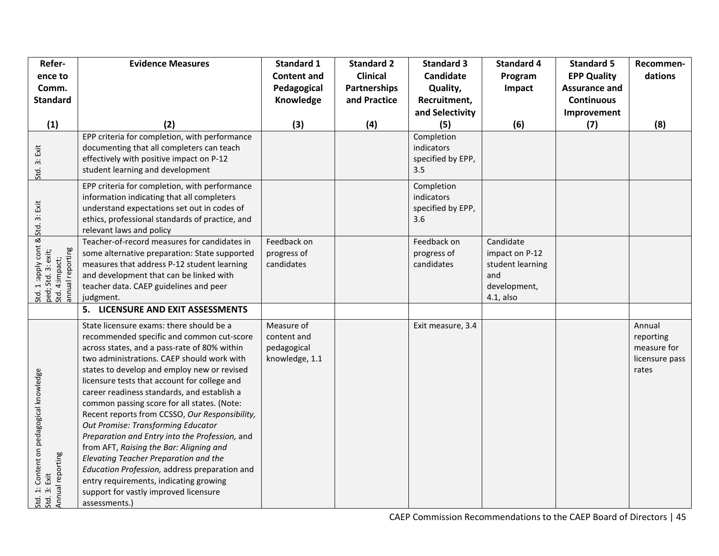| Refer-<br>ence to<br>Comm.<br><b>Standard</b>                                                               | <b>Evidence Measures</b>                                                                                                                                                                                                                                                                                                                                                                                                                                                                                                                                                                                                                                                                                                                                            | <b>Standard 1</b><br><b>Content and</b><br>Pedagogical<br>Knowledge | <b>Standard 2</b><br><b>Clinical</b><br>Partnerships<br>and Practice | <b>Standard 3</b><br><b>Candidate</b><br>Quality,<br>Recruitment,<br>and Selectivity | <b>Standard 4</b><br>Program<br>Impact                                              | <b>Standard 5</b><br><b>EPP Quality</b><br><b>Assurance and</b><br><b>Continuous</b><br>Improvement | Recommen-<br>dations                                          |
|-------------------------------------------------------------------------------------------------------------|---------------------------------------------------------------------------------------------------------------------------------------------------------------------------------------------------------------------------------------------------------------------------------------------------------------------------------------------------------------------------------------------------------------------------------------------------------------------------------------------------------------------------------------------------------------------------------------------------------------------------------------------------------------------------------------------------------------------------------------------------------------------|---------------------------------------------------------------------|----------------------------------------------------------------------|--------------------------------------------------------------------------------------|-------------------------------------------------------------------------------------|-----------------------------------------------------------------------------------------------------|---------------------------------------------------------------|
| (1)                                                                                                         | (2)                                                                                                                                                                                                                                                                                                                                                                                                                                                                                                                                                                                                                                                                                                                                                                 | (3)                                                                 | (4)                                                                  | (5)                                                                                  | (6)                                                                                 | (7)                                                                                                 | (8)                                                           |
| Std. 3: Exit                                                                                                | EPP criteria for completion, with performance<br>documenting that all completers can teach<br>effectively with positive impact on P-12<br>student learning and development                                                                                                                                                                                                                                                                                                                                                                                                                                                                                                                                                                                          |                                                                     |                                                                      | Completion<br>indicators<br>specified by EPP,<br>3.5                                 |                                                                                     |                                                                                                     |                                                               |
|                                                                                                             | EPP criteria for completion, with performance<br>information indicating that all completers<br>understand expectations set out in codes of<br>ethics, professional standards of practice, and<br>relevant laws and policy                                                                                                                                                                                                                                                                                                                                                                                                                                                                                                                                           |                                                                     |                                                                      | Completion<br>indicators<br>specified by EPP,<br>3.6                                 |                                                                                     |                                                                                                     |                                                               |
| Std. 1 :apply cont & <mark>S</mark> td. 3: Exit<br>ped; Std. 3: exit;<br>Std. 4:impact;<br>annual reporting | Teacher-of-record measures for candidates in<br>some alternative preparation: State supported<br>measures that address P-12 student learning<br>and development that can be linked with<br>teacher data. CAEP guidelines and peer<br>judgment.                                                                                                                                                                                                                                                                                                                                                                                                                                                                                                                      | Feedback on<br>progress of<br>candidates                            |                                                                      | Feedback on<br>progress of<br>candidates                                             | Candidate<br>impact on P-12<br>student learning<br>and<br>development,<br>4.1, also |                                                                                                     |                                                               |
|                                                                                                             | 5. LICENSURE AND EXIT ASSESSMENTS                                                                                                                                                                                                                                                                                                                                                                                                                                                                                                                                                                                                                                                                                                                                   |                                                                     |                                                                      |                                                                                      |                                                                                     |                                                                                                     |                                                               |
| Std. 1: Content on pedagogical knowledge<br>Std. 3: Exit<br>Annual reporting                                | State licensure exams: there should be a<br>recommended specific and common cut-score<br>across states, and a pass-rate of 80% within<br>two administrations. CAEP should work with<br>states to develop and employ new or revised<br>licensure tests that account for college and<br>career readiness standards, and establish a<br>common passing score for all states. (Note:<br>Recent reports from CCSSO, Our Responsibility,<br>Out Promise: Transforming Educator<br>Preparation and Entry into the Profession, and<br>from AFT, Raising the Bar: Aligning and<br>Elevating Teacher Preparation and the<br>Education Profession, address preparation and<br>entry requirements, indicating growing<br>support for vastly improved licensure<br>assessments.) | Measure of<br>content and<br>pedagogical<br>knowledge, 1.1          |                                                                      | Exit measure, 3.4                                                                    |                                                                                     |                                                                                                     | Annual<br>reporting<br>measure for<br>licensure pass<br>rates |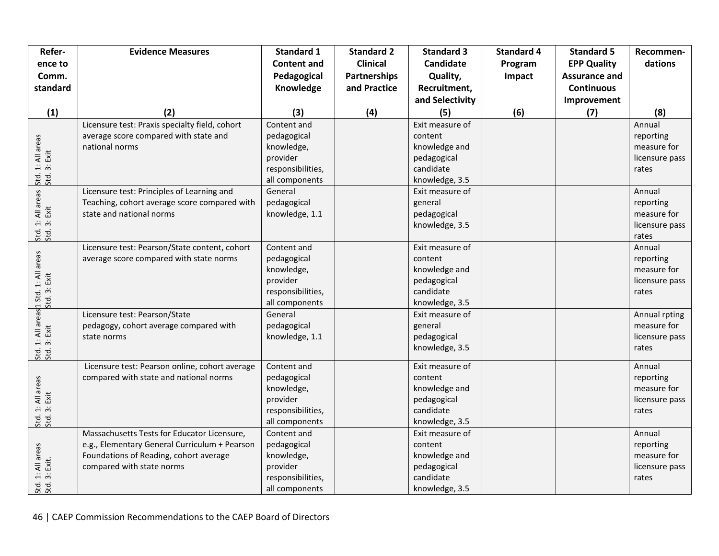| Refer-                                                                       | <b>Evidence Measures</b>                       | <b>Standard 1</b>  | <b>Standard 2</b> | <b>Standard 3</b> | <b>Standard 4</b> | <b>Standard 5</b>    | Recommen-      |
|------------------------------------------------------------------------------|------------------------------------------------|--------------------|-------------------|-------------------|-------------------|----------------------|----------------|
| ence to                                                                      |                                                | <b>Content and</b> | <b>Clinical</b>   | Candidate         | Program           | <b>EPP Quality</b>   | dations        |
| Comm.                                                                        |                                                | Pedagogical        | Partnerships      | Quality,          | Impact            | <b>Assurance and</b> |                |
| standard                                                                     |                                                | Knowledge          | and Practice      | Recruitment,      |                   | <b>Continuous</b>    |                |
|                                                                              |                                                |                    |                   | and Selectivity   |                   | Improvement          |                |
| (1)                                                                          | (2)                                            | (3)                | (4)               | (5)               | (6)               | (7)                  | (8)            |
|                                                                              | Licensure test: Praxis specialty field, cohort | Content and        |                   | Exit measure of   |                   |                      | Annual         |
|                                                                              | average score compared with state and          | pedagogical        |                   | content           |                   |                      | reporting      |
|                                                                              | national norms                                 | knowledge,         |                   | knowledge and     |                   |                      | measure for    |
|                                                                              |                                                | provider           |                   | pedagogical       |                   |                      | licensure pass |
|                                                                              |                                                | responsibilities,  |                   | candidate         |                   |                      | rates          |
| Std. 1: All areas<br>Std. 3: Exit                                            |                                                | all components     |                   | knowledge, 3.5    |                   |                      |                |
|                                                                              | Licensure test: Principles of Learning and     | General            |                   | Exit measure of   |                   |                      | Annual         |
|                                                                              | Teaching, cohort average score compared with   | pedagogical        |                   | general           |                   |                      | reporting      |
|                                                                              | state and national norms                       | knowledge, 1.1     |                   | pedagogical       |                   |                      | measure for    |
|                                                                              |                                                |                    |                   | knowledge, 3.5    |                   |                      | licensure pass |
| Std. 1: All areas<br>Std. 3: Exit                                            |                                                |                    |                   |                   |                   |                      | rates          |
|                                                                              | Licensure test: Pearson/State content, cohort  | Content and        |                   | Exit measure of   |                   |                      | Annual         |
|                                                                              | average score compared with state norms        | pedagogical        |                   | content           |                   |                      | reporting      |
|                                                                              |                                                | knowledge,         |                   | knowledge and     |                   |                      | measure for    |
|                                                                              |                                                | provider           |                   | pedagogical       |                   |                      | licensure pass |
|                                                                              |                                                | responsibilities,  |                   | candidate         |                   |                      | rates          |
|                                                                              |                                                | all components     |                   | knowledge, 3.5    |                   |                      |                |
|                                                                              | Licensure test: Pearson/State                  | General            |                   | Exit measure of   |                   |                      | Annual rpting  |
|                                                                              | pedagogy, cohort average compared with         | pedagogical        |                   | general           |                   |                      | measure for    |
|                                                                              | state norms                                    | knowledge, 1.1     |                   | pedagogical       |                   |                      | licensure pass |
| Std. 1: All areas 1 Std. 1: All areas<br>Std. 3: Exit           Std. 3: Exit |                                                |                    |                   | knowledge, 3.5    |                   |                      | rates          |
|                                                                              | Licensure test: Pearson online, cohort average | Content and        |                   | Exit measure of   |                   |                      | Annual         |
|                                                                              | compared with state and national norms         | pedagogical        |                   | content           |                   |                      | reporting      |
|                                                                              |                                                | knowledge,         |                   | knowledge and     |                   |                      | measure for    |
|                                                                              |                                                | provider           |                   | pedagogical       |                   |                      | licensure pass |
|                                                                              |                                                | responsibilities,  |                   | candidate         |                   |                      | rates          |
| Std. 1: All areas<br>Std. 3: Exit                                            |                                                | all components     |                   | knowledge, 3.5    |                   |                      |                |
| Std. 1: All areas<br>Std. 3: Exit.                                           | Massachusetts Tests for Educator Licensure,    | Content and        |                   | Exit measure of   |                   |                      | Annual         |
|                                                                              | e.g., Elementary General Curriculum + Pearson  | pedagogical        |                   | content           |                   |                      | reporting      |
|                                                                              | Foundations of Reading, cohort average         | knowledge,         |                   | knowledge and     |                   |                      | measure for    |
|                                                                              | compared with state norms                      | provider           |                   | pedagogical       |                   |                      | licensure pass |
|                                                                              |                                                | responsibilities,  |                   | candidate         |                   |                      | rates          |
|                                                                              |                                                | all components     |                   | knowledge, 3.5    |                   |                      |                |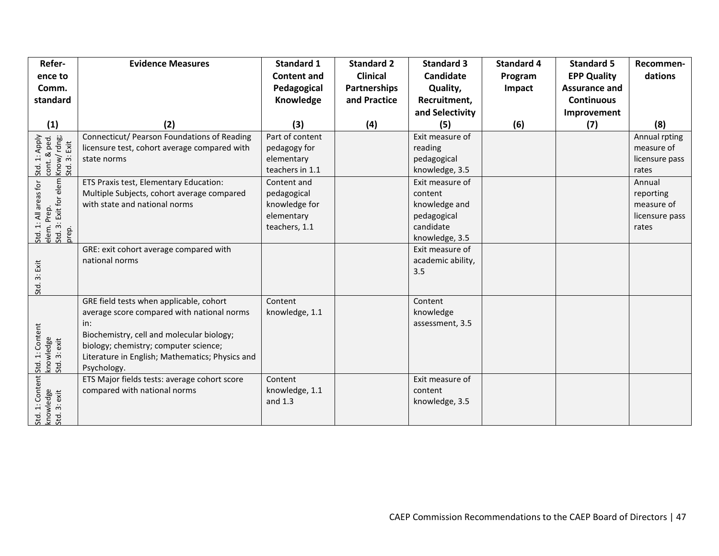| Refer-                                                                   | <b>Evidence Measures</b>                                                                                                                                                                                                                             | <b>Standard 1</b>                                                                             | <b>Standard 2</b>   | <b>Standard 3</b>                                                                                                              | <b>Standard 4</b> | <b>Standard 5</b>    | Recommen-                                                             |
|--------------------------------------------------------------------------|------------------------------------------------------------------------------------------------------------------------------------------------------------------------------------------------------------------------------------------------------|-----------------------------------------------------------------------------------------------|---------------------|--------------------------------------------------------------------------------------------------------------------------------|-------------------|----------------------|-----------------------------------------------------------------------|
| ence to                                                                  |                                                                                                                                                                                                                                                      | <b>Content and</b>                                                                            | <b>Clinical</b>     | <b>Candidate</b>                                                                                                               | Program           | <b>EPP Quality</b>   | dations                                                               |
| Comm.                                                                    |                                                                                                                                                                                                                                                      | Pedagogical                                                                                   | <b>Partnerships</b> | Quality,                                                                                                                       | Impact            | <b>Assurance and</b> |                                                                       |
| standard                                                                 |                                                                                                                                                                                                                                                      | Knowledge                                                                                     | and Practice        | Recruitment,                                                                                                                   |                   | <b>Continuous</b>    |                                                                       |
|                                                                          |                                                                                                                                                                                                                                                      |                                                                                               |                     | and Selectivity                                                                                                                |                   | Improvement          |                                                                       |
| (1)                                                                      | (2)                                                                                                                                                                                                                                                  | (3)                                                                                           | (4)                 | (5)                                                                                                                            | (6)               | (7)                  | (8)                                                                   |
| Std. 1: Apply<br>cont. & ped.<br>Know/ rdng;<br>Std. 3: Exit             | Connecticut/ Pearson Foundations of Reading<br>licensure test, cohort average compared with<br>state norms                                                                                                                                           | Part of content<br>pedagogy for<br>elementary                                                 |                     | Exit measure of<br>reading<br>pedagogical                                                                                      |                   |                      | Annual rpting<br>measure of<br>licensure pass                         |
| elem. Prep.<br>Std. 3: Exit for elem K<br>prep.<br>Std. 1: All areas for | ETS Praxis test, Elementary Education:<br>Multiple Subjects, cohort average compared<br>with state and national norms<br>GRE: exit cohort average compared with                                                                                      | teachers in 1.1<br>Content and<br>pedagogical<br>knowledge for<br>elementary<br>teachers, 1.1 |                     | knowledge, 3.5<br>Exit measure of<br>content<br>knowledge and<br>pedagogical<br>candidate<br>knowledge, 3.5<br>Exit measure of |                   |                      | rates<br>Annual<br>reporting<br>measure of<br>licensure pass<br>rates |
| Std. 3: Exit                                                             | national norms                                                                                                                                                                                                                                       |                                                                                               |                     | academic ability,<br>3.5                                                                                                       |                   |                      |                                                                       |
| Std. 1: Content<br>knowledge<br>Std. 3: exit                             | GRE field tests when applicable, cohort<br>average score compared with national norms<br>in:<br>Biochemistry, cell and molecular biology;<br>biology; chemistry; computer science;<br>Literature in English; Mathematics; Physics and<br>Psychology. | Content<br>knowledge, 1.1                                                                     |                     | Content<br>knowledge<br>assessment, 3.5                                                                                        |                   |                      |                                                                       |
| Std. 1: Content<br>knowledge<br>Std. 3: exit                             | ETS Major fields tests: average cohort score<br>compared with national norms                                                                                                                                                                         | Content<br>knowledge, 1.1<br>and 1.3                                                          |                     | Exit measure of<br>content<br>knowledge, 3.5                                                                                   |                   |                      |                                                                       |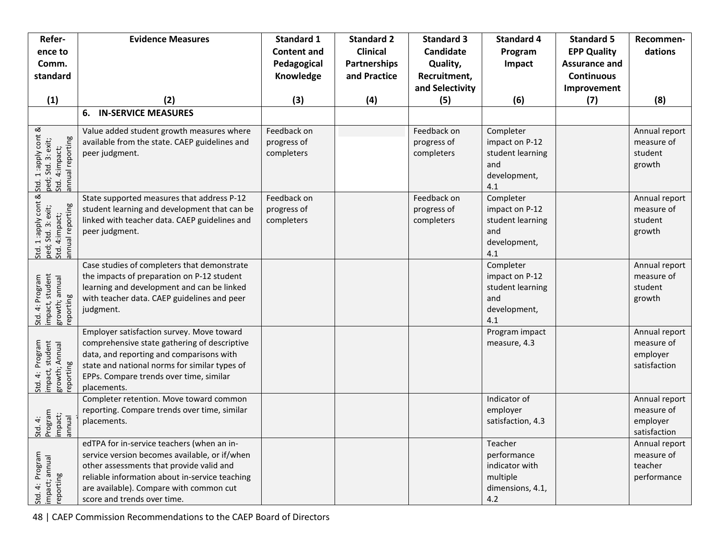| Refer-                                                                           | <b>Evidence Measures</b>                                                                  | <b>Standard 1</b>        | <b>Standard 2</b>                   | <b>Standard 3</b>        | <b>Standard 4</b>       | <b>Standard 5</b>                         | Recommen-                |
|----------------------------------------------------------------------------------|-------------------------------------------------------------------------------------------|--------------------------|-------------------------------------|--------------------------|-------------------------|-------------------------------------------|--------------------------|
| ence to<br>Comm.                                                                 |                                                                                           | <b>Content and</b>       | <b>Clinical</b>                     | <b>Candidate</b>         | Program                 | <b>EPP Quality</b>                        | dations                  |
| standard                                                                         |                                                                                           | Pedagogical<br>Knowledge | <b>Partnerships</b><br>and Practice | Quality,<br>Recruitment, | Impact                  | <b>Assurance and</b><br><b>Continuous</b> |                          |
|                                                                                  |                                                                                           |                          |                                     | and Selectivity          |                         | Improvement                               |                          |
| (1)                                                                              | (2)                                                                                       | (3)                      | (4)                                 | (5)                      | (6)                     | (7)                                       | (8)                      |
|                                                                                  | <b>IN-SERVICE MEASURES</b><br>6.                                                          |                          |                                     |                          |                         |                                           |                          |
|                                                                                  | Value added student growth measures where                                                 | Feedback on              |                                     | Feedback on              | Completer               |                                           | Annual report            |
|                                                                                  | available from the state. CAEP guidelines and                                             | progress of              |                                     | progress of              | impact on P-12          |                                           | measure of               |
|                                                                                  | peer judgment.                                                                            | completers               |                                     | completers               | student learning        |                                           | student                  |
|                                                                                  |                                                                                           |                          |                                     |                          | and<br>development,     |                                           | growth                   |
| Std. 1 :apply cont &<br>ped; Std. 3: exit;<br>annual reporting<br>Std. 4:impact; |                                                                                           |                          |                                     |                          | 4.1                     |                                           |                          |
| Std. 1 :apply cont & S<br>ped; Std. 3: exit;<br>Std. 4:impact;                   | State supported measures that address P-12                                                | Feedback on              |                                     | Feedback on              | Completer               |                                           | Annual report            |
|                                                                                  | student learning and development that can be                                              | progress of              |                                     | progress of              | impact on P-12          |                                           | measure of               |
|                                                                                  | linked with teacher data. CAEP guidelines and<br>peer judgment.                           | completers               |                                     | completers               | student learning<br>and |                                           | student<br>growth        |
| annual reporting                                                                 |                                                                                           |                          |                                     |                          | development,            |                                           |                          |
|                                                                                  |                                                                                           |                          |                                     |                          | 4.1                     |                                           |                          |
|                                                                                  | Case studies of completers that demonstrate                                               |                          |                                     |                          | Completer               |                                           | Annual report            |
|                                                                                  | the impacts of preparation on P-12 student                                                |                          |                                     |                          | impact on P-12          |                                           | measure of               |
|                                                                                  | learning and development and can be linked<br>with teacher data. CAEP guidelines and peer |                          |                                     |                          | student learning<br>and |                                           | student<br>growth        |
| Std. 4: Program                                                                  | judgment.                                                                                 |                          |                                     |                          | development,            |                                           |                          |
| impact, student<br>growth; annual<br>reporting                                   |                                                                                           |                          |                                     |                          | 4.1                     |                                           |                          |
|                                                                                  | Employer satisfaction survey. Move toward                                                 |                          |                                     |                          | Program impact          |                                           | Annual report            |
|                                                                                  | comprehensive state gathering of descriptive                                              |                          |                                     |                          | measure, 4.3            |                                           | measure of               |
|                                                                                  | data, and reporting and comparisons with<br>state and national norms for similar types of |                          |                                     |                          |                         |                                           | employer<br>satisfaction |
|                                                                                  | EPPs. Compare trends over time, similar                                                   |                          |                                     |                          |                         |                                           |                          |
| Std. 4: Program<br>impact, student<br>growth; Annual<br>reporting                | placements.                                                                               |                          |                                     |                          |                         |                                           |                          |
|                                                                                  | Completer retention. Move toward common                                                   |                          |                                     |                          | Indicator of            |                                           | Annual report            |
| Std. 4:<br>Program<br>impact;<br>annual                                          | reporting. Compare trends over time, similar                                              |                          |                                     |                          | employer                |                                           | measure of               |
|                                                                                  | placements.                                                                               |                          |                                     |                          | satisfaction, 4.3       |                                           | employer<br>satisfaction |
|                                                                                  | edTPA for in-service teachers (when an in-                                                |                          |                                     |                          | Teacher                 |                                           | Annual report            |
|                                                                                  | service version becomes available, or if/when                                             |                          |                                     |                          | performance             |                                           | measure of               |
|                                                                                  | other assessments that provide valid and                                                  |                          |                                     |                          | indicator with          |                                           | teacher                  |
|                                                                                  | reliable information about in-service teaching                                            |                          |                                     |                          | multiple                |                                           | performance              |
| Std. 4: Program<br>mpact; annual<br>reporting                                    | are available). Compare with common cut<br>score and trends over time.                    |                          |                                     |                          | dimensions, 4.1,<br>4.2 |                                           |                          |
|                                                                                  |                                                                                           |                          |                                     |                          |                         |                                           |                          |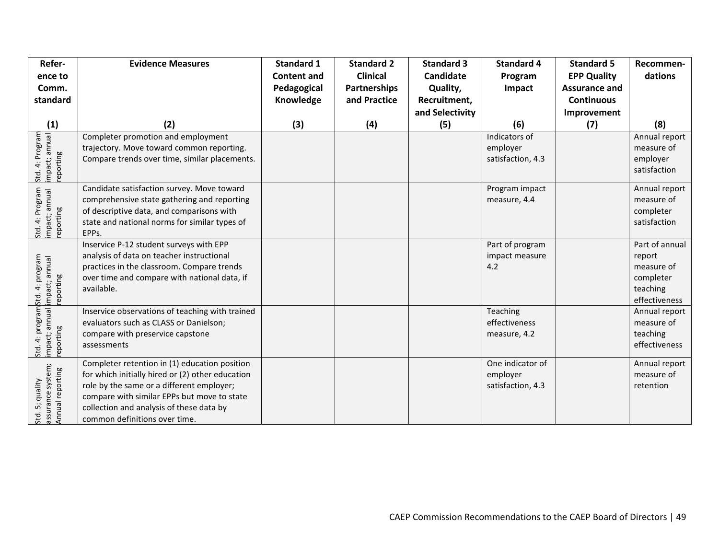| Refer-                                                               | <b>Evidence Measures</b>                                                                                                                                                                                                                                                   | <b>Standard 1</b>  | <b>Standard 2</b>   | <b>Standard 3</b> | <b>Standard 4</b>                                 | <b>Standard 5</b>    | Recommen-                                                                        |
|----------------------------------------------------------------------|----------------------------------------------------------------------------------------------------------------------------------------------------------------------------------------------------------------------------------------------------------------------------|--------------------|---------------------|-------------------|---------------------------------------------------|----------------------|----------------------------------------------------------------------------------|
| ence to                                                              |                                                                                                                                                                                                                                                                            | <b>Content and</b> | <b>Clinical</b>     | <b>Candidate</b>  | Program                                           | <b>EPP Quality</b>   | dations                                                                          |
| Comm.                                                                |                                                                                                                                                                                                                                                                            | Pedagogical        | <b>Partnerships</b> | Quality,          | Impact                                            | <b>Assurance and</b> |                                                                                  |
| standard                                                             |                                                                                                                                                                                                                                                                            | Knowledge          | and Practice        | Recruitment,      |                                                   | <b>Continuous</b>    |                                                                                  |
|                                                                      |                                                                                                                                                                                                                                                                            |                    |                     | and Selectivity   |                                                   | Improvement          |                                                                                  |
| (1)                                                                  | (2)                                                                                                                                                                                                                                                                        | (3)                | (4)                 | (5)               | (6)                                               | (7)                  | (8)                                                                              |
| Std. 4: Program<br>impact; annual<br>reporting                       | Completer promotion and employment<br>trajectory. Move toward common reporting.<br>Compare trends over time, similar placements.                                                                                                                                           |                    |                     |                   | Indicators of<br>employer<br>satisfaction, 4.3    |                      | Annual report<br>measure of<br>employer<br>satisfaction                          |
| Std. 4: Program<br>impact; annual<br>reporting                       | Candidate satisfaction survey. Move toward<br>comprehensive state gathering and reporting<br>of descriptive data, and comparisons with<br>state and national norms for similar types of<br>EPPs.                                                                           |                    |                     |                   | Program impact<br>measure, 4.4                    |                      | Annual report<br>measure of<br>completer<br>satisfaction                         |
| 4: program<br>l impact; annual<br>reporting                          | Inservice P-12 student surveys with EPP<br>analysis of data on teacher instructional<br>practices in the classroom. Compare trends<br>over time and compare with national data, if<br>available.                                                                           |                    |                     |                   | Part of program<br>impact measure<br>4.2          |                      | Part of annual<br>report<br>measure of<br>completer<br>teaching<br>effectiveness |
| 4: programstd.<br>impact; annual <mark>i</mark><br>reporting<br>Std. | Inservice observations of teaching with trained<br>evaluators such as CLASS or Danielson;<br>compare with preservice capstone<br>assessments                                                                                                                               |                    |                     |                   | Teaching<br>effectiveness<br>measure, 4.2         |                      | Annual report<br>measure of<br>teaching<br>effectiveness                         |
| assurance system;<br>Annual reporting<br>5; quality<br>Std.          | Completer retention in (1) education position<br>for which initially hired or (2) other education<br>role by the same or a different employer;<br>compare with similar EPPs but move to state<br>collection and analysis of these data by<br>common definitions over time. |                    |                     |                   | One indicator of<br>employer<br>satisfaction, 4.3 |                      | Annual report<br>measure of<br>retention                                         |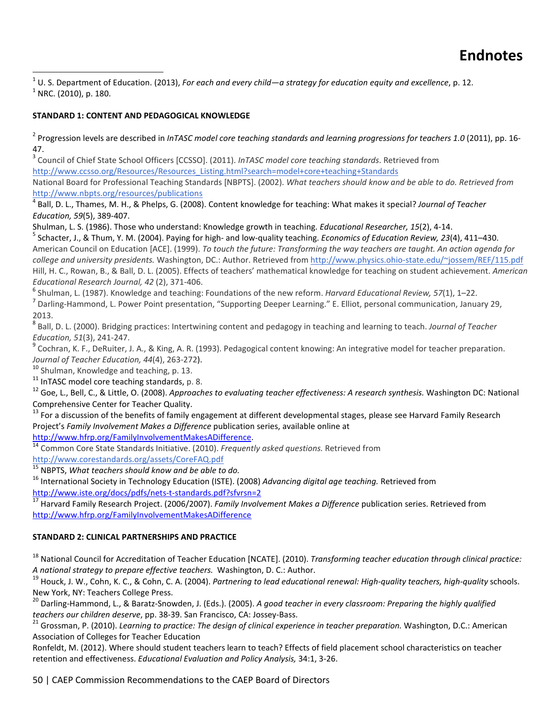<sup>1</sup> U. S. Department of Education. (2013), *For each and every child—a strategy for education equity and excellence*, p. 12. <sup>1</sup> NRC. (2010), p. 180. l

## **STANDARD 1: CONTENT AND PEDAGOGICAL KNOWLEDGE**

<sup>2</sup> Progression levels are described in *InTASC model core teaching standards and learning progressions for teachers 1.0* (2011), pp. 16- 47.

<sup>3</sup> Council of Chief State School Officers [CCSSO]. (2011). *InTASC model core teaching standards*. Retrieved from [http://www.ccsso.org/Resources/Resources\\_Listing.html?search=model+core+teaching+Standards](http://www.ccsso.org/Resources/Resources_Listing.html?search=model+core+teaching+Standards)

National Board for Professional Teaching Standards [NBPTS]. (2002). *What teachers should know and be able to do. Retrieved from*  <http://www.nbpts.org/resources/publications>

<sup>4</sup> Ball, D. L., Thames, M. H., & Phelps, G. (2008). Content knowledge for teaching: What makes it special? *Journal of Teacher Education, 59*(5), 389-407.

Shulman, L. S. (1986). Those who understand: Knowledge growth in teaching. *Educational Researcher, 15*(2), 4-14.<br><sup>5</sup> Schacter, J., & Thum, Y. M. (2004). Paying for high- and low-quality teaching. *Economics of Education R* 

American Council on Education [ACE]. (1999). *To touch the future: Transforming the way teachers are taught. An action agenda for college and university presidents.* Washington, DC.: Author. Retrieved from [http://www.physics.ohio-state.edu/~jossem/REF/115.pdf](http://www.physics.ohio-state.edu/%7Ejossem/REF/115.pdf) Hill, H. C., Rowan, B., & Ball, D. L. (2005). Effects of teachers' mathematical knowledge for teaching on student achievement. *American*  Educational Research Journal, 42 (2), 371-406.<br><sup>6</sup> Shulman, L. (1987). Knowledge and teaching: Foundations of the new reform. *Harvard Educational Review, 57*(1), 1–22.<br><sup>7</sup> Darling-Hammond, L. Power Point presentation, "Su

2013.

<sup>8</sup> Ball, D. L. (2000). Bridging practices: Intertwining content and pedagogy in teaching and learning to teach. *Journal of Teacher* 

*Education, 51*(3), 241-247.<br><sup>9</sup> Cochran, K. F., DeRuiter, J. A., & King, A. R. (1993). Pedagogical content knowing: An integrative model for teacher preparation.

Journal of Teacher Education, 44(4), 263-272).<br><sup>10</sup> Shulman, Knowledge and teaching, p. 13.<br><sup>11</sup> InTASC model core teaching standards, p. 8.<br><sup>12</sup> Goe, L., Bell, C., & Little, O. (2008). Approaches to evaluating teacher eff

Comprehensive Center for Teacher Quality.<br><sup>13</sup> For a discussion of the benefits of family engagement at different developmental stages, please see Harvard Family Research Project's *Family Involvement Makes a Difference* publication series, available online at

[http://www.hfrp.org/FamilyInvolvementMakesADifference.](http://www.hfrp.org/FamilyInvolvementMakesADifference)<br><sup>14</sup> Common Core State Standards Initiative. (2010). *Frequently asked questions.* Retrieved from

<http://www.corestandards.org/assets/CoreFAQ.pdf><br><sup>15</sup> NBPTS. What teachers should know and be able to do.

<sup>16</sup> International Society in Technology Education (ISTE). (2008) Advancing digital age teaching. Retrieved from

<http://www.iste.org/docs/pdfs/nets-t-standards.pdf?sfvrsn=2><br><sup>17</sup> Harvard Family Research Project. (2006/2007). *Family Involvement Makes a Difference* publication series. Retrieved from <http://www.hfrp.org/FamilyInvolvementMakesADifference>

## **STANDARD 2: CLINICAL PARTNERSHIPS AND PRACTICE**

<sup>18</sup> National Council for Accreditation of Teacher Education [NCATE]. (2010). *Transforming teacher education through clinical practice:*  A national strategy to prepare effective teachers. Washington, D. C.: Author.<br><sup>19</sup> Houck, J. W., Cohn, K. C., & Cohn, C. A. (2004). Partnering to lead educational renewal: High-quality teachers, high-quality schools.

New York, NY: Teachers College Press.<br><sup>20</sup> Darling-Hammond, L., & Baratz-Snowden, J. (Eds.). (2005). *A good teacher in every classroom: Preparing the highly qualified teachers our children deserve*, pp. 38-39. San Francisco, CA: Jossey-Bass.<br><sup>21</sup> Grossman, P. (2010). *Learning to practice: The design of clinical experience in teacher preparation. Washington, D.C.: American* 

Association of Colleges for Teacher Education

Ronfeldt, M. (2012). Where should student teachers learn to teach? Effects of field placement school characteristics on teacher retention and effectiveness. *Educational Evaluation and Policy Analysis,* 34:1, 3-26.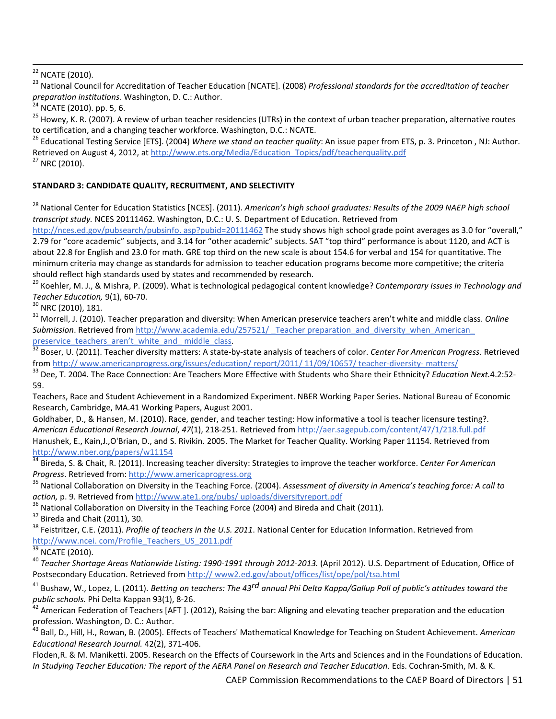<sup>22</sup> NCATE (2010).

<span id="page-52-0"></span><sup>23</sup> National Council for Accreditation of Teacher Education [NCATE]. (2008) *Professional standards for the accreditation of teacher* 

*preparation institutions.* Washington, D. C.: Author.<br><sup>24</sup> NCATE (2010). pp. 5, 6.<br><sup>25</sup> Howey, K. R. (2007). A review of urban teacher residencies (UTRs) in the context of urban teacher preparation, alternative routes to certification, and a changing teacher workforce. Washington, D.C.: NCATE.<br><sup>26</sup> Educational Testing Service [ETS]. (2004) *Where we stand on teacher quality*: An issue paper from ETS, p. 3. Princeton , NJ: Author.

<span id="page-52-2"></span><span id="page-52-1"></span>Retrieved on August 4, 2012, at [http://www.ets.org/Media/Education\\_Topics/pdf/teacherquality.pdf](http://www.ets.org/Media/Education_Topics/pdf/teacherquality.pdf) <sup>27</sup> NRC (2010).

## **STANDARD 3: CANDIDATE QUALITY, RECRUITMENT, AND SELECTIVITY**

<sup>28</sup> National Center for Education Statistics [NCES]. (2011). American's high school graduates: Results of the 2009 NAEP high school *transcript study.* NCES 20111462. Washington, D.C.: U. S. Department of Education. Retrieved from

http://nces.ed.gov/pubsearch/pubsinfo. asp?pubid=20111462 The study shows high school grade point averages as 3.0 for "overall," 2.79 for "core academic" subjects, and 3.14 for "other academic" subjects. SAT "top third" performance is about 1120, and ACT is about 22.8 for English and 23.0 for math. GRE top third on the new scale is about 154.6 for verbal and 154 for quantitative. The minimum criteria may change as standards for admission to teacher education programs become more competitive; the criteria should reflect high standards used by states and recommended by research.<br><sup>29</sup> Koehler, M. J., & Mishra, P. (2009). What is technological pedagogical content knowledge? *Contemporary Issues in Technology and* 

*Teacher Education, 9(1), 60-70.*<br><sup>30</sup> NRC (2010), 181.<br><sup>31</sup> Morrell, J. (2010). Teacher preparation and diversity: When American preservice teachers aren't white and middle class. *Online* 

*Submission*. Retrieved from http://www.academia.edu/257521/ Teacher preparation and diversity when American preservice teachers aren't white and middle class.

<sup>32</sup> Boser, U. (2011). Teacher diversity matters: A state-by-state analysis of teachers of color. *Center For American Progress*. Retrieved from http://www.americanprogress.org/issues/education/ report/2011/11/09/10657/ teacher-diversity- matters/<br><sup>33</sup> Dee, T. 2004. The Race Connection: Are Teachers More Effective with Students who Share their Ethnicity? Educa

59.

Teachers, Race and Student Achievement in a Randomized Experiment. NBER Working Paper Series. National Bureau of Economic Research, Cambridge, MA.41 Working Papers, August 2001.

Goldhaber, D., & Hansen, M. (2010). Race, gender, and teacher testing: How informative a tool is teacher licensure testing?. *American Educational Research Journal*, *47*(1), 218-251. Retrieved from http://aer.sagepub.com/content/47/1/218.full.pdf Hanushek, E., Kain,J.,O'Brian, D., and S. Rivikin. 2005. The Market for Teacher Quality. Working Paper 11154. Retrieved from http://www.nber.org/papers/w11154

<sup>34</sup> Bireda, S. & Chait, R. (2011). Increasing teacher diversity: Strategies to improve the teacher workforce. *Center For American Progress*. Retrieved from: http://www.americaprogress.org<br><sup>35</sup> National Collaboration on Diversity in the Teaching Force. (2004). *Assessment of diversity in America's teaching force: A call to* 

action, p. 9. Retrieved from <u>http://www.ate1.org/pubs/ uploads/diversityreport.pdf</u><br><sup>36</sup> National Collaboration on Diversity in the Teaching Force (2004) and Bireda and Chait (2011).<br><sup>37</sup> Bireda and Chait (2011), 30.<br><sup>38</sup>

http://www.ncei.com/Profile\_Teachers\_US\_2011.pdf<br><sup>39</sup> NCATE (2010).

<sup>40</sup> Teacher Shortage Areas Nationwide Listing: 1990-1991 through 2012-2013. (April 2012). U.S. Department of Education, Office of Postsecondary Education. Retrieved from http:// www2.ed.gov/about/offices/list/ope/pol/tsa.html

<sup>41</sup> Bushaw, W., Lopez, L. (2011). *Betting on teachers: The 43<sup>rd</sup> annual Phi Delta Kappa/Gallup Poll of public's attitudes toward the<br>public schools. Phi Delta Kappan 93(1), 8-26.* 

<sup>42</sup> American Federation of Teachers [AFT]. (2012), Raising the bar: Aligning and elevating teacher preparation and the education profession. Washington, D. C.: Author.

<sup>43</sup> Ball, D., Hill, H., Rowan, B. (2005). Effects of Teachers' Mathematical Knowledge for Teaching on Student Achievement. *American Educational Research Journal.* 42(2), 371-406.

Floden,R. & M. Maniketti. 2005. Research on the Effects of Coursework in the Arts and Sciences and in the Foundations of Education. *In Studying Teacher Education: The report of the AERA Panel on Research and Teacher Education*. Eds. Cochran-Smith, M. & K.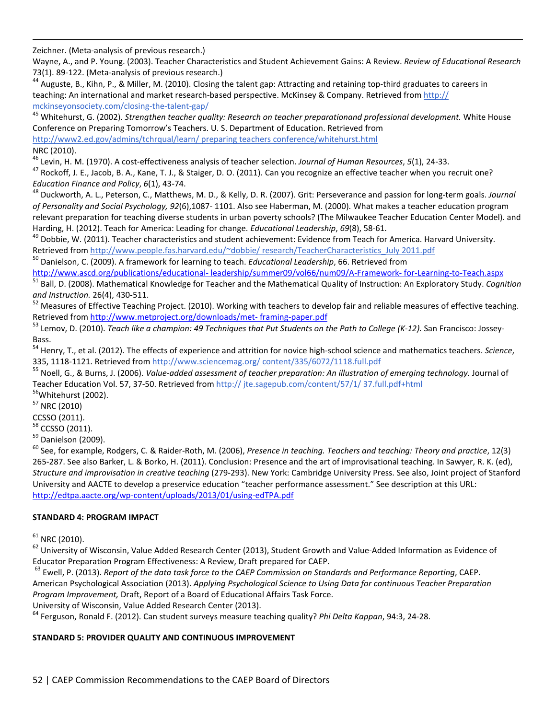Zeichner. (Meta-analysis of previous research.)

Wayne, A., and P. Young. (2003). Teacher Characteristics and Student Achievement Gains: A Review. *Review of Educational Research*  73(1). 89-122. (Meta-analysis of previous research.)<br><sup>44</sup> Auguste, B., Kihn, P., & Miller, M. (2010). Closing the talent gap: Attracting and retaining top-third graduates to careers in

teaching: An international and market research-based perspective. McKinsey & Company. Retrieved from http:// mckinseyonsociety.com/closing-the-talent-gap/<br><sup>45</sup> Whitehurst, G. (2002). *Strengthen teacher quality: Research on teacher preparationand professional development. White House* 

Conference on Preparing Tomorrow's Teachers. U. S. Department of Education. Retrieved from http://www2.ed.gov/admins/tchrqual/learn/ preparing teachers conference/whitehurst.html

 $\overline{\phantom{a}}$ 

NRC (2010).<br><sup>46</sup> Levin, H. M. (1970). A cost-effectiveness analysis of teacher selection. Journal of Human Resources, 5(1), 24-33.<br><sup>47</sup> Rockoff, J. E., Jacob, B. A., Kane, T. J., & Staiger, D. O. (2011). Can you recognize

<span id="page-53-0"></span>*Education Finance and Policy, 6*(1), 43-74.<br><sup>48</sup> Duckworth, A. L., Peterson, C., Matthews, M. D., & Kelly, D. R. (2007). Grit: Perseverance and passion for long-term goals. *Journal of Personality and Social Psychology, 92*(6),1087- 1101. Also see Haberman, M. (2000). What makes a teacher education program relevant preparation for teaching diverse students in urban poverty schools? (The Milwaukee Teacher Education Center Model). and

<span id="page-53-1"></span>Harding, H. (2012). Teach for America: Leading for change. *Educational Leadership*, 69(8), 58-61.<br><sup>49</sup> Dobbie, W. (2011). Teacher characteristics and student achievement: Evidence from Teach for America. Harvard Universit

<sup>50</sup> Danielson. C. (2009). A framework for learning to teach. *Educational Leadership*. 66. Retrieved from

http://www.ascd.org/publications/educational-[leadership/summer09/vol66/num09/A-Framework-](http://www.ascd.org/publications/educational-%20leadership/summer09/vol66/num09/A-Framework-%20for-Learning-to-Teach.aspx) for-Learning-to-Teach.aspx<br><sup>51</sup> Ball, D. (2008). Mathematical Knowledge for Teacher and the Mathematical Quality of Instruction: An

<span id="page-53-2"></span><sup>52</sup> Measures of Effective Teaching Project. (2010). Working with teachers to develop fair and reliable measures of effective teaching.

Retrieved from <u>http://www.metproject.org/downloads/met- framing-paper.pdf</u><br><sup>53</sup> Lemov, D. (2010). *Teach like a champion: 49 Techniques that Put Students on the Path to College (K-12). San Francisco: Jossey-*Bass.

<sup>54</sup> Henry, T., et al. (2012). The effects of experience and attrition for novice high-school science and mathematics teachers. *Science*,

335, 1118-1121. Retrieved from http://www.sciencemag.org/content/335/6072/1118.full.pdf<br><sup>55</sup> Noell, G., & Burns, J. (2006). *Value-added assessment of teacher preparation: An illustration of emerging technology.* Journal o Teacher Education Vol. 57, 37-50. Retrieved from http://jte.sagepub.com/content/57/1/ 37.full.pdf+html<br><sup>56</sup>Whitehurst (2002).<br><sup>57</sup> NRC (2010)

CCSSO (2011).

<sup>58</sup> CCSSO (2011).<br><sup>59</sup> Danielson (2009).<br><sup>60</sup> See, for example, Rodgers, C. & Raider-Roth, M. (2006), *Presence in teaching. Teachers and teaching: Theory and practice,* 12(3) 265-287. See also Barker, L. & Borko, H. (2011). Conclusion: Presence and the art of improvisational teaching. In Sawyer, R. K. (ed), *Structure and improvisation in creative teaching* (279-293). New York: Cambridge University Press. See also, Joint project of Stanford University and AACTE to develop a preservice education "teacher performance assessment." See description at this URL: <http://edtpa.aacte.org/wp-content/uploads/2013/01/using-edTPA.pdf>

## **STANDARD 4: PROGRAM IMPACT**

 $61$  NRC (2010).<br> $62$  University of Wisconsin, Value Added Research Center (2013), Student Growth and Value-Added Information as Evidence of Educator Preparation Program Effectiveness: A Review, Draft prepared for CAEP.

<sup>63</sup> Ewell, P. (2013). *Report of the data task force to the CAEP Commission on Standards and Performance Reporting*, CAEP. American Psychological Association (2013). *Applying Psychological Science to Using Data for continuous Teacher Preparation Program Improvement,* Draft, Report of a Board of Educational Affairs Task Force.

University of Wisconsin, Value Added Research Center (2013).

<sup>64</sup> Ferguson, Ronald F. (2012). Can student surveys measure teaching quality? *Phi Delta Kappan*, 94:3, 24-28.

## **STANDARD 5: PROVIDER QUALITY AND CONTINUOUS IMPROVEMENT**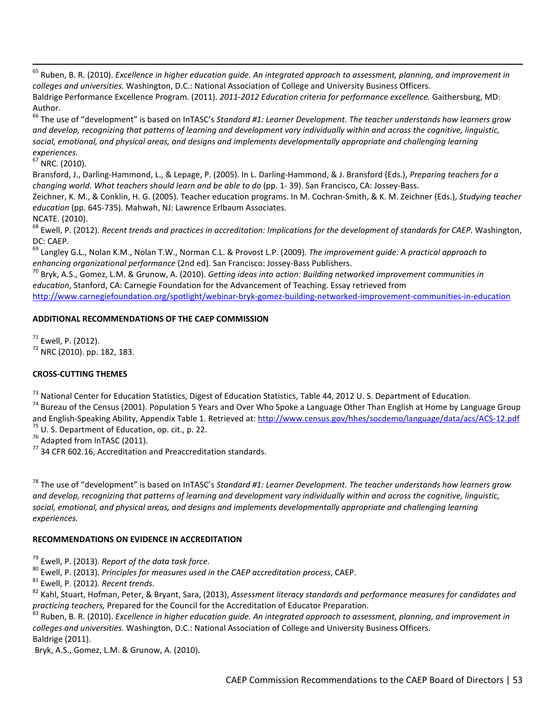<sup>65</sup> Ruben, B. R. (2010). *Excellence in higher education guide. An integrated approach to assessment, planning, and improvement in colleges and universities.* Washington, D.C.: National Association of College and University Business Officers. Baldrige Performance Excellence Program. (2011). *2011-2012 Education criteria for performance excellence.* Gaithersburg, MD: Author.

<sup>66</sup> The use of "development" is based on InTASC's *Standard #1: Learner Development. The teacher understands how learners grow and develop, recognizing that patterns of learning and development vary individually within and across the cognitive, linguistic, social, emotional, and physical areas, and designs and implements developmentally appropriate and challenging learning experiences.*

 $67$  NRC. (2010).

 $\overline{a}$ 

Bransford, J., Darling-Hammond, L., & Lepage, P. (2005). In L. Darling-Hammond, & J. Bransford (Eds.), *Preparing teachers for a changing world. What teachers should learn and be able to do* (pp. 1- 39). San Francisco, CA: Jossey-Bass.

Zeichner, K. M., & Conklin, H. G. (2005). Teacher education programs. In M. Cochran-Smith, & K. M. Zeichner (Eds.), *Studying teacher education* (pp. 645-735)*.* Mahwah, NJ: Lawrence Erlbaum Associates.

NCATE. (2010).

<sup>68</sup> Ewell, P. (2012). *Recent trends and practices in accreditation: Implications for the development of standards for CAEP.* Washington, DC: CAEP.

<sup>69</sup> Langley G.L., Nolan K.M., Nolan T.W., Norman C.L. & Provost L.P. (2009). *[The improvement guide: A practical approach to](http://www.ihi.org/knowledge/Pages/Publications/ImprovementGuidePracticalApproachEnhancingOrganizationalPerformance.aspx)  [enhancing organizational performance](http://www.ihi.org/knowledge/Pages/Publications/ImprovementGuidePracticalApproachEnhancingOrganizationalPerformance.aspx)* (2nd ed). San Francisco: Jossey-Bass Publishers.<br><sup>70</sup> Bryk, A.S., Gomez, L.M. & Grunow, A. (2010). *Getting ideas into action: Building networked improvement communities in* 

*education*, Stanford, CA: Carnegie Foundation for the Advancement of Teaching. Essay retrieved from

<span id="page-54-0"></span><http://www.carnegiefoundation.org/spotlight/webinar-bryk-gomez-building-networked-improvement-communities-in-education>

#### <span id="page-54-1"></span>**ADDITIONAL RECOMMENDATIONS OF THE CAEP COMMISSION**

<span id="page-54-2"></span> $^{71}$  Ewell, P. (2012).<br> $^{72}$  NRC (2010). pp. 182, 183.

## <span id="page-54-4"></span><span id="page-54-3"></span>**CROSS-CUTTING THEMES**

<span id="page-54-5"></span><sup>73</sup> National Center for Education Statistics, Digest of Education Statistics, Table 44, 2012 U. S. Department of Education.<br><sup>74</sup> Bureau of the Census (2001). Population 5 Years and Over Who Spoke a Language Other Than Eng

<span id="page-54-6"></span>and English-Speaking Ability, Appendix Table 1. Retrieved at:<http://www.census.gov/hhes/socdemo/language/data/acs/ACS-12.pdf><br><sup>75</sup> U. S. Department of Education, op. cit., p. 22.<br><sup>76</sup> Adapted from InTASC (2011).<br><sup>77</sup> 34 CF

<span id="page-54-7"></span>

<span id="page-54-10"></span><span id="page-54-9"></span><span id="page-54-8"></span><sup>78</sup> The use of "development" is based on InTASC's *Standard #1: Learner Development. The teacher understands how learners grow and develop, recognizing that patterns of learning and development vary individually within and across the cognitive, linguistic,*  social, emotional, and physical areas, and designs and implements developmentally appropriate and challenging learning *experiences.*

## **RECOMMENDATIONS ON EVIDENCE IN ACCREDITATION**

<sup>79</sup> Ewell, P. (2013). *Report of the data task force.*<br><sup>80</sup> Ewell, P. (2013). *Principles for measures used in the CAEP accreditation process, CAEP.*<br><sup>81</sup> Ewell, P. (2012). *Recent trends.*<br><sup>82</sup> Kahl, Stuart, Hofman, Pete practicing teachers, Prepared for the Council for the Accreditation of Educator Preparation.<br><sup>83</sup> Ruben, B. R. (2010). *Excellence in higher education guide. An integrated approach to assessment, planning, and improvement* 

*colleges and universities.* Washington, D.C.: National Association of College and University Business Officers.

Baldrige (2011).

Bryk, A.S., Gomez, L.M. & Grunow, A. (2010).